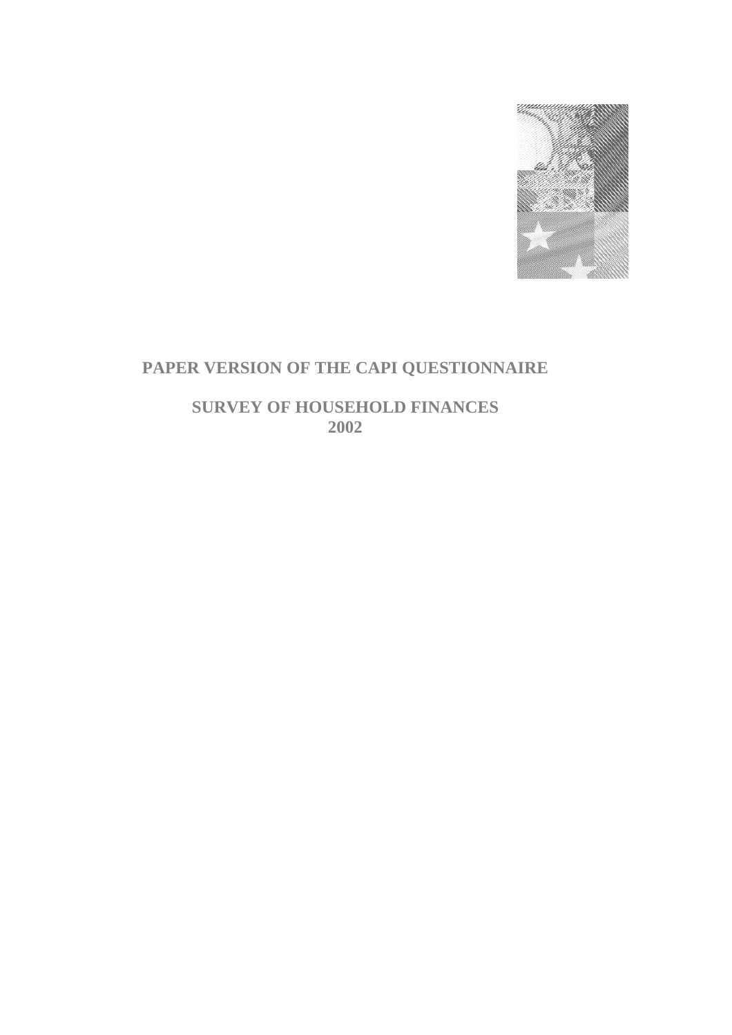

# **PAPER VERSION OF THE CAPI QUESTIONNAIRE**

**SURVEY OF HOUSEHOLD FINANCES 2002**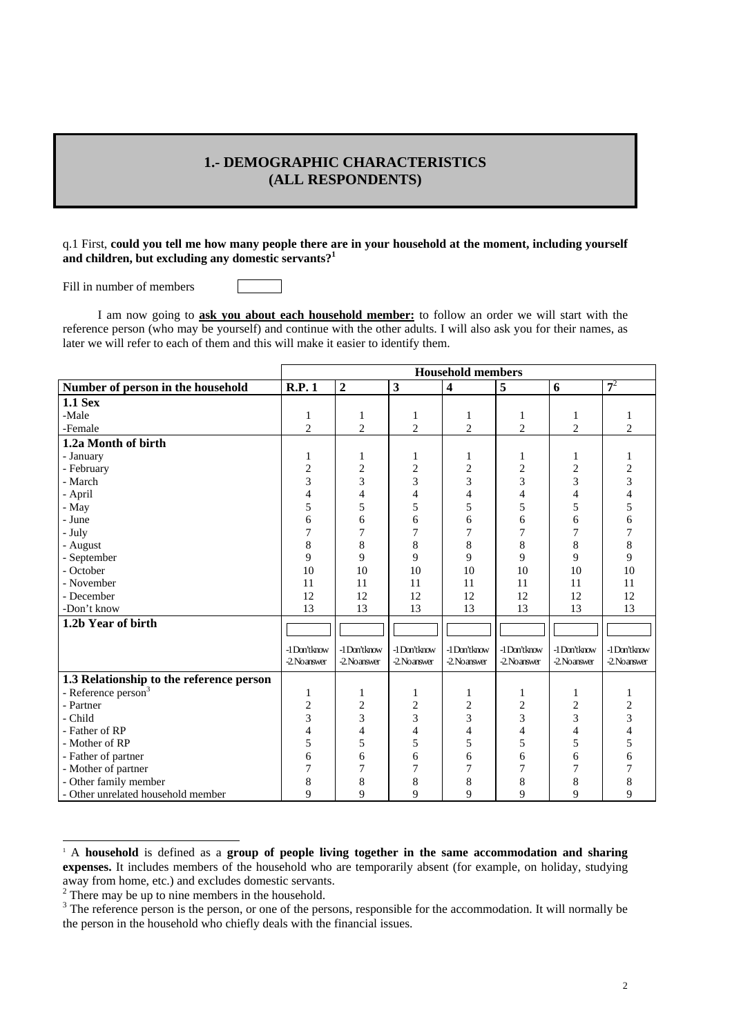# **1.- DEMOGRAPHIC CHARACTERISTICS (ALL RESPONDENTS)**

### q.1 First, **could you tell me how many people there are in your household at the moment, including yourself and children, but excluding any domestic servants?1**

Fill in number of members

 I am now going to **ask you about each household member:** to follow an order we will start with the reference person (who may be yourself) and continue with the other adults. I will also ask you for their names, as later we will refer to each of them and this will make it easier to identify them.

|                                          | <b>Household members</b> |                |                |                         |                |                |                |
|------------------------------------------|--------------------------|----------------|----------------|-------------------------|----------------|----------------|----------------|
| Number of person in the household        | R.P.1                    | $\overline{2}$ | $\mathbf{3}$   | $\overline{\mathbf{4}}$ | 5              | 6              | $7^2$          |
| <b>1.1 Sex</b>                           |                          |                |                |                         |                |                |                |
| -Male                                    | 1                        | 1              | 1              | 1                       | 1              | 1              | 1              |
| -Female                                  | $\overline{c}$           | $\overline{c}$ | $\overline{2}$ | $\overline{2}$          | $\mathfrak{2}$ | $\overline{c}$ | $\overline{c}$ |
| 1.2a Month of birth                      |                          |                |                |                         |                |                |                |
| - January                                | 1                        | 1              | 1              | 1                       | 1              | 1              | 1              |
| - February                               | $\overline{c}$           | $\overline{2}$ | $\overline{2}$ | $\overline{2}$          | $\overline{2}$ | $\overline{2}$ | 2              |
| - March                                  | 3                        | 3              | 3              | 3                       | 3              | 3              | 3              |
| - April                                  | 4                        | 4              | 4              | 4                       | $\overline{4}$ | 4              | 4              |
| - May                                    | 5                        | 5              | 5              | 5                       | 5              | 5              | 5              |
| - June                                   | 6                        | 6              | 6              | 6                       | 6              | 6              | 6              |
| - July                                   | 7                        | 7              | 7              | 7                       | 7              | 7              | 7              |
| - August                                 | 8                        | 8              | 8              | 8                       | 8              | 8              | 8              |
| - September                              | 9                        | 9              | 9              | 9                       | 9              | 9              | 9              |
| - October                                | 10                       | 10             | 10             | 10                      | 10             | 10             | 10             |
| - November                               | 11                       | 11             | 11             | 11                      | 11             | 11             | 11             |
| - December                               | 12                       | 12             | 12             | 12                      | 12             | 12             | 12             |
| -Don't know                              | 13                       | 13             | 13             | 13                      | 13             | 13             | 13             |
| 1.2b Year of birth                       |                          |                |                |                         |                |                |                |
|                                          |                          |                |                |                         |                |                |                |
|                                          | -1Don'tknow              | -1Don'tknow    | -1Don'tknow    | -1Don'tknow             | -1Don'tknow    | -1Don'tknow    | -1Don'tknow    |
|                                          | -2. Noanswer             | -2. Noanswer   | -2. Noanswer   | -2. Noanswer            | -2 Noanswer    | -2. Noanswer   | -2. Noanswer   |
| 1.3 Relationship to the reference person |                          |                |                |                         |                |                |                |
| - Reference person <sup>3</sup>          | 1                        | 1              | 1              | 1                       | 1              | 1              | 1              |
| - Partner                                | $\overline{c}$           | $\sqrt{2}$     | 2              | $\overline{c}$          | $\overline{c}$ | 2              | 2              |
| - Child                                  | 3                        | 3              | 3              | 3                       | 3              | 3              | 3              |
| - Father of RP                           | 4                        | $\overline{4}$ | 4              | 4                       | $\overline{4}$ | 4              |                |
| - Mother of RP                           | 5                        | 5              | 5              | 5                       | 5              | 5              | 5              |
| - Father of partner                      | 6                        | 6              | 6              | 6                       | 6              | 6              | 6              |
| - Mother of partner                      | 7                        | 7              | 7              | 7                       | 7              | 7              |                |
| - Other family member                    | 8                        | 8              | 8              | 8                       | 8              | 8              | 8              |
| - Other unrelated household member       | 9                        | 9              | 9              | 9                       | 9              | 9              | 9              |

 A **household** is defined as a **group of people living together in the same accommodation and sharing expenses.** It includes members of the household who are temporarily absent (for example, on holiday, studying away from home, etc.) and excludes domestic servants.

l

 $2^2$  There may be up to nine members in the household.

 The reference person is the person, or one of the persons, responsible for the accommodation. It will normally be the person in the household who chiefly deals with the financial issues.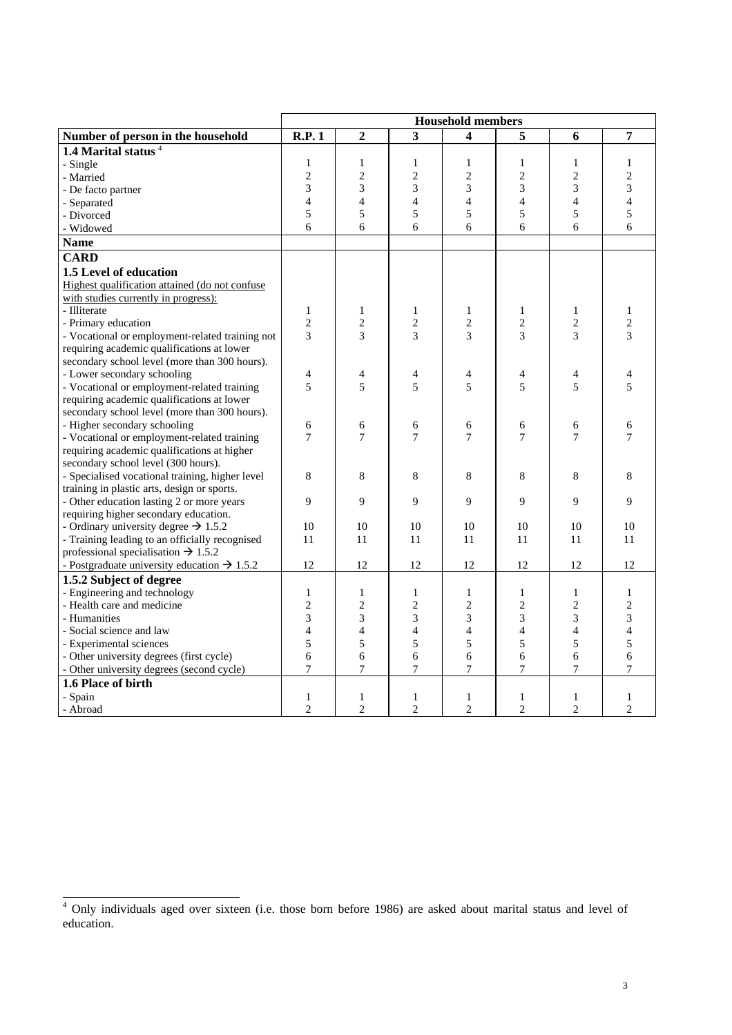|                                                                     | <b>Household members</b> |                |                         |                |                |                |                          |
|---------------------------------------------------------------------|--------------------------|----------------|-------------------------|----------------|----------------|----------------|--------------------------|
| Number of person in the household                                   | <b>R.P.1</b>             | $\overline{2}$ | $\overline{\mathbf{3}}$ | 4              | 5              | 6              | 7                        |
| 1.4 Marital status <sup>4</sup>                                     |                          |                |                         |                |                |                |                          |
| - Single                                                            | $\mathbf{1}$             | $\mathbf{1}$   | $\mathbf{1}$            | $\mathbf{1}$   | $\mathbf{1}$   | $\mathbf{1}$   | $\mathbf{1}$             |
| - Married                                                           | $\overline{c}$           | $\overline{c}$ | $\overline{c}$          | $\overline{2}$ | $\overline{c}$ | $\overline{c}$ | $\overline{c}$           |
| - De facto partner                                                  | 3                        | 3              | 3                       | 3              | 3              | 3              | 3                        |
| - Separated                                                         | $\overline{4}$           | $\overline{4}$ | $\overline{4}$          | $\overline{4}$ | $\overline{4}$ | $\overline{4}$ | $\overline{\mathcal{L}}$ |
| - Divorced                                                          | 5                        | 5              | 5                       | 5              | 5              | 5              | 5                        |
| - Widowed                                                           | 6                        | 6              | 6                       | 6              | 6              | 6              | 6                        |
| <b>Name</b>                                                         |                          |                |                         |                |                |                |                          |
| <b>CARD</b>                                                         |                          |                |                         |                |                |                |                          |
| 1.5 Level of education                                              |                          |                |                         |                |                |                |                          |
| Highest qualification attained (do not confuse                      |                          |                |                         |                |                |                |                          |
| with studies currently in progress):                                |                          |                |                         |                |                |                |                          |
| - Illiterate                                                        | $\mathbf{1}$             | $\mathbf{1}$   | 1                       | $\mathbf{1}$   | $\mathbf{1}$   | $\mathbf{1}$   | $\mathbf{1}$             |
| - Primary education                                                 | $\overline{c}$           | $\overline{2}$ | $\mathfrak{2}$          | $\overline{2}$ | $\overline{2}$ | $\mathfrak{2}$ | $\mathbf{2}$             |
| - Vocational or employment-related training not                     | 3                        | 3              | 3                       | 3              | 3              | 3              | 3                        |
| requiring academic qualifications at lower                          |                          |                |                         |                |                |                |                          |
| secondary school level (more than 300 hours).                       |                          |                |                         |                |                |                |                          |
| - Lower secondary schooling                                         | 4                        | 4              | $\overline{4}$          | 4              | 4              | 4              | 4                        |
| - Vocational or employment-related training                         | 5                        | 5              | 5                       | 5              | 5              | 5              | 5                        |
| requiring academic qualifications at lower                          |                          |                |                         |                |                |                |                          |
| secondary school level (more than 300 hours).                       |                          |                |                         |                |                |                |                          |
| - Higher secondary schooling                                        | 6                        | 6              | 6                       | 6              | 6              | 6              | 6                        |
| - Vocational or employment-related training                         | 7                        | 7              | 7                       | $\overline{7}$ | 7              | 7              | 7                        |
| requiring academic qualifications at higher                         |                          |                |                         |                |                |                |                          |
| secondary school level (300 hours).                                 |                          |                |                         |                |                |                |                          |
| - Specialised vocational training, higher level                     | 8                        | 8              | 8                       | 8              | 8              | 8              | 8                        |
| training in plastic arts, design or sports.                         |                          |                |                         |                |                |                |                          |
| - Other education lasting 2 or more years                           | 9                        | 9              | 9                       | 9              | 9              | 9              | 9                        |
| requiring higher secondary education.                               |                          |                |                         |                |                |                |                          |
| - Ordinary university degree $\rightarrow$ 1.5.2                    | 10                       | 10             | 10                      | 10             | 10             | 10             | 10                       |
| - Training leading to an officially recognised                      | 11                       | 11             | 11                      | 11             | 11             | 11             | 11                       |
| professional specialisation $\rightarrow$ 1.5.2                     |                          |                |                         |                |                |                |                          |
| - Postgraduate university education $\rightarrow$ 1.5.2             | 12                       | 12             | 12                      | 12             | 12             | 12             | 12                       |
| 1.5.2 Subject of degree                                             |                          |                |                         |                |                |                |                          |
| - Engineering and technology                                        | $\mathbf{1}$             | $\mathbf{1}$   | 1                       | $\mathbf{1}$   | $\mathbf{1}$   | $\mathbf{1}$   | $\mathbf{1}$             |
| - Health care and medicine                                          | $\mathbf{2}$             | $\mathfrak{2}$ | $\mathfrak{2}$          | $\mathfrak{2}$ | $\overline{c}$ | $\mathfrak{2}$ | $\mathbf{2}$             |
| - Humanities                                                        | 3                        | 3              | 3                       | 3              | 3              | 3              | 3                        |
| - Social science and law                                            | $\overline{4}$           | 4              | 4                       | $\overline{4}$ | $\overline{4}$ | $\overline{4}$ | $\overline{4}$           |
| - Experimental sciences<br>- Other university degrees (first cycle) | 5<br>6                   | 5<br>6         | 5<br>6                  | 5<br>6         | 5<br>6         | 5<br>6         | 5<br>6                   |
| - Other university degrees (second cycle)                           | $\overline{7}$           | 7              | 7                       | 7              | 7              | 7              | 7                        |
| 1.6 Place of birth                                                  |                          |                |                         |                |                |                |                          |
| - Spain                                                             | $\mathbf{1}$             | 1              | 1                       | $\mathbf{1}$   | 1              | 1              | 1                        |
| - Abroad                                                            | $\mathbf{2}$             | $\overline{c}$ | $\overline{2}$          | $\mathfrak{2}$ | $\overline{2}$ | $\overline{c}$ | $\overline{2}$           |
|                                                                     |                          |                |                         |                |                |                |                          |

 4 Only individuals aged over sixteen (i.e. those born before 1986) are asked about marital status and level of education.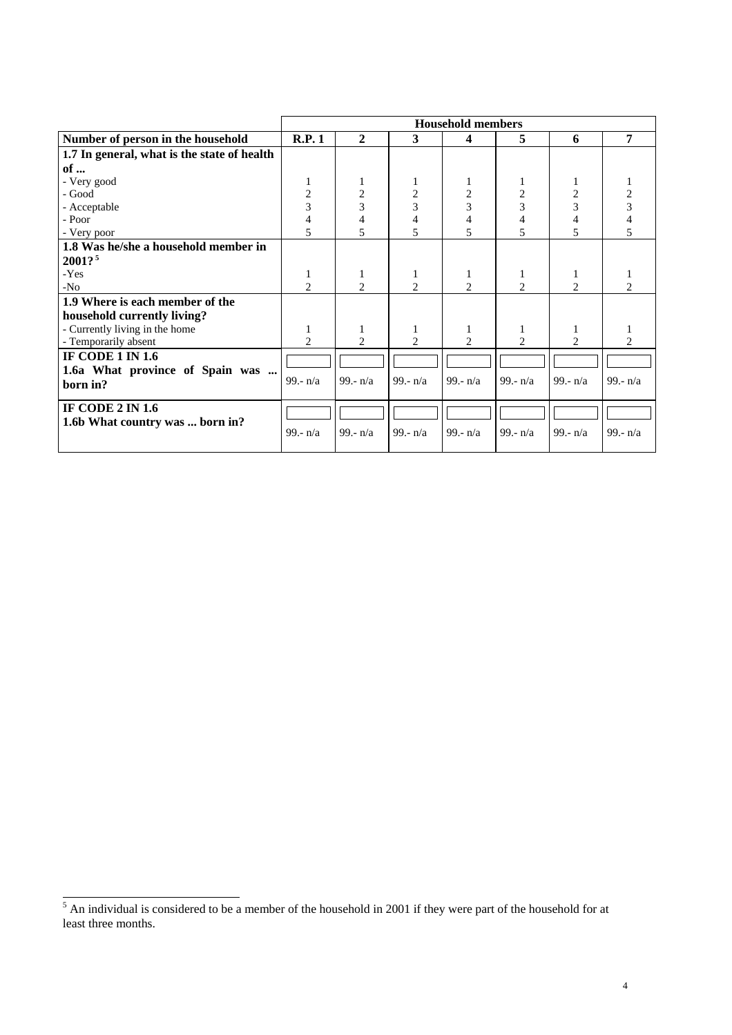|                                             | <b>Household members</b> |                |                |                |                |                             |                |
|---------------------------------------------|--------------------------|----------------|----------------|----------------|----------------|-----------------------------|----------------|
| Number of person in the household           | R.P.1                    | $\overline{2}$ | 3              | 4              | 5              | 6                           | 7              |
| 1.7 In general, what is the state of health |                          |                |                |                |                |                             |                |
| of $\ldots$                                 |                          |                |                |                |                |                             |                |
| - Very good                                 |                          | 1              | 1              | 1              |                | 1                           |                |
| - Good                                      | 2                        | 2              | 2              | 2              | 2              | 2                           | 2              |
| - Acceptable                                | 3                        | 3              | $\overline{3}$ | $\overline{3}$ | $\overline{3}$ | 3                           | 3              |
| - Poor                                      | 4                        | 4              | $\overline{4}$ | 4              | 4              | 4                           |                |
| - Very poor                                 | 5                        | 5              | 5              | 5              | 5              | 5                           | 5              |
| 1.8 Was he/she a household member in        |                          |                |                |                |                |                             |                |
| 2001?                                       |                          |                |                |                |                |                             |                |
| -Yes                                        | 1                        | 1              | 1              | 1              | 1              | 1                           |                |
| $-N0$                                       | $\mathfrak{D}$           | 2              | 2              | $\overline{c}$ | 2              | 2                           | 2              |
| 1.9 Where is each member of the             |                          |                |                |                |                |                             |                |
| household currently living?                 |                          |                |                |                |                |                             |                |
| - Currently living in the home              | 1                        | 1              | $\mathbf{1}$   | 1              | 1              | 1                           |                |
| - Temporarily absent                        | $\mathfrak{D}$           | $\mathfrak{D}$ | $\mathfrak{D}$ | $\mathfrak{D}$ | $\mathfrak{D}$ | $\mathcal{D}_{\mathcal{L}}$ | $\mathfrak{D}$ |
| <b>IF CODE 1 IN 1.6</b>                     |                          |                |                |                |                |                             |                |
| 1.6a What province of Spain was             |                          |                |                |                |                |                             |                |
| born in?                                    | 99.- $n/a$               | 99.- $n/a$     | 99.- $n/a$     | 99.- $n/a$     | 99.- $n/a$     | 99.- $n/a$                  | 99.- $n/a$     |
| IF CODE $2 \text{IN } 1.6$                  |                          |                |                |                |                |                             |                |
| 1.6b What country was  born in?             |                          |                |                |                |                |                             |                |
|                                             | 99.- $n/a$               | 99.- $n/a$     | 99.- $n/a$     | 99.- $n/a$     | 99.- $n/a$     | 99.- $n/a$                  | 99.- $n/a$     |
|                                             |                          |                |                |                |                |                             |                |

<sup>&</sup>lt;sup>5</sup> An individual is considered to be a member of the household in 2001 if they were part of the household for at least three months.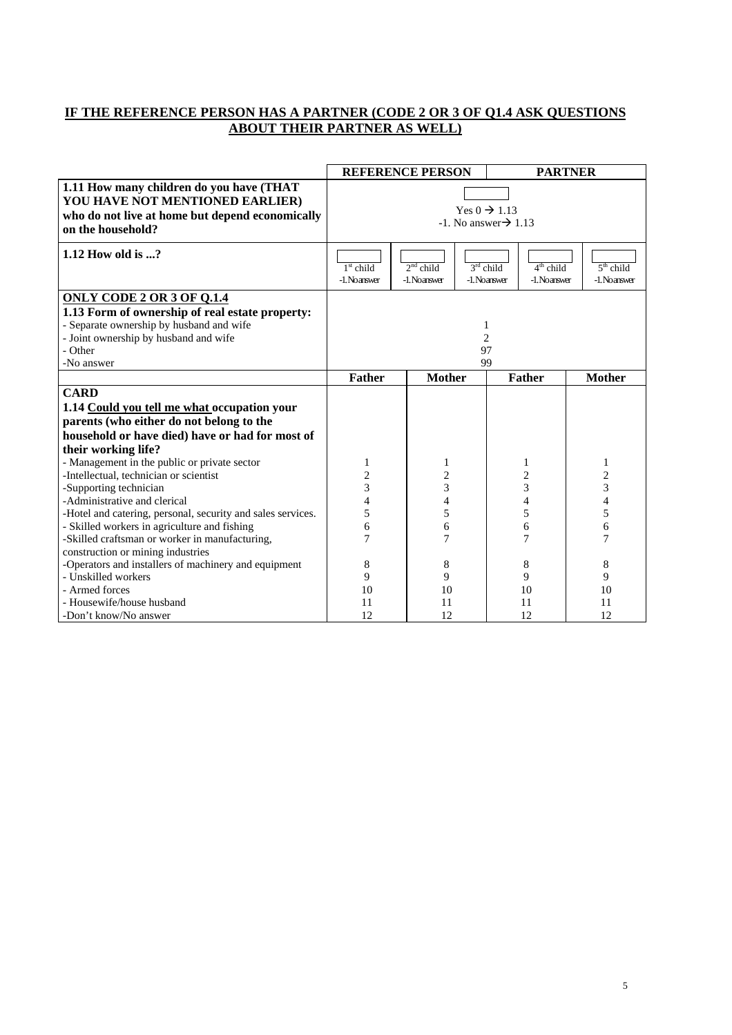# **IF THE REFERENCE PERSON HAS A PARTNER (CODE 2 OR 3 OF Q1.4 ASK QUESTIONS ABOUT THEIR PARTNER AS WELL)**

|                                                                                                                                                     |                                                                | <b>REFERENCE PERSON</b>     |                             |                             | <b>PARTNER</b>              |
|-----------------------------------------------------------------------------------------------------------------------------------------------------|----------------------------------------------------------------|-----------------------------|-----------------------------|-----------------------------|-----------------------------|
| 1.11 How many children do you have (THAT<br>YOU HAVE NOT MENTIONED EARLIER)<br>who do not live at home but depend economically<br>on the household? | Yes $0 \rightarrow 1.13$<br>$-1.$ No answer $\rightarrow 1.13$ |                             |                             |                             |                             |
| 1.12 How old is ?                                                                                                                                   | $1st$ child<br>-1. Noanswer                                    | $2nd$ child<br>-1. Noanswer | $3rd$ child<br>-1. Noanswer | $4th$ child<br>-1. Noanswer | $5th$ child<br>-1. Noanswer |
| <b>ONLY CODE 2 OR 3 OF Q.1.4</b>                                                                                                                    |                                                                |                             |                             |                             |                             |
| 1.13 Form of ownership of real estate property:                                                                                                     |                                                                |                             |                             |                             |                             |
| - Separate ownership by husband and wife                                                                                                            |                                                                |                             | 1                           |                             |                             |
| - Joint ownership by husband and wife                                                                                                               | $\overline{2}$                                                 |                             |                             |                             |                             |
| - Other                                                                                                                                             | 97                                                             |                             |                             |                             |                             |
| -No answer                                                                                                                                          | 99                                                             |                             |                             |                             |                             |
|                                                                                                                                                     | <b>Father</b>                                                  | <b>Mother</b>               |                             | Father                      | <b>Mother</b>               |
| <b>CARD</b>                                                                                                                                         |                                                                |                             |                             |                             |                             |
| 1.14 Could you tell me what occupation your                                                                                                         |                                                                |                             |                             |                             |                             |
| parents (who either do not belong to the                                                                                                            |                                                                |                             |                             |                             |                             |
| household or have died) have or had for most of                                                                                                     |                                                                |                             |                             |                             |                             |
| their working life?                                                                                                                                 |                                                                |                             |                             |                             |                             |
| - Management in the public or private sector                                                                                                        | 1                                                              | 1                           |                             | 1                           | 1                           |
| -Intellectual, technician or scientist                                                                                                              | $\overline{\mathbf{c}}$                                        | $\overline{\mathbf{c}}$     |                             | $\overline{c}$              | $\overline{\mathbf{c}}$     |
| -Supporting technician                                                                                                                              | 3                                                              | 3                           |                             | 3                           | 3                           |
| -Administrative and clerical                                                                                                                        | 4                                                              | 4                           |                             | 4                           | 4                           |
| -Hotel and catering, personal, security and sales services.                                                                                         | 5                                                              | 5                           |                             | 5                           | 5                           |
| - Skilled workers in agriculture and fishing                                                                                                        | 6                                                              | 6                           |                             | 6                           | 6                           |
| -Skilled craftsman or worker in manufacturing,                                                                                                      | 7                                                              | 7                           |                             | 7                           | 7                           |
| construction or mining industries                                                                                                                   |                                                                |                             |                             |                             |                             |
| -Operators and installers of machinery and equipment                                                                                                | 8                                                              | 8                           |                             | 8                           | 8                           |
| - Unskilled workers                                                                                                                                 | 9                                                              | 9                           |                             | 9                           | 9                           |
| - Armed forces                                                                                                                                      | 10                                                             | 10                          |                             | 10                          | 10                          |
| - Housewife/house husband                                                                                                                           | 11                                                             | 11                          |                             | 11                          | 11                          |
| -Don't know/No answer                                                                                                                               | 12                                                             | 12                          |                             | 12                          | 12                          |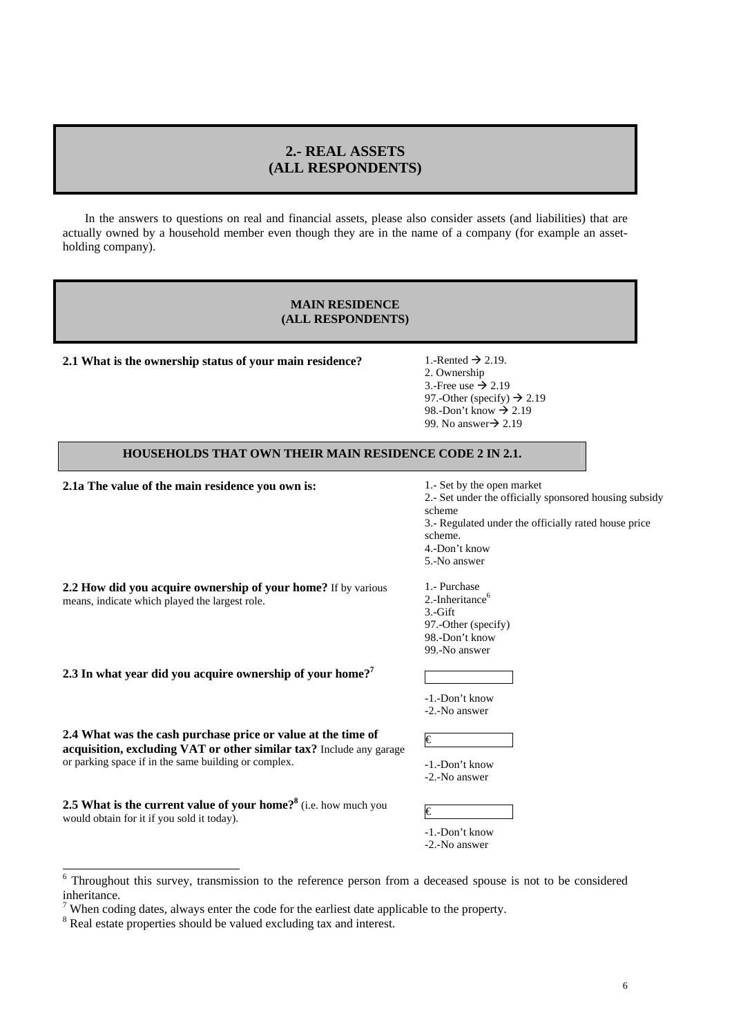# **2.- REAL ASSETS (ALL RESPONDENTS)**

In the answers to questions on real and financial assets, please also consider assets (and liabilities) that are actually owned by a household member even though they are in the name of a company (for example an assetholding company).

### **MAIN RESIDENCE (ALL RESPONDENTS)**

**2.1 What is the ownership status of your main residence?** 1.-Rented  $\rightarrow$  2.19.

2. Ownership 3.-Free use  $\rightarrow$  2.19 97.-Other (specify)  $\rightarrow$  2.19 98.-Don't know  $\rightarrow$  2.19 99. No answer $\rightarrow$  2.19

# **HOUSEHOLDS THAT OWN THEIR MAIN RESIDENCE CODE 2 IN 2.1.**

**2.1a The value of the main residence you own is:** 1.- Set by the open market

means, indicate which played the largest role.

2.- Set under the officially sponsored housing subsidy scheme 3.- Regulated under the officially rated house price scheme.

4.-Don't know 5.-No answer

**2.2 How did you acquire ownership of your home?** If by various 1.- Purchase 2.-Inheritance<sup>6</sup> 3.-Gift 97.-Other (specify) 98.-Don't know

**2.3 In what year did you acquire ownership of your home?7**

-1.-Don't know -2.-No answer

€

99.-No answer

**2.4 What was the cash purchase price or value at the time of acquisition, excluding VAT or other similar tax?** Include any garage or parking space if in the same building or complex.

| -1.-Don't know |
|----------------|
| -2.-No answer  |
|                |

**2.5 What is the current value of your home?**<sup>8</sup> (i.e. how much you would obtain for it if you sold it today).

| -1.-Don't know |
|----------------|
| -2.-No answer  |

<sup>&</sup>lt;sup>6</sup> Throughout this survey, transmission to the reference person from a deceased spouse is not to be considered inheritance.

When coding dates, always enter the code for the earliest date applicable to the property.

<sup>&</sup>lt;sup>8</sup> Real estate properties should be valued excluding tax and interest.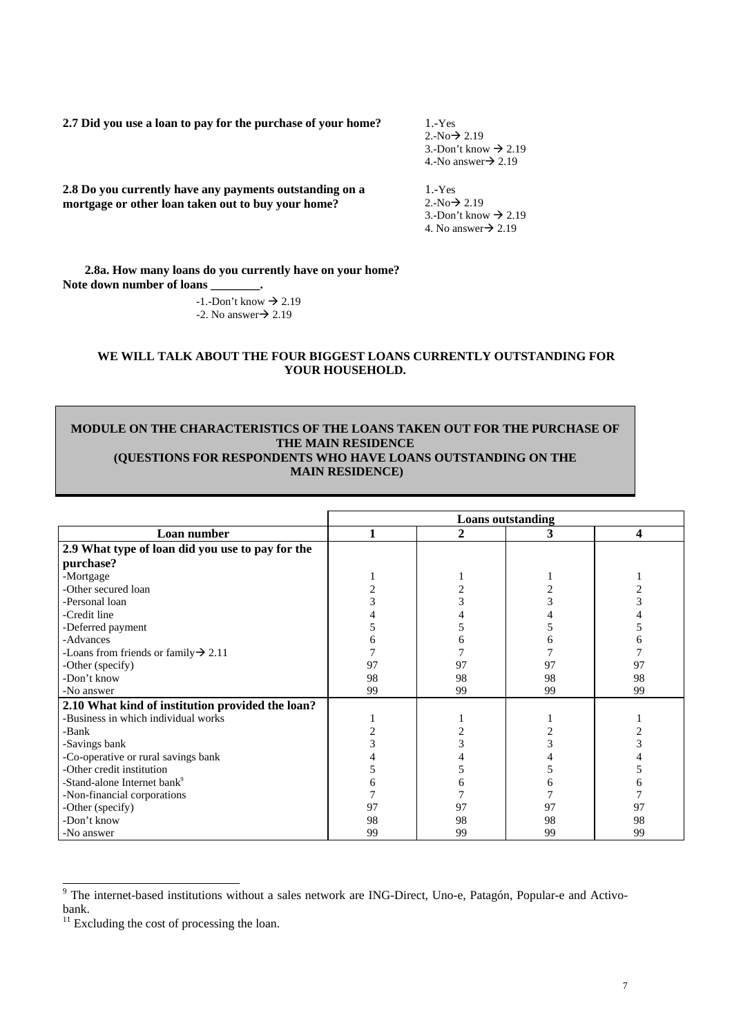**2.7 Did you use a loan to pay for the purchase of your home?** 1.-Yes

 $2.-No \rightarrow 2.19$ 3.-Don't know  $\rightarrow$  2.19 4.-No answer $\rightarrow$  2.19

**2.8 Do you currently have any payments outstanding on a mortgage or other loan taken out to buy your home?** 

1.-Yes  $2.-No \rightarrow 2.19$ 3.-Don't know  $\rightarrow$  2.19

4. No answer $\rightarrow$  2.19

**2.8a. How many loans do you currently have on your home? Note down number of loans \_\_\_\_\_\_\_\_.**

 $-1$ . -Don't know  $\rightarrow 2.19$  $-2$ . No answer $\rightarrow$  2.19

# **WE WILL TALK ABOUT THE FOUR BIGGEST LOANS CURRENTLY OUTSTANDING FOR YOUR HOUSEHOLD.**

# **MODULE ON THE CHARACTERISTICS OF THE LOANS TAKEN OUT FOR THE PURCHASE OF THE MAIN RESIDENCE (QUESTIONS FOR RESPONDENTS WHO HAVE LOANS OUTSTANDING ON THE MAIN RESIDENCE)**

|                                                  | <b>Loans</b> outstanding |              |    |    |
|--------------------------------------------------|--------------------------|--------------|----|----|
| Loan number                                      |                          | $\mathbf{2}$ | 3  | 4  |
| 2.9 What type of loan did you use to pay for the |                          |              |    |    |
| purchase?                                        |                          |              |    |    |
| -Mortgage                                        |                          |              |    |    |
| -Other secured loan                              |                          |              |    |    |
| -Personal loan                                   |                          | 3            |    |    |
| -Credit line                                     |                          |              |    |    |
| -Deferred payment                                |                          |              |    |    |
| -Advances                                        |                          | n            |    |    |
| -Loans from friends or family $\rightarrow$ 2.11 |                          |              |    |    |
| -Other (specify)                                 | 97                       | 97           | 97 | 97 |
| -Don't know                                      | 98                       | 98           | 98 | 98 |
| -No answer                                       | 99                       | 99           | 99 | 99 |
| 2.10 What kind of institution provided the loan? |                          |              |    |    |
| -Business in which individual works              |                          |              |    |    |
| -Bank                                            |                          |              |    |    |
| -Savings bank                                    |                          | 3            | 3  |    |
| -Co-operative or rural savings bank              |                          |              |    |    |
| -Other credit institution                        |                          |              |    |    |
| -Stand-alone Internet bank <sup>9</sup>          |                          |              | n  |    |
| -Non-financial corporations                      |                          |              |    |    |
| -Other (specify)                                 | 97                       | 97           | 97 | 97 |
| -Don't know                                      | 98                       | 98           | 98 | 98 |
| -No answer                                       | 99                       | 99           | 99 | 99 |

<sup>&</sup>lt;sup>9</sup> The internet-based institutions without a sales network are ING-Direct, Uno-e, Patagón, Popular-e and Activobank.

Excluding the cost of processing the loan.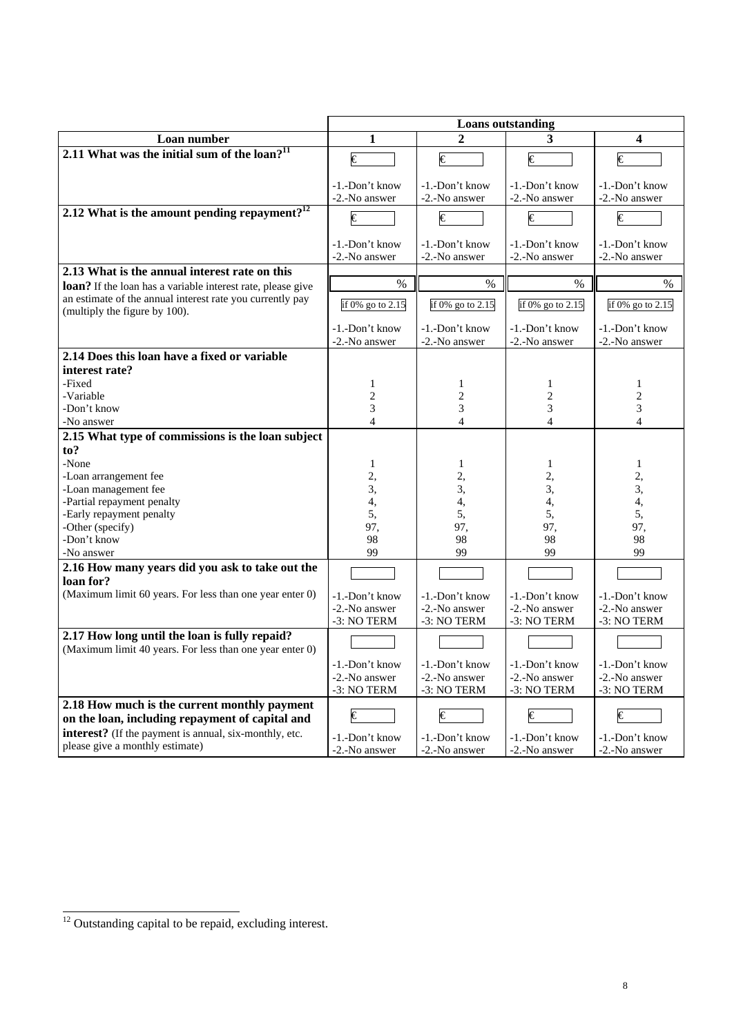|                                                              | <b>Loans</b> outstanding        |                                 |                                 |                                 |  |
|--------------------------------------------------------------|---------------------------------|---------------------------------|---------------------------------|---------------------------------|--|
| Loan number                                                  | 1                               | $\mathfrak{D}$                  | 3                               | 4                               |  |
| 2.11 What was the initial sum of the $\alpha$ <sup>11</sup>  |                                 |                                 |                                 |                                 |  |
|                                                              | €                               | $\overline{\epsilon}$           | $\epsilon$                      | $\overline{\epsilon}$           |  |
|                                                              | -1.-Don't know                  | -1.-Don't know                  | -1.-Don't know                  | -1.-Don't know                  |  |
|                                                              | -2.-No answer                   | -2.-No answer                   | -2.-No answer                   | -2.-No answer                   |  |
| 2.12 What is the amount pending repayment? $12$              |                                 |                                 |                                 |                                 |  |
|                                                              | $\overline{\epsilon}$           | €                               | $\epsilon$                      | $\overline{\epsilon}$           |  |
|                                                              | -1.-Don't know                  | -1.-Don't know                  | -1.-Don't know                  | -1.-Don't know                  |  |
|                                                              | -2.-No answer                   | -2.-No answer                   | -2.-No answer                   | -2.-No answer                   |  |
| 2.13 What is the annual interest rate on this                |                                 |                                 |                                 |                                 |  |
| loan? If the loan has a variable interest rate, please give  | $\%$                            | $\%$                            | $\frac{0}{0}$                   | $\frac{0}{0}$                   |  |
| an estimate of the annual interest rate you currently pay    | if 0% go to 2.15                | if 0% go to 2.15                | if 0% go to 2.15                | if 0% go to 2.15                |  |
| (multiply the figure by 100).                                |                                 |                                 |                                 |                                 |  |
|                                                              | -1.-Don't know                  | -1.-Don't know                  | -1.-Don't know                  | -1.-Don't know                  |  |
|                                                              | -2.-No answer                   | -2.-No answer                   | -2.-No answer                   | -2.-No answer                   |  |
| 2.14 Does this loan have a fixed or variable                 |                                 |                                 |                                 |                                 |  |
| interest rate?                                               |                                 |                                 |                                 |                                 |  |
| -Fixed                                                       | 1                               | 1                               | 1                               | 1                               |  |
| -Variable                                                    | $\overline{c}$                  | $\overline{2}$                  | $\overline{2}$                  | $\overline{2}$                  |  |
| -Don't know<br>-No answer                                    | 3<br>$\overline{4}$             | 3<br>$\overline{4}$             | 3<br>$\overline{4}$             | 3<br>$\overline{4}$             |  |
| 2.15 What type of commissions is the loan subject            |                                 |                                 |                                 |                                 |  |
| to?                                                          |                                 |                                 |                                 |                                 |  |
| -None                                                        | $\mathbf{1}$                    | $\mathbf{1}$                    | $\mathbf{1}$                    | $\mathbf{1}$                    |  |
| -Loan arrangement fee                                        | 2,                              | 2,                              | 2,                              | 2,                              |  |
| -Loan management fee                                         | 3,                              | 3,                              | 3,                              | 3,                              |  |
| -Partial repayment penalty                                   | 4,                              | 4,                              | 4,                              | 4,                              |  |
| -Early repayment penalty                                     | 5,                              | 5,                              | 5,                              | 5,                              |  |
| -Other (specify)                                             | 97,                             | 97,                             | 97,                             | 97,                             |  |
| -Don't know                                                  | 98                              | 98                              | 98                              | 98                              |  |
| -No answer                                                   | 99                              | 99                              | 99                              | 99                              |  |
| 2.16 How many years did you ask to take out the<br>loan for? |                                 |                                 |                                 |                                 |  |
| (Maximum limit 60 years. For less than one year enter 0)     |                                 |                                 |                                 |                                 |  |
|                                                              | -1.-Don't know<br>-2.-No answer | -1.-Don't know<br>-2.-No answer | -1.-Don't know<br>-2.-No answer | -1.-Don't know<br>-2.-No answer |  |
|                                                              | -3: NO TERM                     | -3: NO TERM                     | -3: NO TERM                     | -3: NO TERM                     |  |
| 2.17 How long until the loan is fully repaid?                |                                 |                                 |                                 |                                 |  |
| (Maximum limit 40 years. For less than one year enter 0)     |                                 |                                 |                                 |                                 |  |
|                                                              | -1.-Don't know                  | -1.-Don't know                  | -1.-Don't know                  | -1.-Don't know                  |  |
|                                                              | -2.-No answer                   | -2.-No answer                   | -2.-No answer                   | -2.-No answer                   |  |
|                                                              | -3: NO TERM                     | -3: NO TERM                     | -3: NO TERM                     | -3: NO TERM                     |  |
| 2.18 How much is the current monthly payment                 |                                 |                                 |                                 |                                 |  |
| on the loan, including repayment of capital and              | €                               | €                               | $\overline{\epsilon}$           | €                               |  |
| interest? (If the payment is annual, six-monthly, etc.       | -1.-Don't know                  | -1.-Don't know                  | -1.-Don't know                  | -1.-Don't know                  |  |
| please give a monthly estimate)                              | -2.-No answer                   | -2.-No answer                   | -2.-No answer                   | -2.-No answer                   |  |

 $\frac{12}{12}$  Outstanding capital to be repaid, excluding interest.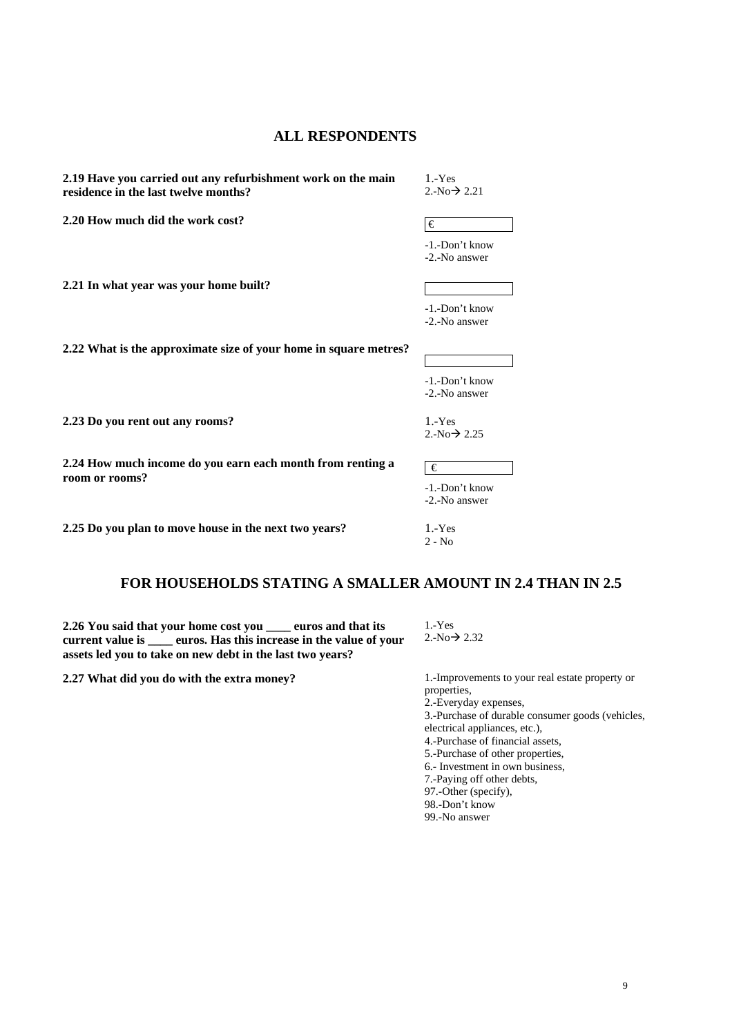# **ALL RESPONDENTS**

**2.19 Have you carried out any refurbishment work on the main residence in the last twelve months?** 

1.-Yes  $2.-No \rightarrow 2.21$ 

**2.20 How much did the work cost?**  $\qquad \qquad \qquad \qquad$ 

**2.21 In what year was your home built?** 

**2.22 What is the approximate size of your home in square metres?** 

**2.23 Do you rent out any rooms?** 1.-Yes

**2.24 How much income do you earn each month from renting a room or rooms?** 

**2.25 Do you plan to move house in the next two years?** 1.-Yes

# **FOR HOUSEHOLDS STATING A SMALLER AMOUNT IN 2.4 THAN IN 2.5**

**2.26 You said that your home cost you \_\_\_\_ euros and that its current value is \_\_\_\_ euros. Has this increase in the value of your assets led you to take on new debt in the last two years?** 

**2.27 What did you do with the extra money?** 1.-Improvements to your real estate property or

1.-Yes  $2.-No \rightarrow 2.32$ 

properties, 2.-Everyday expenses, 3.-Purchase of durable consumer goods (vehicles, electrical appliances, etc.), 4.-Purchase of financial assets, 5.-Purchase of other properties, 6.- Investment in own business, 7.-Paying off other debts, 97.-Other (specify), 98.-Don't know 99.-No answer

-1.-Don't know -2.-No answer

 $2.-No \rightarrow 2.25$ 

-1.-Don't know

-2.-No answer

2 - No

€

-1.-Don't know -2.-No answer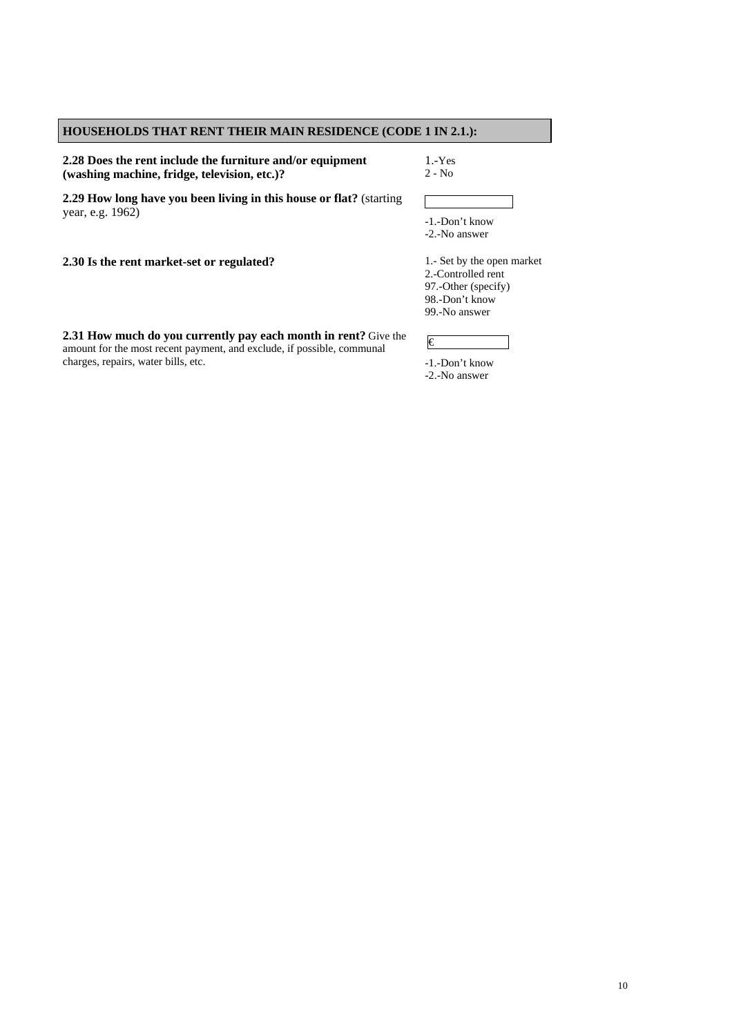# **HOUSEHOLDS THAT RENT THEIR MAIN RESIDENCE (CODE 1 IN 2.1.):**

**2.28 Does the rent include the furniture and/or equipment (washing machine, fridge, television, etc.)?**

1.-Yes 2 - No

**2.29 How long have you been living in this house or flat?** (starting year, e.g. 1962)

-1.-Don't know -2.-No answer

**2.30 Is the rent market-set or regulated?** 1.- Set by the open market

2.-Controlled rent 97.-Other (specify) 98.-Don't know 99.-No answer

**2.31 How much do you currently pay each month in rent?** Give the amount for the most recent payment, and exclude, if possible, communal charges, repairs, water bills, etc.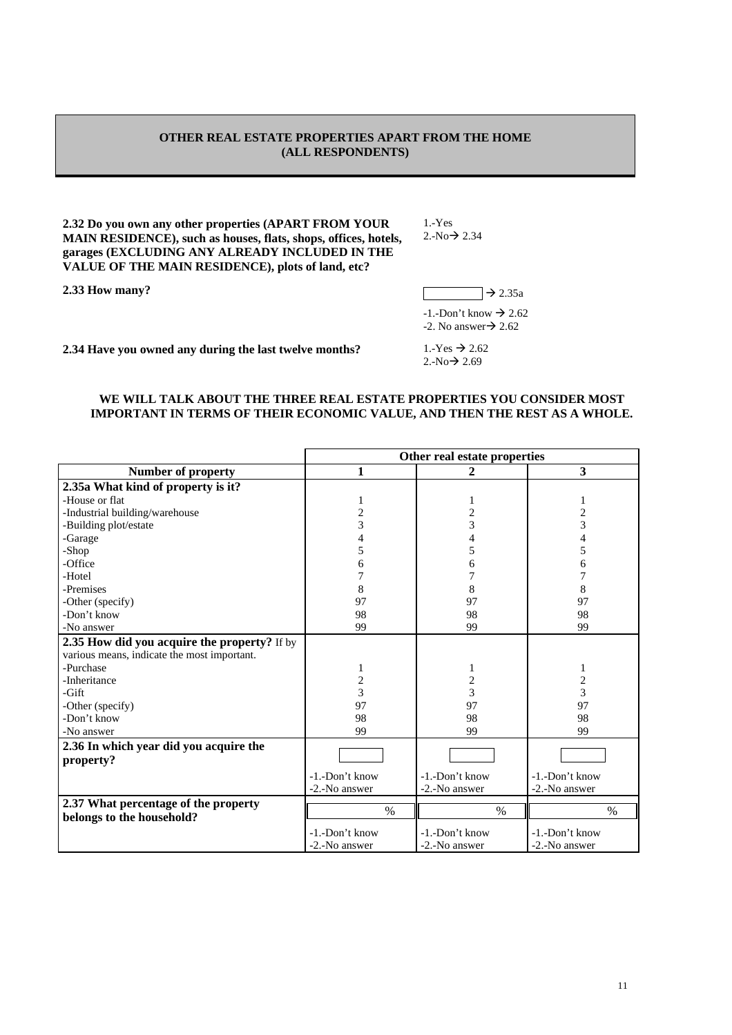# **OTHER REAL ESTATE PROPERTIES APART FROM THE HOME (ALL RESPONDENTS)**

**2.32 Do you own any other properties (APART FROM YOUR MAIN RESIDENCE), such as houses, flats, shops, offices, hotels, garages (EXCLUDING ANY ALREADY INCLUDED IN THE VALUE OF THE MAIN RESIDENCE), plots of land, etc?** 

**2.33 How many?**  $\rightarrow$  2.35a

1.-Yes  $2.-No \rightarrow 2.34$ 

 $-1.-$ Don't know  $\rightarrow$  2.62 -2. No answer $\rightarrow$  2.62

**2.34 Have you owned any during the last twelve months?** 1.-Yes  $\rightarrow$  2.62

 $2.-No \rightarrow 2.69$ 

### **WE WILL TALK ABOUT THE THREE REAL ESTATE PROPERTIES YOU CONSIDER MOST IMPORTANT IN TERMS OF THEIR ECONOMIC VALUE, AND THEN THE REST AS A WHOLE.**

|                                              | Other real estate properties |                |                |  |  |
|----------------------------------------------|------------------------------|----------------|----------------|--|--|
| <b>Number of property</b>                    | 1                            | $\overline{2}$ | 3              |  |  |
| 2.35a What kind of property is it?           |                              |                |                |  |  |
| -House or flat                               |                              |                |                |  |  |
| -Industrial building/warehouse               | 2                            | 2              | 2              |  |  |
| -Building plot/estate                        | 3                            | 3              | 3              |  |  |
| -Garage                                      | 4                            |                |                |  |  |
| -Shop                                        | 5                            | 5              | 5              |  |  |
| -Office                                      | 6                            | 6              | 6              |  |  |
| -Hotel                                       |                              |                | 7              |  |  |
| -Premises                                    | 8                            | 8              | 8              |  |  |
| -Other (specify)                             | 97                           | 97             | 97             |  |  |
| -Don't know                                  | 98                           | 98             | 98             |  |  |
| -No answer                                   | 99                           | 99             | 99             |  |  |
| 2.35 How did you acquire the property? If by |                              |                |                |  |  |
| various means, indicate the most important.  |                              |                |                |  |  |
| -Purchase                                    | 1                            | 1              | 1              |  |  |
| -Inheritance                                 | $\overline{\mathbf{c}}$      | 2              | $\overline{c}$ |  |  |
| $-Gift$                                      | 3                            | 3              | 3              |  |  |
| -Other (specify)                             | 97                           | 97             | 97             |  |  |
| -Don't know                                  | 98                           | 98             | 98             |  |  |
| -No answer                                   | 99                           | 99             | 99             |  |  |
| 2.36 In which year did you acquire the       |                              |                |                |  |  |
| property?                                    |                              |                |                |  |  |
|                                              | -1.-Don't know               | -1.-Don't know | -1.-Don't know |  |  |
|                                              | -2.-No answer                | -2.-No answer  | -2.-No answer  |  |  |
| 2.37 What percentage of the property         |                              |                |                |  |  |
| belongs to the household?                    | $\%$                         | $\%$           | $\%$           |  |  |
|                                              | -1.-Don't know               | -1.-Don't know | -1.-Don't know |  |  |
|                                              | -2.-No answer                | -2.-No answer  | -2.-No answer  |  |  |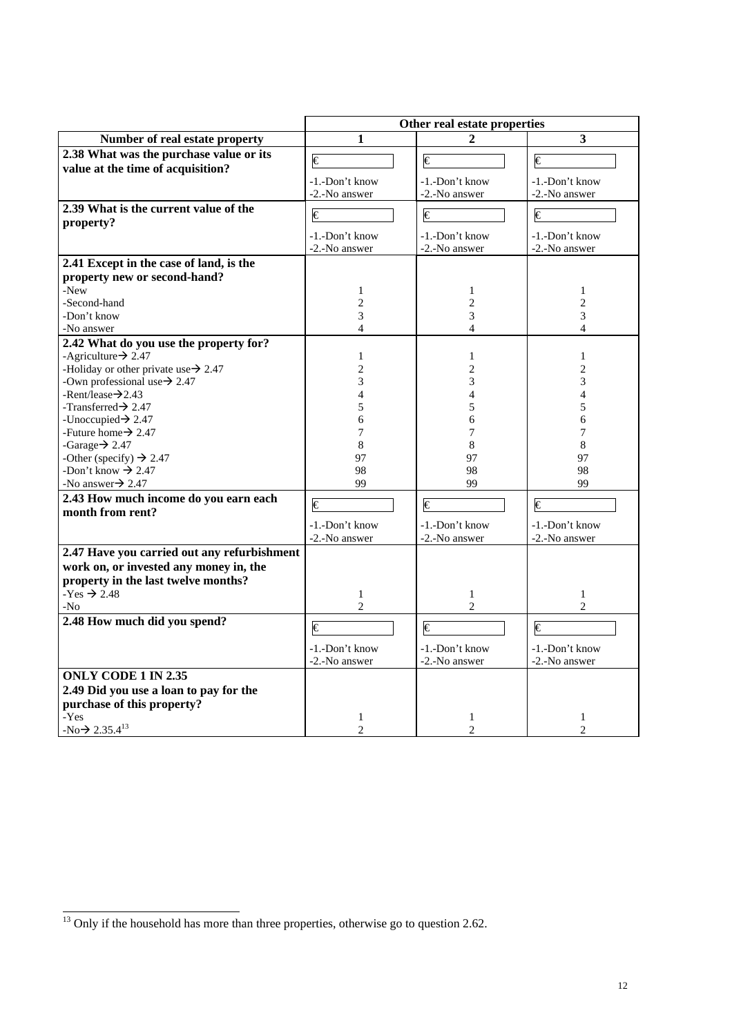|                                                                              | Other real estate properties |                       |                         |  |  |
|------------------------------------------------------------------------------|------------------------------|-----------------------|-------------------------|--|--|
| Number of real estate property                                               | 1                            | $\mathbf{2}$          | $\overline{\mathbf{3}}$ |  |  |
| 2.38 What was the purchase value or its<br>value at the time of acquisition? | €                            | €                     | €                       |  |  |
|                                                                              | -1.-Don't know               | -1.-Don't know        | -1.-Don't know          |  |  |
|                                                                              | -2.-No answer                | -2.-No answer         | -2.-No answer           |  |  |
| 2.39 What is the current value of the<br>property?                           | $\overline{\epsilon}$        | $\overline{\epsilon}$ | $\overline{\epsilon}$   |  |  |
|                                                                              | -1.-Don't know               | -1.-Don't know        | -1.-Don't know          |  |  |
|                                                                              | -2.-No answer                | -2.-No answer         | -2.-No answer           |  |  |
| 2.41 Except in the case of land, is the                                      |                              |                       |                         |  |  |
| property new or second-hand?                                                 |                              |                       |                         |  |  |
| -New                                                                         | 1                            | 1                     | 1                       |  |  |
| -Second-hand                                                                 | $\overline{c}$               | $\overline{c}$        | $\overline{2}$          |  |  |
| -Don't know                                                                  | 3                            | 3                     | 3                       |  |  |
| -No answer                                                                   | $\overline{\mathcal{L}}$     | $\overline{4}$        | 4                       |  |  |
| 2.42 What do you use the property for?                                       |                              |                       |                         |  |  |
| -Agriculture $\rightarrow$ 2.47                                              | 1                            | 1                     | $\mathbf{1}$            |  |  |
| -Holiday or other private use $\rightarrow$ 2.47                             | $\overline{c}$               | $\overline{c}$        | $\overline{c}$          |  |  |
| -Own professional use $\rightarrow$ 2.47                                     | 3                            | 3                     | 3                       |  |  |
| -Rent/lease $\rightarrow$ 2.43                                               | $\overline{4}$               | 4                     | $\overline{4}$          |  |  |
| -Transferred $\rightarrow$ 2.47                                              | 5                            | 5                     | 5                       |  |  |
| -Unoccupied $\rightarrow$ 2.47                                               | 6                            | 6                     | 6                       |  |  |
| -Future home $\rightarrow$ 2.47                                              | 7                            | 7                     | 7                       |  |  |
| -Garage $\rightarrow$ 2.47                                                   | 8                            | 8                     | 8                       |  |  |
| -Other (specify) $\rightarrow$ 2.47                                          | 97                           | 97                    | 97                      |  |  |
| -Don't know $\rightarrow$ 2.47                                               | 98                           | 98                    | 98                      |  |  |
| -No answer $\rightarrow$ 2.47                                                | 99                           | 99                    | 99                      |  |  |
| 2.43 How much income do you earn each                                        | €                            | €                     | €                       |  |  |
| month from rent?                                                             |                              |                       |                         |  |  |
|                                                                              | -1.-Don't know               | -1.-Don't know        | -1.-Don't know          |  |  |
|                                                                              | -2.-No answer                | -2.-No answer         | -2.-No answer           |  |  |
| 2.47 Have you carried out any refurbishment                                  |                              |                       |                         |  |  |
| work on, or invested any money in, the                                       |                              |                       |                         |  |  |
| property in the last twelve months?                                          |                              |                       |                         |  |  |
| $-Yes \rightarrow 2.48$                                                      | 1                            | $\mathbf{1}$          | 1                       |  |  |
| $-N0$                                                                        | $\overline{c}$               | $\overline{c}$        | $\overline{c}$          |  |  |
| 2.48 How much did you spend?                                                 | €                            | €                     | $\overline{\epsilon}$   |  |  |
|                                                                              |                              |                       |                         |  |  |
|                                                                              | -1.-Don't know               | -1.-Don't know        | -1.-Don't know          |  |  |
|                                                                              | -2.-No answer                | -2.-No answer         | -2.-No answer           |  |  |
| <b>ONLY CODE 1 IN 2.35</b>                                                   |                              |                       |                         |  |  |
| 2.49 Did you use a loan to pay for the                                       |                              |                       |                         |  |  |
| purchase of this property?                                                   |                              |                       |                         |  |  |
| -Yes                                                                         | 1                            | 1                     | 1                       |  |  |
| $-No \rightarrow 2.35.4^{13}$                                                | $\overline{c}$               | $\overline{2}$        | $\mathfrak{D}$          |  |  |

 $\frac{13}{13}$  Only if the household has more than three properties, otherwise go to question 2.62.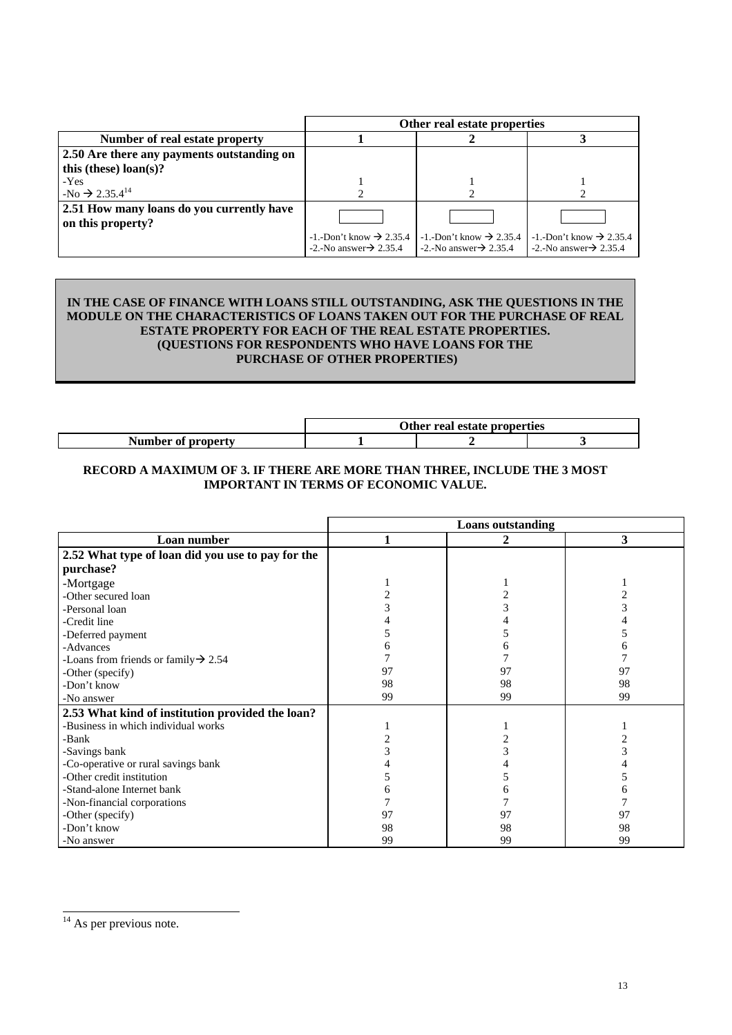|                                            | Other real estate properties                                                    |                                                                                 |                                                                                 |  |  |  |
|--------------------------------------------|---------------------------------------------------------------------------------|---------------------------------------------------------------------------------|---------------------------------------------------------------------------------|--|--|--|
| Number of real estate property             |                                                                                 |                                                                                 |                                                                                 |  |  |  |
| 2.50 Are there any payments outstanding on |                                                                                 |                                                                                 |                                                                                 |  |  |  |
| this (these) $\text{loan}(s)$ ?            |                                                                                 |                                                                                 |                                                                                 |  |  |  |
| -Yes                                       |                                                                                 |                                                                                 |                                                                                 |  |  |  |
| $-No \rightarrow 2.35.4^{14}$              |                                                                                 |                                                                                 |                                                                                 |  |  |  |
| 2.51 How many loans do you currently have  |                                                                                 |                                                                                 |                                                                                 |  |  |  |
| on this property?                          |                                                                                 |                                                                                 |                                                                                 |  |  |  |
|                                            | $-1$ . Don't know $\rightarrow$ 2.35.4<br>$-2$ . No answer $\rightarrow$ 2.35.4 | $-1$ . Don't know $\rightarrow$ 2.35.4<br>$-2$ . No answer $\rightarrow$ 2.35.4 | $-1$ . Don't know $\rightarrow$ 2.35.4<br>$-2$ . No answer $\rightarrow$ 2.35.4 |  |  |  |

# **IN THE CASE OF FINANCE WITH LOANS STILL OUTSTANDING, ASK THE QUESTIONS IN THE MODULE ON THE CHARACTERISTICS OF LOANS TAKEN OUT FOR THE PURCHASE OF REAL ESTATE PROPERTY FOR EACH OF THE REAL ESTATE PROPERTIES. (QUESTIONS FOR RESPONDENTS WHO HAVE LOANS FOR THE PURCHASE OF OTHER PROPERTIES)**

|                    | Other real estate properties |  |  |  |  |
|--------------------|------------------------------|--|--|--|--|
| Number of property |                              |  |  |  |  |

# **RECORD A MAXIMUM OF 3. IF THERE ARE MORE THAN THREE, INCLUDE THE 3 MOST IMPORTANT IN TERMS OF ECONOMIC VALUE.**

|                                                   | <b>Loans</b> outstanding |    |                |  |  |
|---------------------------------------------------|--------------------------|----|----------------|--|--|
| Loan number                                       |                          | 2  | 3              |  |  |
| 2.52 What type of loan did you use to pay for the |                          |    |                |  |  |
| purchase?                                         |                          |    |                |  |  |
| -Mortgage                                         |                          |    |                |  |  |
| -Other secured loan                               |                          |    | $\overline{c}$ |  |  |
| -Personal loan                                    |                          |    |                |  |  |
| -Credit line                                      |                          |    |                |  |  |
| -Deferred payment                                 |                          |    |                |  |  |
| -Advances                                         |                          |    |                |  |  |
| -Loans from friends or family $\rightarrow$ 2.54  |                          |    |                |  |  |
| -Other (specify)                                  | 97                       | 97 | 97             |  |  |
| -Don't know                                       | 98                       | 98 | 98             |  |  |
| -No answer                                        | 99                       | 99 | 99             |  |  |
| 2.53 What kind of institution provided the loan?  |                          |    |                |  |  |
| -Business in which individual works               |                          |    |                |  |  |
| -Bank                                             |                          |    |                |  |  |
| -Savings bank                                     |                          |    |                |  |  |
| -Co-operative or rural savings bank               |                          |    |                |  |  |
| -Other credit institution                         |                          |    |                |  |  |
| -Stand-alone Internet bank                        |                          |    |                |  |  |
| -Non-financial corporations                       |                          |    |                |  |  |
| -Other (specify)                                  | 97                       | 97 | 97             |  |  |
| -Don't know                                       | 98                       | 98 | 98             |  |  |
| -No answer                                        | 99                       | 99 | 99             |  |  |

 $14$  As per previous note.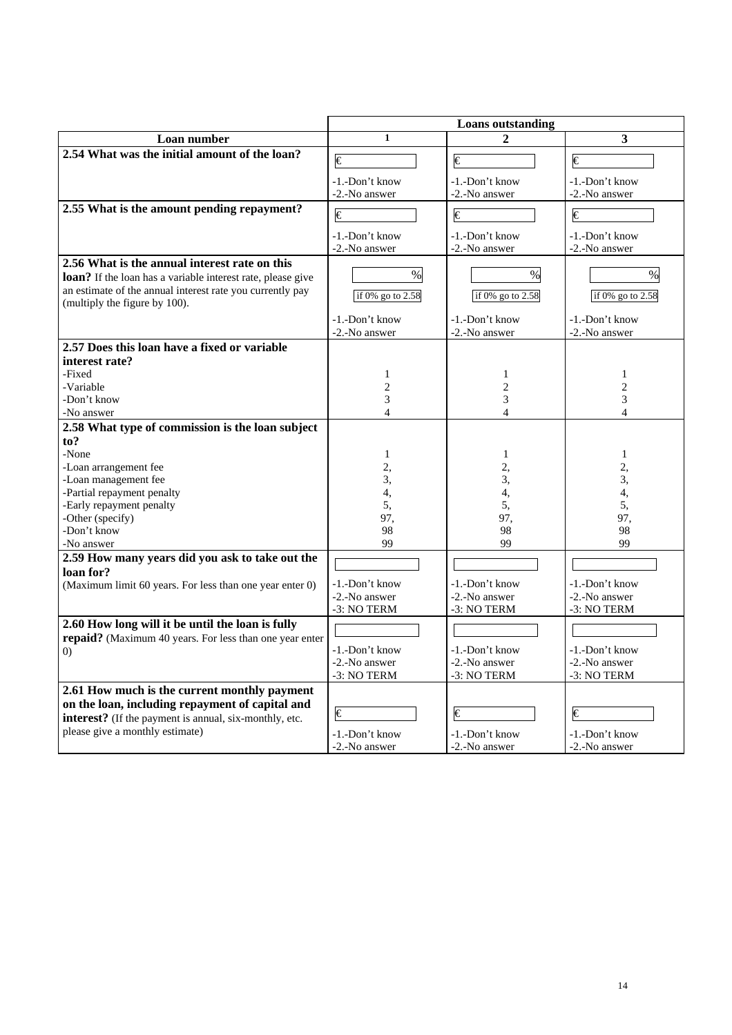|                                                                                            | Loans outstanding               |                                 |                                 |  |  |
|--------------------------------------------------------------------------------------------|---------------------------------|---------------------------------|---------------------------------|--|--|
| Loan number                                                                                | $\mathbf{1}$                    | $\mathbf{2}$                    | 3                               |  |  |
| 2.54 What was the initial amount of the loan?                                              | €                               | $\overline{\epsilon}$           | $\epsilon$                      |  |  |
|                                                                                            | -1.-Don't know<br>-2.-No answer | -1.-Don't know<br>-2.-No answer | -1.-Don't know<br>-2.-No answer |  |  |
| 2.55 What is the amount pending repayment?                                                 | $\overline{\epsilon}$           | $\overline{\epsilon}$           | $\overline{\epsilon}$           |  |  |
|                                                                                            | -1.-Don't know<br>-2.-No answer | -1.-Don't know<br>-2.-No answer | -1.-Don't know<br>-2.-No answer |  |  |
| 2.56 What is the annual interest rate on this                                              |                                 |                                 |                                 |  |  |
| <b>loan?</b> If the loan has a variable interest rate, please give                         | $\%$                            | $\%$                            | $\%$                            |  |  |
| an estimate of the annual interest rate you currently pay<br>(multiply the figure by 100). | if 0% go to 2.58                | if 0% go to 2.58                | if 0% go to 2.58                |  |  |
|                                                                                            | -1.-Don't know                  | -1.-Don't know                  | -1.-Don't know                  |  |  |
|                                                                                            | -2.-No answer                   | -2.-No answer                   | -2.-No answer                   |  |  |
| 2.57 Does this loan have a fixed or variable                                               |                                 |                                 |                                 |  |  |
| interest rate?                                                                             |                                 |                                 |                                 |  |  |
| -Fixed                                                                                     | 1                               | $\mathbf{1}$                    | $\mathbf{1}$                    |  |  |
| -Variable                                                                                  | $\overline{c}$<br>3             | $\overline{c}$                  | 2                               |  |  |
| -Don't know<br>-No answer                                                                  | $\overline{4}$                  | 3<br>$\overline{4}$             | 3<br>4                          |  |  |
| 2.58 What type of commission is the loan subject                                           |                                 |                                 |                                 |  |  |
| to?                                                                                        |                                 |                                 |                                 |  |  |
| -None                                                                                      | $\mathbf{1}$                    | $\mathbf{1}$                    | 1                               |  |  |
| -Loan arrangement fee                                                                      | 2,                              | 2,                              | 2,                              |  |  |
| -Loan management fee                                                                       | 3,                              | 3,                              | 3,                              |  |  |
| -Partial repayment penalty                                                                 | 4,                              | 4,                              | 4,                              |  |  |
| -Early repayment penalty                                                                   | 5,                              | 5,                              | 5,                              |  |  |
| -Other (specify)                                                                           | 97,                             | 97,                             | 97,                             |  |  |
| -Don't know                                                                                | 98                              | 98                              | 98                              |  |  |
| -No answer                                                                                 | 99                              | 99                              | 99                              |  |  |
| 2.59 How many years did you ask to take out the                                            |                                 |                                 |                                 |  |  |
| loan for?                                                                                  |                                 |                                 |                                 |  |  |
| (Maximum limit 60 years. For less than one year enter 0)                                   | -1.-Don't know                  | -1.-Don't know                  | -1.-Don't know                  |  |  |
|                                                                                            | -2.-No answer                   | -2.-No answer                   | -2.-No answer                   |  |  |
|                                                                                            | -3: NO TERM                     | -3: NO TERM                     | -3: NO TERM                     |  |  |
| 2.60 How long will it be until the loan is fully                                           |                                 |                                 |                                 |  |  |
| repaid? (Maximum 40 years. For less than one year enter                                    |                                 |                                 |                                 |  |  |
| $\left( 0\right)$                                                                          | -1.-Don't know                  | -1.-Don't know                  | -1.-Don't know                  |  |  |
|                                                                                            | -2.-No answer                   | -2.-No answer                   | -2.-No answer                   |  |  |
|                                                                                            | -3: NO TERM                     | -3: NO TERM                     | -3: NO TERM                     |  |  |
| 2.61 How much is the current monthly payment                                               |                                 |                                 |                                 |  |  |
| on the loan, including repayment of capital and                                            |                                 |                                 |                                 |  |  |
| interest? (If the payment is annual, six-monthly, etc.                                     | $\epsilon$                      | $\epsilon$                      | €                               |  |  |
| please give a monthly estimate)                                                            | -1.-Don't know                  | -1.-Don't know                  | -1.-Don't know                  |  |  |
|                                                                                            | -2.-No answer                   | -2.-No answer                   | -2.-No answer                   |  |  |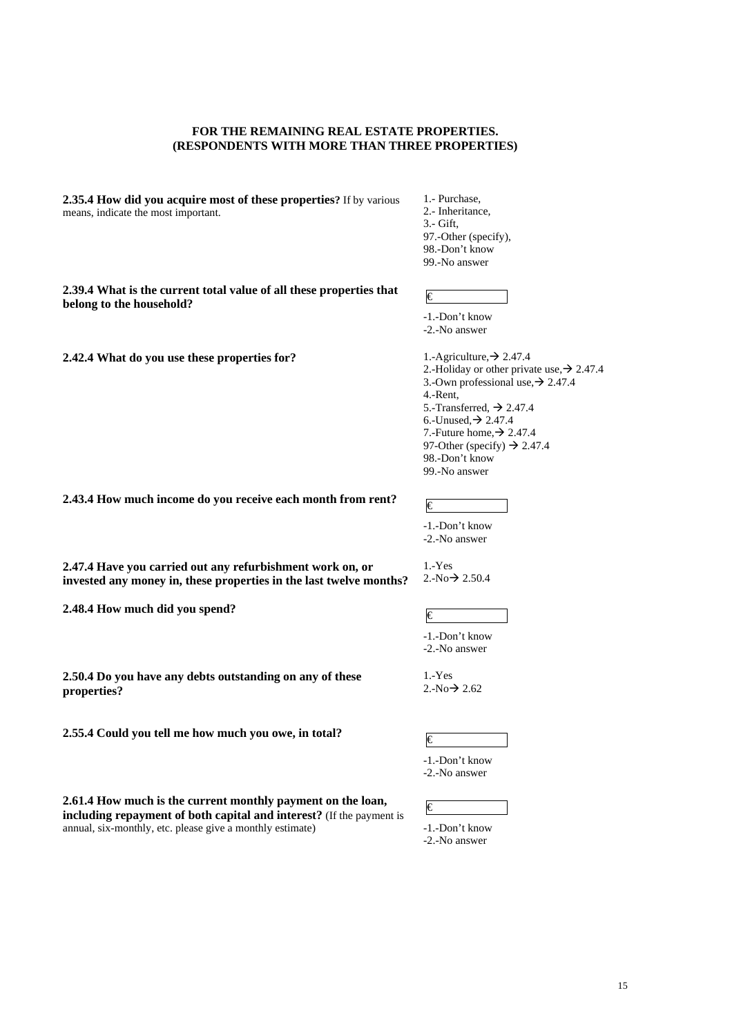### **FOR THE REMAINING REAL ESTATE PROPERTIES. (RESPONDENTS WITH MORE THAN THREE PROPERTIES)**

**2.35.4 How did you acquire most of these properties?** If by various means, indicate the most important.

1.- Purchase, 2.- Inheritance, 3.- Gift, 97.-Other (specify), 98.-Don't know 99.-No answer

**2.39.4 What is the current total value of all these properties that**  2.39.4 What is the current total value of an these properties that  $\epsilon$ 

**2.42.4 What do you use these properties for?**  $1.-$  Agriculture,  $\rightarrow$  2.47.4

-1.-Don't know -2.-No answer

-1.-Don't know -2.-No answer

-1.-Don't know -2.-No answer

1.-Yes  $2.-No \rightarrow 2.50.4$ 

2.-Holiday or other private use,  $\rightarrow$  2.47.4 3.-Own professional use,  $\rightarrow$  2.47.4 4.-Rent, 5.-Transferred,  $\rightarrow$  2.47.4 6.-Unused,  $\rightarrow$  2.47.4 7.-Future home,  $\rightarrow$  2.47.4 97-Other (specify)  $\rightarrow$  2.47.4 98.-Don't know 99.-No answer

**2.43.4 How much income do you receive each month from rent?**  $\qquad \qquad \in$ 

**2.47.4 Have you carried out any refurbishment work on, or invested any money in, these properties in the last twelve months?** 

**2.48.4 How much did you spend?**  $\in$ 

**2.50.4 Do you have any debts outstanding on any of these properties?** 

**2.55.4 Could you tell me how much you owe, in total?**  $\in$ 

1.-Yes  $2.-No \rightarrow 2.62$ 

-1.-Don't know

-2.-No answer

**2.61.4 How much is the current monthly payment on the loan, including repayment of both capital and interest?** (If the payment is annual, six-monthly, etc. please give a monthly estimate)

-1.-Don't know -2.-No answer

€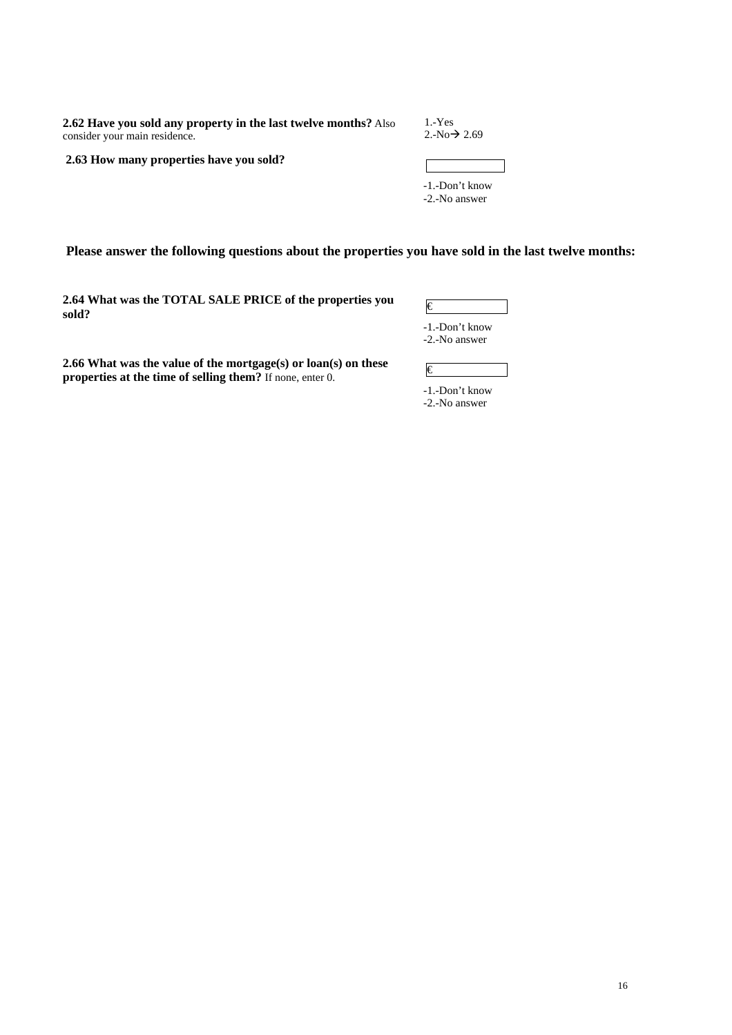**2.62 Have you sold any property in the last twelve months?** Also consider your main residence.

1.-Yes  $2.-No \rightarrow 2.69$ 

 **2.63 How many properties have you sold?** 

| -1.-Don't know |  |
|----------------|--|
| -2.-No answer  |  |

 **Please answer the following questions about the properties you have sold in the last twelve months:** 

**2.64 What was the TOTAL SALE PRICE of the properties you sold?** €

-1.-Don't know -2.-No answer

**2.66 What was the value of the mortgage(s) or loan(s) on these properties at the time of selling them?** If none, enter 0.

€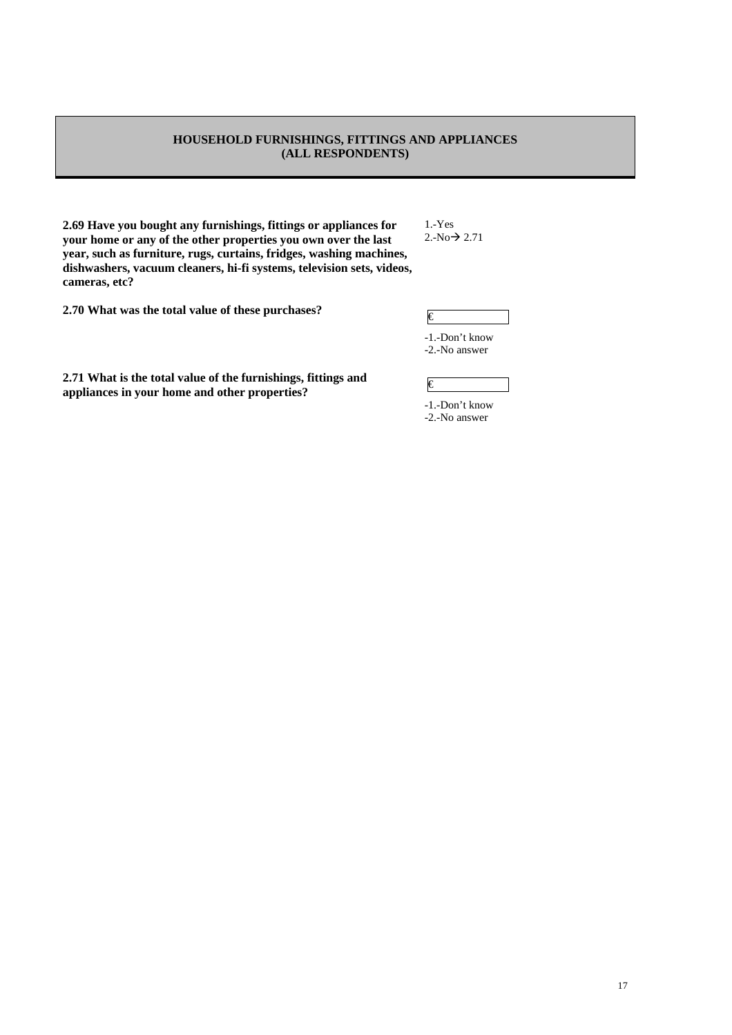### **HOUSEHOLD FURNISHINGS, FITTINGS AND APPLIANCES (ALL RESPONDENTS)**

**2.69 Have you bought any furnishings, fittings or appliances for your home or any of the other properties you own over the last year, such as furniture, rugs, curtains, fridges, washing machines, dishwashers, vacuum cleaners, hi-fi systems, television sets, videos, cameras, etc?** 

**2.70 What was the total value of these purchases?**  $\epsilon$ 

**2.71 What is the total value of the furnishings, fittings and 2.71 What is the total value of the furnishings, fittings and**  $\epsilon$  **appliances in your home and other properties?** 

1.-Yes  $2.-No \rightarrow 2.71$ 

-1.-Don't know

-2.-No answer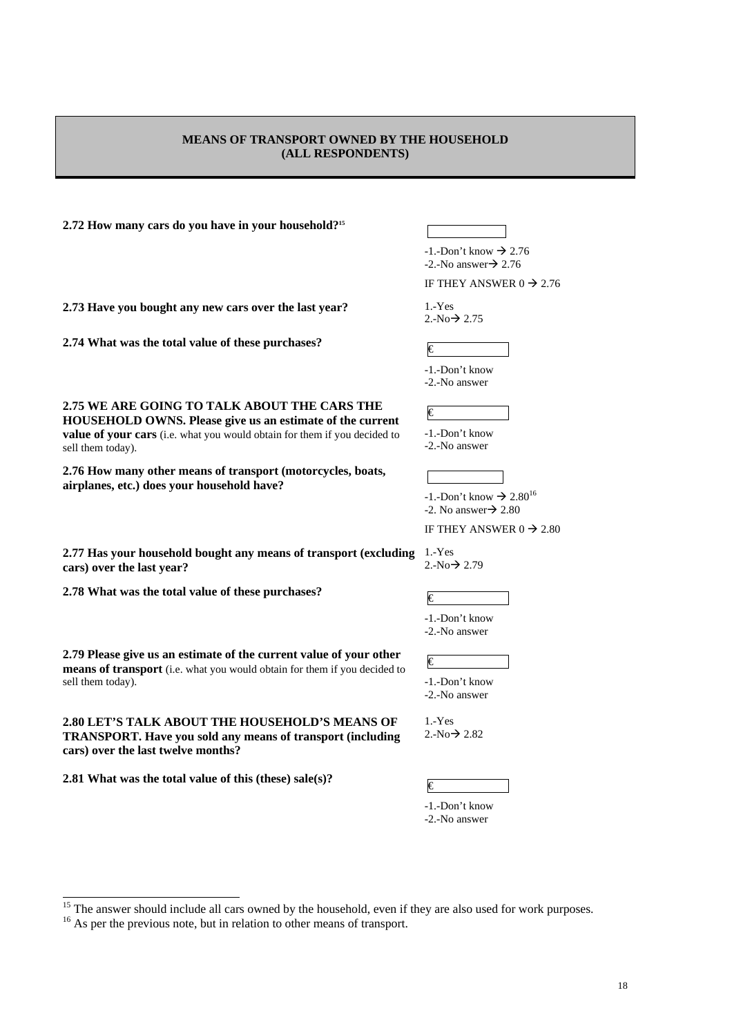### **MEANS OF TRANSPORT OWNED BY THE HOUSEHOLD (ALL RESPONDENTS)**

**2.72 How many cars do you have in your household?15**

**2.73 Have you bought any new cars over the last year?** 1.-Yes

**2.75 WE ARE GOING TO TALK ABOUT THE CARS THE HOUSEHOLD OWNS. Please give us an estimate of the current value of your cars** (i.e. what you would obtain for them if you decided to

**2.76 How many other means of transport (motorcycles, boats,** 

**2.74 What was the total value of these purchases?**  $\qquad \qquad \in \mathbb{C}$ 

**airplanes, etc.) does your household have?** 

sell them today).

**cars) over the last year?** 

  $-1$ . Don't know  $\rightarrow$  2.76  $-2$ . No answer $\rightarrow$  2.76

IF THEY ANSWER  $0 \rightarrow 2.76$ 

 $2. -No \rightarrow 2.75$ 

-1.-Don't know -2.-No answer

€

-1.-Don't know -2.-No answer

 $-1$ .-Don't know  $\rightarrow 2.80^{16}$  $-2$ . No answer $\rightarrow$  2.80

IF THEY ANSWER  $0 \rightarrow 2.80$ 

**2.77 Has your household bought any means of transport (excluding**  1.-Yes  $2.-No \rightarrow 2.79$ 

**2.78** What was the total value of these purchases?

**2.79 Please give us an estimate of the current value of your other means of transport** (i.e. what you would obtain for them if you decided to sell them today).

**2.80 LET'S TALK ABOUT THE HOUSEHOLD'S MEANS OF TRANSPORT. Have you sold any means of transport (including cars) over the last twelve months?** 

**2.81 What was the total value of this (these) sale(s)?**  $\qquad \qquad \qquad \qquad \qquad \qquad \qquad \qquad \qquad \qquad \qquad \qquad \qquad$ 

-1.-Don't know

-2.-No answer

 € -1.-Don't know -2.-No answer

1.-Yes  $2.-No \rightarrow 2.82$ 

<sup>&</sup>lt;sup>15</sup> The answer should include all cars owned by the household, even if they are also used for work purposes.  $\frac{16}{16}$  As per the previous note, but in relation to other means of transport.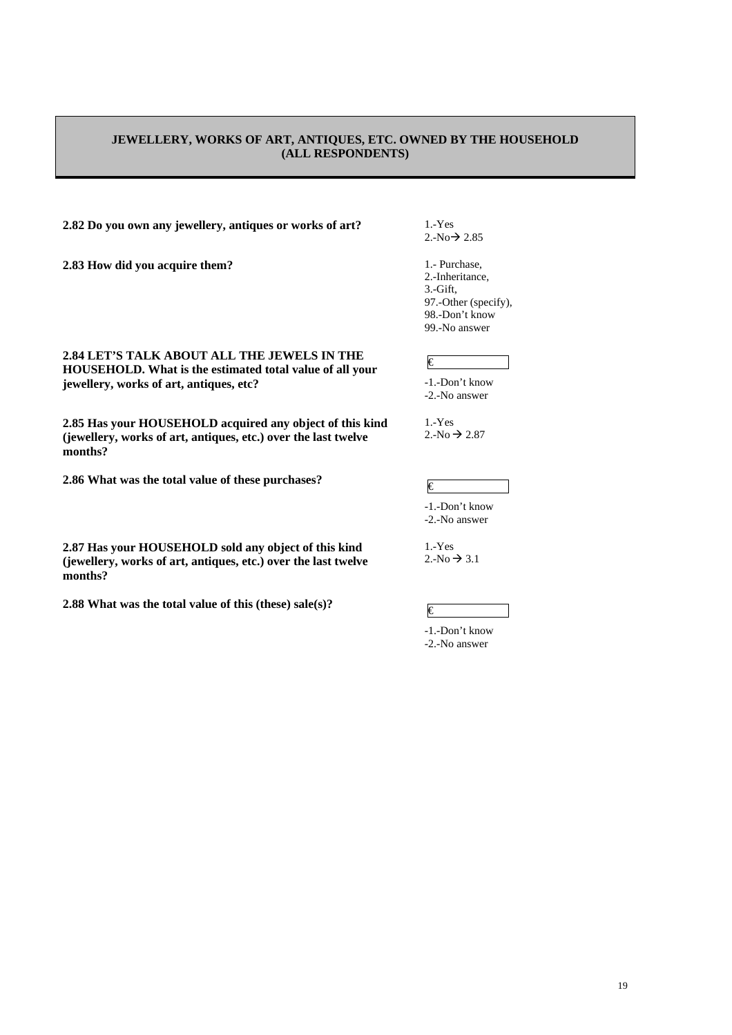### **JEWELLERY, WORKS OF ART, ANTIQUES, ETC. OWNED BY THE HOUSEHOLD (ALL RESPONDENTS)**

# **2.82 Do you own any jewellery, antiques or works of art?** 1.-Yes

**2.83 How did you acquire them?** 1.- Purchase,

 $2.-No \rightarrow 2.85$ 

2.-Inheritance, 3.-Gift, 97.-Other (specify), 98.-Don't know 99.-No answer

### €

-1.-Don't know -2.-No answer

1.-Yes  $2.-No \rightarrow 2.87$ 

-1.-Don't know -2.-No answer

1.-Yes  $2.-No \rightarrow 3.1$ 

-1.-Don't know -2.-No answer

### **2.84 LET'S TALK ABOUT ALL THE JEWELS IN THE HOUSEHOLD. What is the estimated total value of all your jewellery, works of art, antiques, etc?**

**2.85 Has your HOUSEHOLD acquired any object of this kind (jewellery, works of art, antiques, etc.) over the last twelve months?** 

**2.86 What was the total value of these purchases?**  $\epsilon$ 

**2.87 Has your HOUSEHOLD sold any object of this kind (jewellery, works of art, antiques, etc.) over the last twelve months?** 

**2.88 What was the total value of this (these) sale(s)?**  $\qquad \qquad \in \mathbb{C}$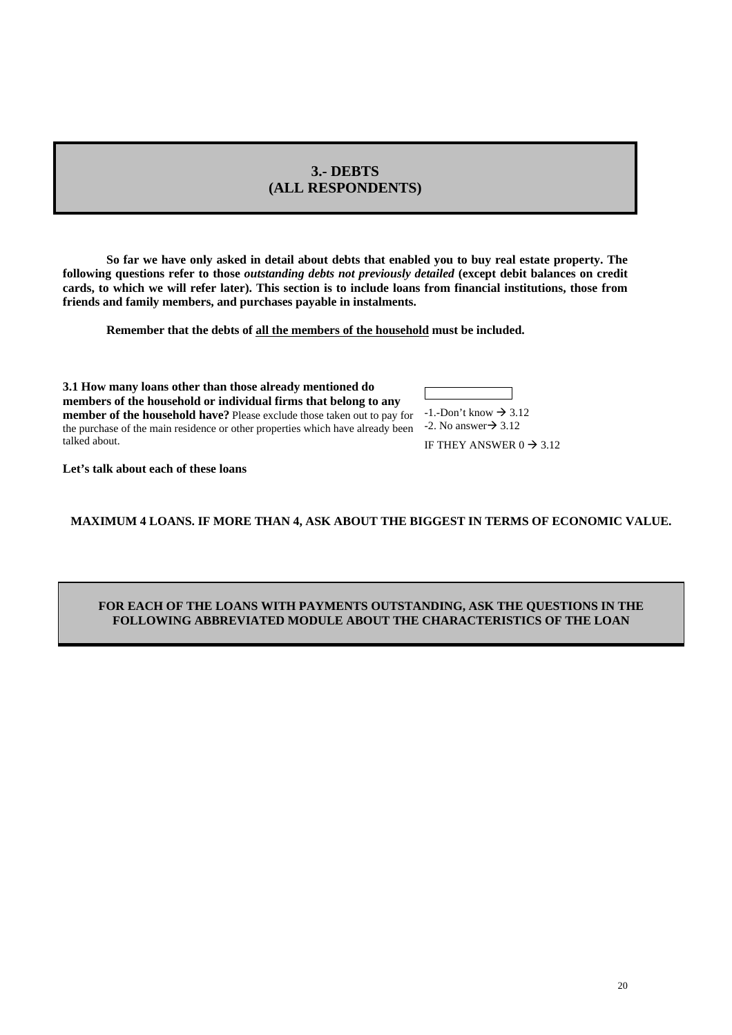# **3.- DEBTS (ALL RESPONDENTS)**

**So far we have only asked in detail about debts that enabled you to buy real estate property. The following questions refer to those** *outstanding debts not previously detailed* **(except debit balances on credit cards, to which we will refer later). This section is to include loans from financial institutions, those from friends and family members, and purchases payable in instalments.**

**Remember that the debts of all the members of the household must be included.** 

**3.1 How many loans other than those already mentioned do members of the household or individual firms that belong to any member of the household have?** Please exclude those taken out to pay for  $-1$ . Don't know  $\rightarrow 3.12$ the purchase of the main residence or other properties which have already been  $\rightarrow$  2. No answer  $\rightarrow$  3.12 talked about.

IF THEY ANSWER  $0 \rightarrow 3.12$ 

**Let's talk about each of these loans** 

# **MAXIMUM 4 LOANS. IF MORE THAN 4, ASK ABOUT THE BIGGEST IN TERMS OF ECONOMIC VALUE.**

### **FOR EACH OF THE LOANS WITH PAYMENTS OUTSTANDING, ASK THE QUESTIONS IN THE FOLLOWING ABBREVIATED MODULE ABOUT THE CHARACTERISTICS OF THE LOAN**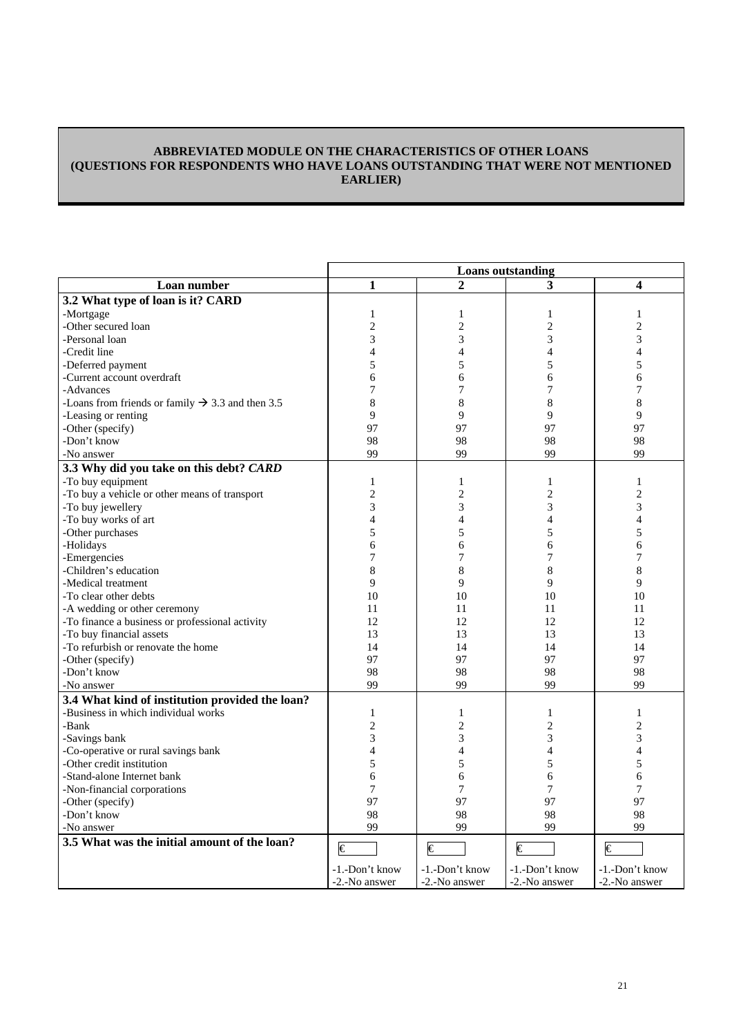## **ABBREVIATED MODULE ON THE CHARACTERISTICS OF OTHER LOANS (QUESTIONS FOR RESPONDENTS WHO HAVE LOANS OUTSTANDING THAT WERE NOT MENTIONED EARLIER)**

|                                                              | <b>Loans</b> outstanding |                          |                       |                          |
|--------------------------------------------------------------|--------------------------|--------------------------|-----------------------|--------------------------|
| Loan number                                                  | 1                        | $\overline{2}$           | 3                     | 4                        |
| 3.2 What type of loan is it? CARD                            |                          |                          |                       |                          |
| -Mortgage                                                    | $\mathbf{1}$             | 1                        | 1                     | $\mathbf{1}$             |
| -Other secured loan                                          | $\overline{2}$           | $\overline{2}$           | $\overline{2}$        | $\overline{c}$           |
| -Personal loan                                               | 3                        | $\overline{3}$           | 3                     | 3                        |
| -Credit line                                                 | $\overline{4}$           | $\overline{4}$           | $\overline{4}$        | $\overline{4}$           |
| -Deferred payment                                            | 5                        | 5                        | 5                     | 5                        |
| -Current account overdraft                                   | 6                        | 6                        | 6                     | 6                        |
| -Advances                                                    | 7                        | 7                        | 7                     | 7                        |
| -Loans from friends or family $\rightarrow$ 3.3 and then 3.5 | 8                        | 8                        | 8                     | 8                        |
| -Leasing or renting                                          | $\mathbf Q$              | 9                        | $\mathbf Q$           | $\mathbf Q$              |
|                                                              | 97                       | 97                       | 97                    | 97                       |
| -Other (specify)                                             |                          |                          |                       |                          |
| -Don't know                                                  | 98                       | 98                       | 98                    | 98                       |
| -No answer                                                   | 99                       | 99                       | 99                    | 99                       |
| 3.3 Why did you take on this debt? CARD                      |                          |                          |                       |                          |
| -To buy equipment                                            | $\mathbf{1}$             | 1                        | 1                     | $\mathbf{1}$             |
| -To buy a vehicle or other means of transport                | $\overline{c}$           | $\overline{2}$           | $\overline{c}$        | $\overline{c}$           |
| -To buy jewellery                                            | 3                        | 3                        | 3                     | 3                        |
| -To buy works of art                                         | $\overline{4}$           | $\overline{\mathcal{L}}$ | $\overline{4}$        | $\overline{\mathcal{L}}$ |
| -Other purchases                                             | 5                        | 5                        | 5                     | 5                        |
| -Holidays                                                    | 6                        | 6                        | 6                     | 6                        |
| -Emergencies                                                 | 7                        | $\overline{7}$           | 7                     | 7                        |
| -Children's education                                        | $\,$ 8 $\,$              | 8                        | 8                     | $\bf 8$                  |
| -Medical treatment                                           | 9                        | 9                        | 9                     | 9                        |
| -To clear other debts                                        | 10                       | 10                       | 10                    | 10                       |
| -A wedding or other ceremony                                 | 11                       | 11                       | 11                    | 11                       |
| -To finance a business or professional activity              | 12                       | 12                       | 12                    | 12                       |
| -To buy financial assets                                     | 13                       | 13                       | 13                    | 13                       |
| -To refurbish or renovate the home                           | 14                       | 14                       | 14                    | 14                       |
| -Other (specify)                                             | 97                       | 97                       | 97                    | 97                       |
| -Don't know                                                  | 98                       | 98                       | 98                    | 98                       |
| -No answer                                                   | 99                       | 99                       | 99                    | 99                       |
| 3.4 What kind of institution provided the loan?              |                          |                          |                       |                          |
| -Business in which individual works                          | 1                        | 1                        | 1                     | $\mathbf{1}$             |
|                                                              |                          |                          |                       |                          |
| -Bank                                                        | $\overline{2}$           | $\overline{2}$           | $\mathbf{2}$          | $\overline{c}$           |
| -Savings bank                                                | 3                        | 3                        | 3                     | 3                        |
| -Co-operative or rural savings bank                          | $\overline{4}$           | $\overline{4}$           | $\overline{4}$        | $\overline{4}$           |
| -Other credit institution                                    | 5                        | 5                        | 5                     | 5                        |
| -Stand-alone Internet bank                                   | 6                        | 6                        | 6                     | 6                        |
| -Non-financial corporations                                  | 7                        | 7                        | 7                     | 7                        |
| -Other (specify)                                             | 97                       | 97                       | 97                    | 97                       |
| -Don't know                                                  | 98                       | 98                       | 98                    | 98                       |
| -No answer                                                   | 99                       | 99                       | 99                    | 99                       |
| 3.5 What was the initial amount of the loan?                 | $\epsilon$               | $\in$                    | $\overline{\epsilon}$ | $\overline{\epsilon}$    |
|                                                              | -1.-Don't know           | -1.-Don't know           | -1.-Don't know        | -1.-Don't know           |
|                                                              | -2.-No answer            | -2.-No answer            | -2.-No answer         | -2.-No answer            |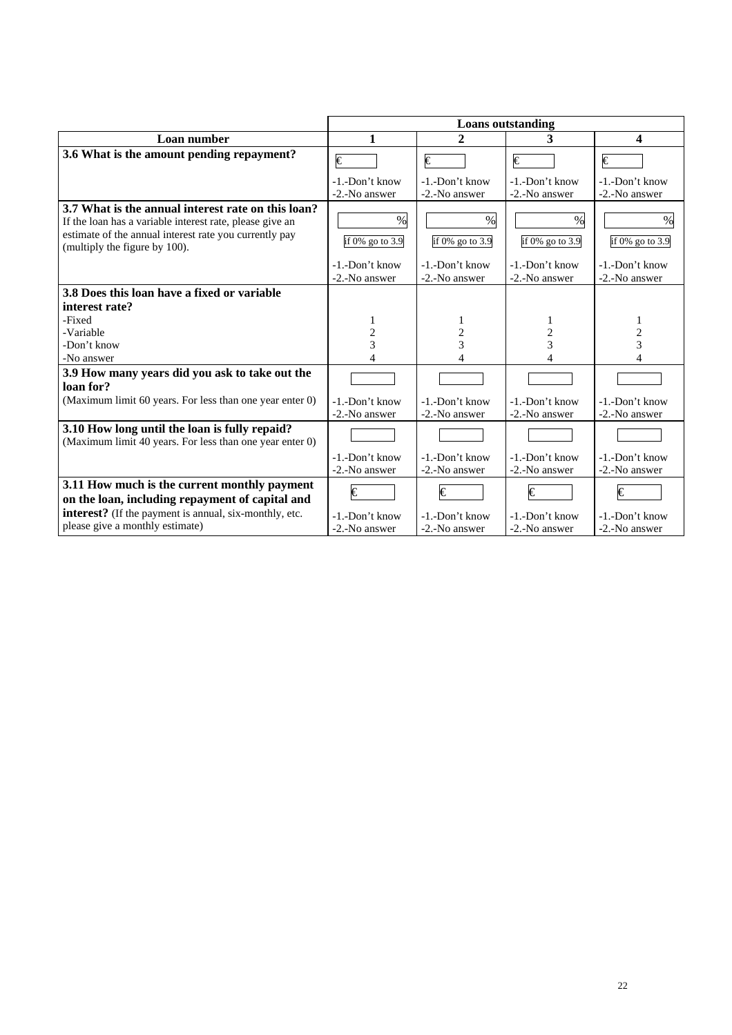|                                                                                                                                                                                                           | <b>Loans</b> outstanding            |                                     |                                     |                                  |
|-----------------------------------------------------------------------------------------------------------------------------------------------------------------------------------------------------------|-------------------------------------|-------------------------------------|-------------------------------------|----------------------------------|
| Loan number                                                                                                                                                                                               | 1                                   | 2                                   | 3                                   | 4                                |
| 3.6 What is the amount pending repayment?                                                                                                                                                                 | €                                   | €                                   | €                                   | €                                |
|                                                                                                                                                                                                           | $-1$ $-Don't$ know<br>-2.-No answer | $-1$ $-Don't$ know<br>-2.-No answer | $-1$ $-Don't$ know<br>-2.-No answer | -1.-Don't know<br>-2.-No answer  |
| 3.7 What is the annual interest rate on this loan?<br>If the loan has a variable interest rate, please give an<br>estimate of the annual interest rate you currently pay<br>(multiply the figure by 100). | $\%$<br>if 0% go to 3.9             | $\%$<br>if 0% go to 3.9             | %<br>if 0% go to 3.9                | $\frac{0}{0}$<br>if 0% go to 3.9 |
|                                                                                                                                                                                                           | -1.-Don't know<br>-2.-No answer     | -1.-Don't know<br>-2.-No answer     | -1.-Don't know<br>-2.-No answer     | -1.-Don't know<br>-2.-No answer  |
| 3.8 Does this loan have a fixed or variable                                                                                                                                                               |                                     |                                     |                                     |                                  |
| interest rate?                                                                                                                                                                                            |                                     |                                     |                                     |                                  |
| -Fixed                                                                                                                                                                                                    |                                     |                                     |                                     | 1                                |
| -Variable                                                                                                                                                                                                 | 2                                   |                                     | 2                                   | 2                                |
| -Don't know                                                                                                                                                                                               | 3                                   | 3                                   | 3                                   | 3                                |
| -No answer                                                                                                                                                                                                |                                     | Δ                                   | 4                                   |                                  |
| 3.9 How many years did you ask to take out the                                                                                                                                                            |                                     |                                     |                                     |                                  |
| loan for?                                                                                                                                                                                                 |                                     |                                     |                                     |                                  |
| (Maximum limit 60 years. For less than one year enter 0)                                                                                                                                                  | -1.-Don't know                      | -1.-Don't know                      | -1.-Don't know                      | -1.-Don't know                   |
|                                                                                                                                                                                                           | -2.-No answer                       | -2.-No answer                       | -2.-No answer                       | -2.-No answer                    |
| 3.10 How long until the loan is fully repaid?<br>(Maximum limit 40 years. For less than one year enter 0)                                                                                                 |                                     |                                     |                                     |                                  |
|                                                                                                                                                                                                           | -1.-Don't know<br>-2.-No answer     | -1.-Don't know<br>-2.-No answer     | -1.-Don't know<br>-2.-No answer     | -1.-Don't know<br>-2.-No answer  |
| 3.11 How much is the current monthly payment                                                                                                                                                              | €                                   | €                                   | €                                   | €                                |
| on the loan, including repayment of capital and                                                                                                                                                           |                                     |                                     |                                     |                                  |
| interest? (If the payment is annual, six-monthly, etc.                                                                                                                                                    | -1.-Don't know                      | -1.-Don't know                      | -1.-Don't know                      | -1.-Don't know                   |
| please give a monthly estimate)                                                                                                                                                                           | -2.-No answer                       | -2.-No answer                       | -2.-No answer                       | -2.-No answer                    |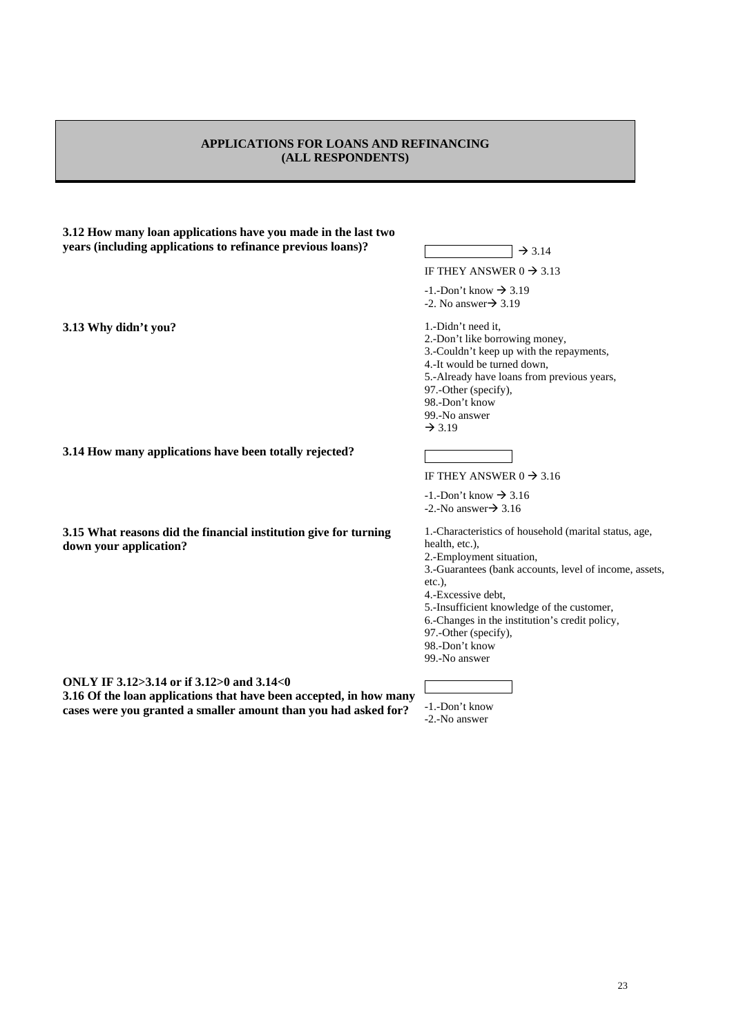# **APPLICATIONS FOR LOANS AND REFINANCING (ALL RESPONDENTS)**

| 3.12 How many loan applications have you made in the last two |                    |
|---------------------------------------------------------------|--------------------|
| years (including applications to refinance previous loans)?   | $\rightarrow$ 3.14 |

**3.13 Why didn't you? 1.-Didn't need it,** 

IF THEY ANSWER  $0 \rightarrow 3.13$ 

 $-1$ . Don't know  $\rightarrow$  3.19  $-2$ . No answer $\rightarrow$  3.19

2.-Don't like borrowing money, 3.-Couldn't keep up with the repayments, 4.-It would be turned down, 5.-Already have loans from previous years, 97.-Other (specify), 98.-Don't know 99.-No answer  $\rightarrow$  3.19

**3.14 How many applications have been totally rejected?** 

**3.15 What reasons did the financial institution give for turning down your application?** 

**ONLY IF 3.12>3.14 or if 3.12>0 and 3.14<0** 

**3.16 Of the loan applications that have been accepted, in how many cases were you granted a smaller amount than you had asked for?** 

IF THEY ANSWER  $0 \rightarrow 3.16$ 

 $-1.-$ Don't know  $\rightarrow 3.16$  $-2.-No answer \rightarrow 3.16$ 

1.-Characteristics of household (marital status, age, health, etc.), 2.-Employment situation,

3.-Guarantees (bank accounts, level of income, assets,

etc.),

4.-Excessive debt,

5.-Insufficient knowledge of the customer,

6.-Changes in the institution's credit policy,

97.-Other (specify),

98.-Don't know 99.-No answer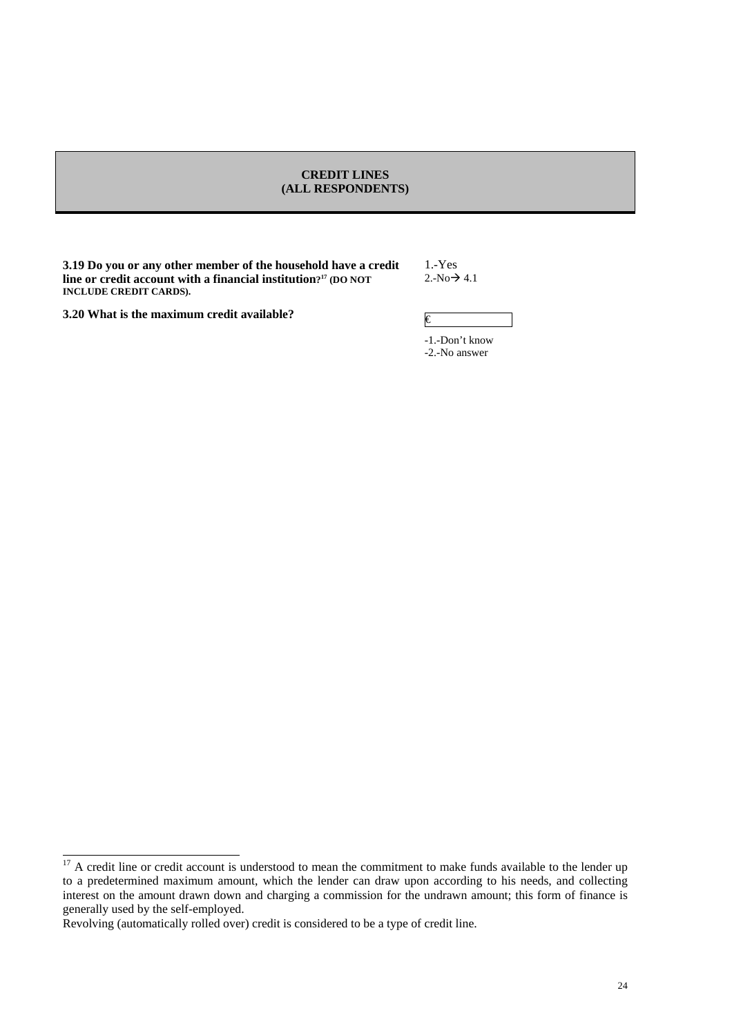### **CREDIT LINES (ALL RESPONDENTS)**

**3.19 Do you or any other member of the household have a credit line or credit account with a financial institution?17 (DO NOT INCLUDE CREDIT CARDS).**

1.-Yes  $2.-No \rightarrow 4.1$ 

|  | 3.20 What is the maximum credit available? |  |
|--|--------------------------------------------|--|
|  |                                            |  |

<sup>&</sup>lt;sup>17</sup> A credit line or credit account is understood to mean the commitment to make funds available to the lender up to a predetermined maximum amount, which the lender can draw upon according to his needs, and collecting interest on the amount drawn down and charging a commission for the undrawn amount; this form of finance is generally used by the self-employed.

Revolving (automatically rolled over) credit is considered to be a type of credit line.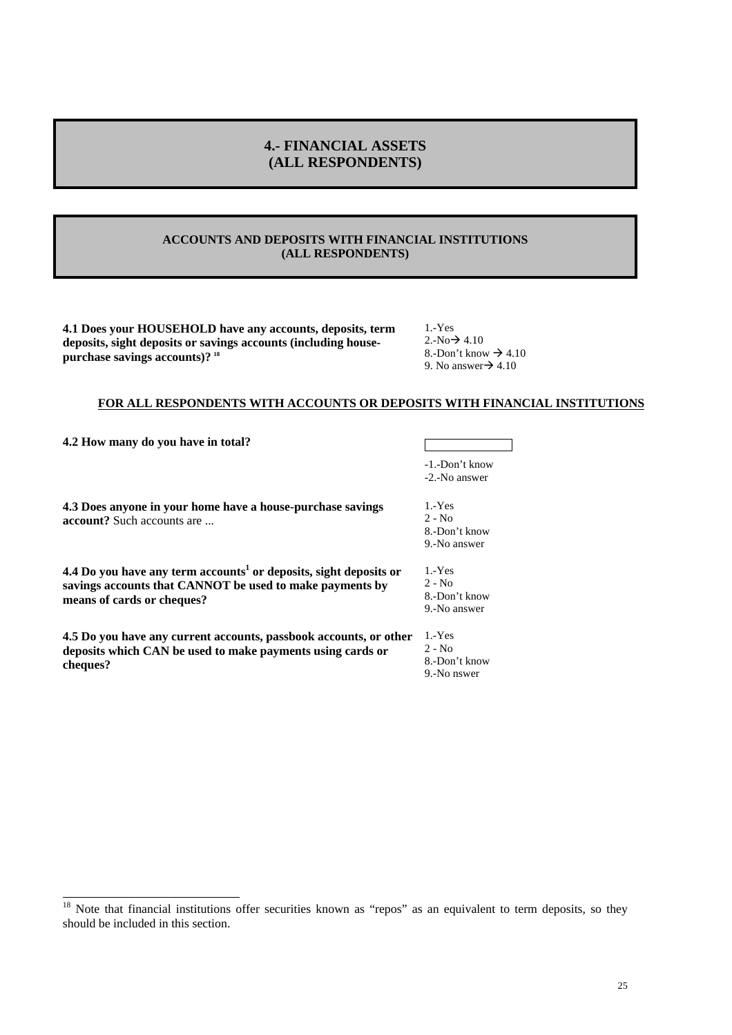# **4.- FINANCIAL ASSETS (ALL RESPONDENTS)**

# **ACCOUNTS AND DEPOSITS WITH FINANCIAL INSTITUTIONS (ALL RESPONDENTS)**

**4.1 Does your HOUSEHOLD have any accounts, deposits, term deposits, sight deposits or savings accounts (including housepurchase savings accounts)? <sup>18</sup>**

1.-Yes  $2.-No \rightarrow 4.10$ 8.-Don't know  $\rightarrow$  4.10 9. No answer $\rightarrow$  4.10

### **FOR ALL RESPONDENTS WITH ACCOUNTS OR DEPOSITS WITH FINANCIAL INSTITUTIONS**

**4.2 How many do you have in total?**

| -1.-Don't know |  |
|----------------|--|
|                |  |

-2.-No answer

**4.3 Does anyone in your home have a house-purchase savings account?** Such accounts are ...

**4.4 Do you have any term accounts<sup>1</sup> or deposits, sight deposits or savings accounts that CANNOT be used to make payments by means of cards or cheques?** 

**4.5 Do you have any current accounts, passbook accounts, or other**  1.-Yes **deposits which CAN be used to make payments using cards or cheques?** 

1.-Yes 2 - No 8.-Don't know 9.-No answer

1.-Yes 2 - No 8.-Don't know 9.-No answer

2 - No 8.-Don't know 9.-No nswer

<sup>&</sup>lt;sup>18</sup> Note that financial institutions offer securities known as "repos" as an equivalent to term deposits, so they should be included in this section.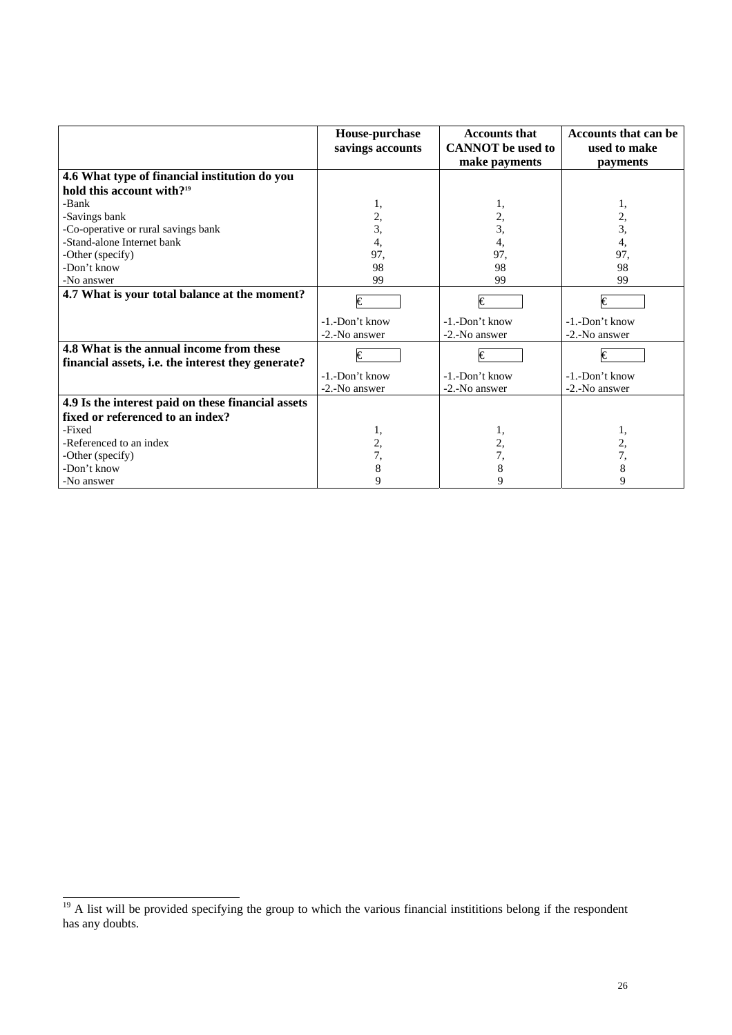|                                                                                                | House-purchase<br>savings accounts | <b>Accounts that</b><br><b>CANNOT</b> be used to | Accounts that can be<br>used to make |  |
|------------------------------------------------------------------------------------------------|------------------------------------|--------------------------------------------------|--------------------------------------|--|
|                                                                                                |                                    | make payments                                    | payments                             |  |
| 4.6 What type of financial institution do you                                                  |                                    |                                                  |                                      |  |
| hold this account with? <sup>19</sup>                                                          |                                    |                                                  |                                      |  |
| -Bank                                                                                          | 1,                                 | 1,                                               | 1,                                   |  |
| -Savings bank                                                                                  | 2,                                 | 2,                                               | 2,                                   |  |
| -Co-operative or rural savings bank                                                            | 3,                                 | 3,                                               | 3,                                   |  |
| -Stand-alone Internet bank                                                                     | 4,                                 | 4,                                               | 4,                                   |  |
| -Other (specify)                                                                               | 97,                                | 97,                                              | 97,                                  |  |
| -Don't know                                                                                    | 98                                 | 98                                               | 98                                   |  |
| -No answer                                                                                     | 99                                 | 99                                               | 99                                   |  |
| 4.7 What is your total balance at the moment?                                                  | $\overline{\epsilon}$              | $\overline{\epsilon}$                            | $\epsilon$                           |  |
|                                                                                                | -1.-Don't know                     | -1.-Don't know                                   | -1.-Don't know                       |  |
|                                                                                                | -2.-No answer                      | -2.-No answer                                    | -2.-No answer                        |  |
| 4.8 What is the annual income from these<br>financial assets, i.e. the interest they generate? | €                                  | I€                                               | $\epsilon$                           |  |
|                                                                                                | -1.-Don't know                     | -1.-Don't know                                   | -1.-Don't know                       |  |
|                                                                                                | -2.-No answer                      | -2.-No answer                                    | -2.-No answer                        |  |
| 4.9 Is the interest paid on these financial assets                                             |                                    |                                                  |                                      |  |
| fixed or referenced to an index?                                                               |                                    |                                                  |                                      |  |
| -Fixed                                                                                         | 1,                                 | 1,                                               | 1,                                   |  |
| -Referenced to an index                                                                        | 2,                                 | 2,                                               | 2,                                   |  |
| -Other (specify)                                                                               | 7,                                 | 7,                                               | 7,                                   |  |
| -Don't know                                                                                    | 8                                  | 8                                                | 8                                    |  |
| -No answer                                                                                     | 9                                  | 9                                                | 9                                    |  |

 $\frac{19}{19}$  A list will be provided specifying the group to which the various financial instititions belong if the respondent has any doubts.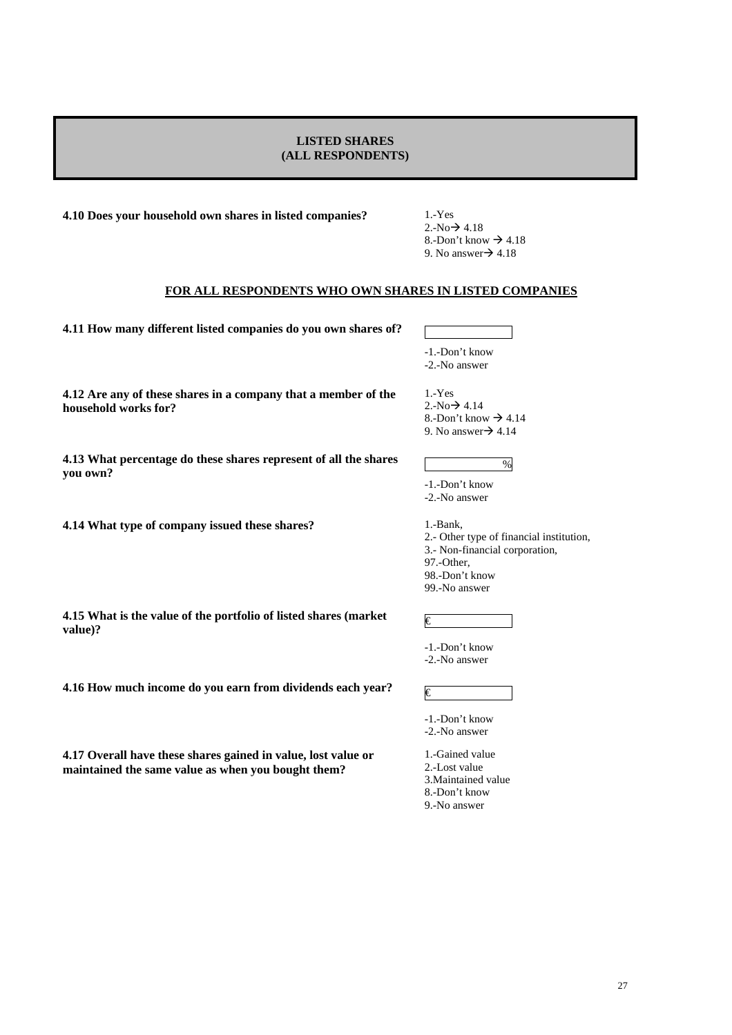### **LISTED SHARES (ALL RESPONDENTS)**

**4.10 Does your household own shares in listed companies?** 1.-Yes

 $2.-No \rightarrow 4.18$ 8.-Don't know  $\rightarrow$  4.18 9. No answer $\rightarrow$  4.18

### **FOR ALL RESPONDENTS WHO OWN SHARES IN LISTED COMPANIES**

**4.11 How many different listed companies do you own shares of?** 

-1.-Don't know -2.-No answer

**4.12 Are any of these shares in a company that a member of the household works for?** 

**4.13 What percentage do these shares represent of all the shares you own?** 

**4.14 What type of company issued these shares?** 1.-Bank,

**value)?** 

**4.15 What is the value of the portfolio of listed shares (market** 

**4.16 How much income do you earn from dividends each year?**  $\varepsilon$ 

**4.17 Overall have these shares gained in value, lost value or maintained the same value as when you bought them?** 

1.-Yes  $2.-No \rightarrow 4.14$ 8.-Don't know  $\rightarrow$  4.14 9. No answer $\rightarrow$  4.14

-1.-Don't know -2.-No answer

2.- Other type of financial institution, 3.- Non-financial corporation, 97.-Other, 98.-Don't know 99.-No answer

%

-1.-Don't know

€

-2.-No answer

-1.-Don't know -2.-No answer

1.-Gained value 2.-Lost value 3.Maintained value

8.-Don't know

9.-No answer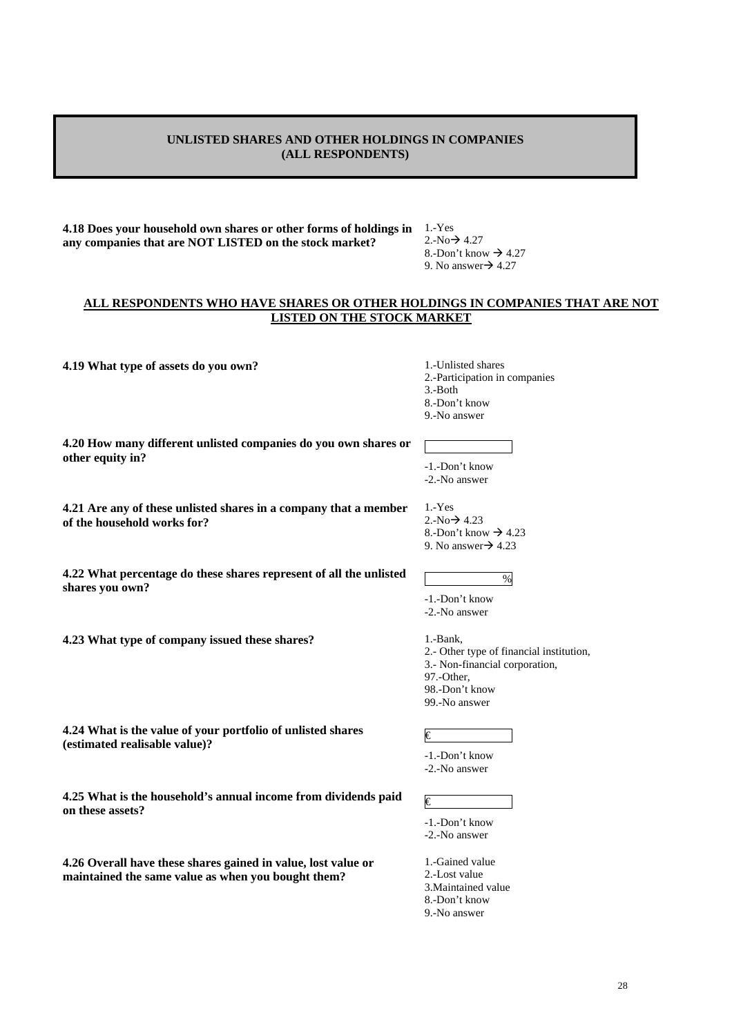# **UNLISTED SHARES AND OTHER HOLDINGS IN COMPANIES (ALL RESPONDENTS)**

**4.18 Does your household own shares or other forms of holdings in any companies that are NOT LISTED on the stock market?** 

1.-Yes  $2.-No \rightarrow 4.27$ 8.-Don't know  $\rightarrow$  4.27 9. No answer $\rightarrow$  4.27

### **ALL RESPONDENTS WHO HAVE SHARES OR OTHER HOLDINGS IN COMPANIES THAT ARE NOT LISTED ON THE STOCK MARKET**

**4.19 What type of assets do you own?** 1.-Unlisted shares

2.-Participation in companies

3.-Both

8.-Don't know

9.-No answer

**4.20 How many different unlisted companies do you own shares or other equity in?** 

**4.21 Are any of these unlisted shares in a company that a member of the household works for?** 

**4.22 What percentage do these shares represent of all the unlisted shares you own?** 

**4.23 What type of company issued these shares?** 1.-Bank,

**4.24 What is the value of your portfolio of unlisted shares (estimated realisable value)?** 

**4.25 What is the household's annual income from dividends paid on these assets?** 

**4.26 Overall have these shares gained in value, lost value or maintained the same value as when you bought them?** 

# -1.-Don't know -2.-No answer

1.-Yes  $2.-No \rightarrow 4.23$ 8.-Don't know  $\rightarrow$  4.23 9. No answer $\rightarrow$  4.23

-1.-Don't know -2.-No answer

2.- Other type of financial institution, 3.- Non-financial corporation, 97.-Other, 98.-Don't know 99.-No answer

%

€

€

- -1.-Don't know -2.-No answer
- 
- 1.-Gained value 2.-Lost value
- 3.Maintained value
- 8.-Don't know
- 9.-No answer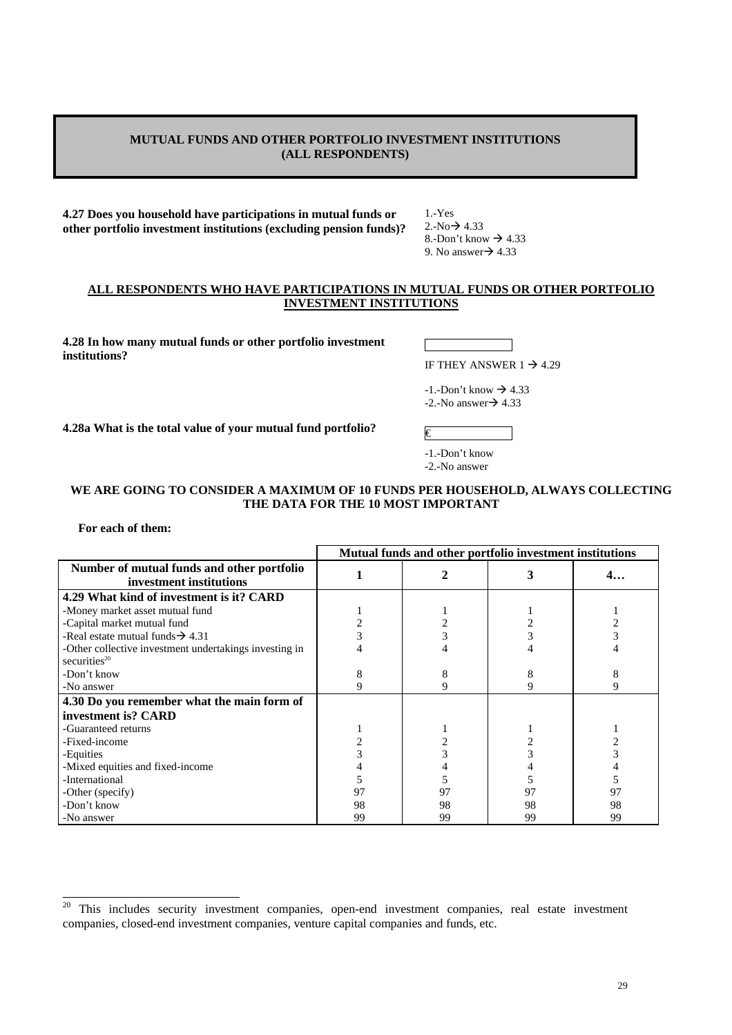# **MUTUAL FUNDS AND OTHER PORTFOLIO INVESTMENT INSTITUTIONS (ALL RESPONDENTS)**

**4.27 Does you household have participations in mutual funds or other portfolio investment institutions (excluding pension funds)?** 1.-Yes  $2.-No \rightarrow 4.33$ 8.-Don't know  $\rightarrow$  4.33 9. No answer $\rightarrow$  4.33

### **ALL RESPONDENTS WHO HAVE PARTICIPATIONS IN MUTUAL FUNDS OR OTHER PORTFOLIO INVESTMENT INSTITUTIONS**

**4.28 In how many mutual funds or other portfolio investment institutions?** 

IF THEY ANSWER  $1 \rightarrow 4.29$ 

 $-1$ . Don't know  $\rightarrow 4.33$  $-2.-No answer \rightarrow 4.33$ 

**4.28a What is the total value of your mutual fund portfolio?**  $\qquad \qquad \varepsilon$ 

-1.-Don't know -2.-No answer

# **WE ARE GOING TO CONSIDER A MAXIMUM OF 10 FUNDS PER HOUSEHOLD, ALWAYS COLLECTING THE DATA FOR THE 10 MOST IMPORTANT**

### **For each of them:**

|                                                                           |    | Mutual funds and other portfolio investment institutions |    |    |  |
|---------------------------------------------------------------------------|----|----------------------------------------------------------|----|----|--|
| Number of mutual funds and other portfolio<br>investment institutions     |    |                                                          | 3  | 4… |  |
| 4.29 What kind of investment is it? CARD                                  |    |                                                          |    |    |  |
| -Money market asset mutual fund                                           |    |                                                          |    |    |  |
| -Capital market mutual fund                                               |    |                                                          |    |    |  |
| -Real estate mutual funds $\rightarrow$ 4.31                              |    |                                                          |    |    |  |
| -Other collective investment undertakings investing in<br>securities $20$ |    |                                                          |    |    |  |
| -Don't know                                                               |    |                                                          | 8  |    |  |
| -No answer                                                                |    | 9                                                        | 9  |    |  |
| 4.30 Do you remember what the main form of                                |    |                                                          |    |    |  |
| investment is? CARD                                                       |    |                                                          |    |    |  |
| -Guaranteed returns                                                       |    |                                                          |    |    |  |
| -Fixed-income                                                             |    |                                                          |    |    |  |
| -Equities                                                                 |    |                                                          |    |    |  |
| -Mixed equities and fixed-income                                          |    |                                                          |    |    |  |
| -International                                                            |    |                                                          |    |    |  |
| -Other (specify)                                                          | 97 | 97                                                       | 97 | 97 |  |
| -Don't know                                                               | 98 | 98                                                       | 98 | 98 |  |
| -No answer                                                                | 99 | 99                                                       | 99 | 99 |  |

 $20\,$ This includes security investment companies, open-end investment companies, real estate investment companies, closed-end investment companies, venture capital companies and funds, etc.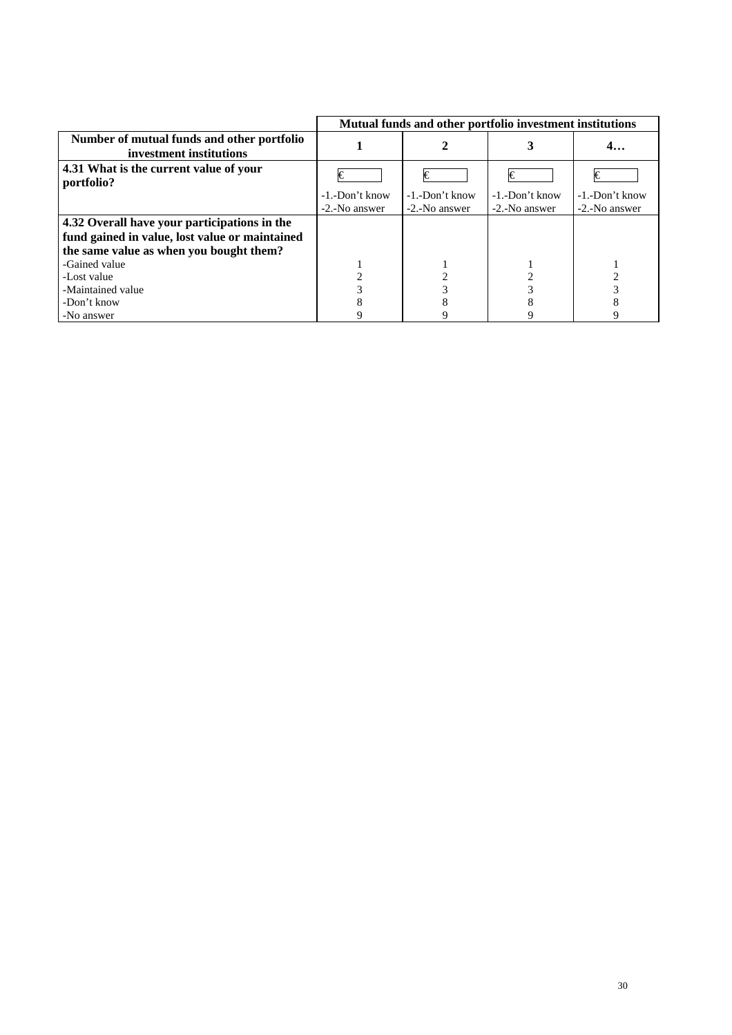|                                                                       | Mutual funds and other portfolio investment institutions |                   |                       |                       |
|-----------------------------------------------------------------------|----------------------------------------------------------|-------------------|-----------------------|-----------------------|
| Number of mutual funds and other portfolio<br>investment institutions |                                                          |                   |                       | 4.                    |
| 4.31 What is the current value of your<br>portfolio?                  | €                                                        | €                 | I€                    | I€                    |
|                                                                       | $-1$ . Don't know                                        | $-1$ . Don't know | $-1$ . $-$ Don't know | $-1$ . $-$ Don't know |
|                                                                       | -2.-No answer                                            | -2.-No answer     | -2.-No answer         | -2.-No answer         |
| 4.32 Overall have your participations in the                          |                                                          |                   |                       |                       |
| fund gained in value, lost value or maintained                        |                                                          |                   |                       |                       |
| the same value as when you bought them?                               |                                                          |                   |                       |                       |
| -Gained value                                                         |                                                          |                   |                       |                       |
| -Lost value                                                           |                                                          |                   |                       |                       |
| -Maintained value                                                     |                                                          |                   |                       |                       |
| -Don't know                                                           |                                                          |                   |                       |                       |
| -No answer                                                            |                                                          |                   |                       |                       |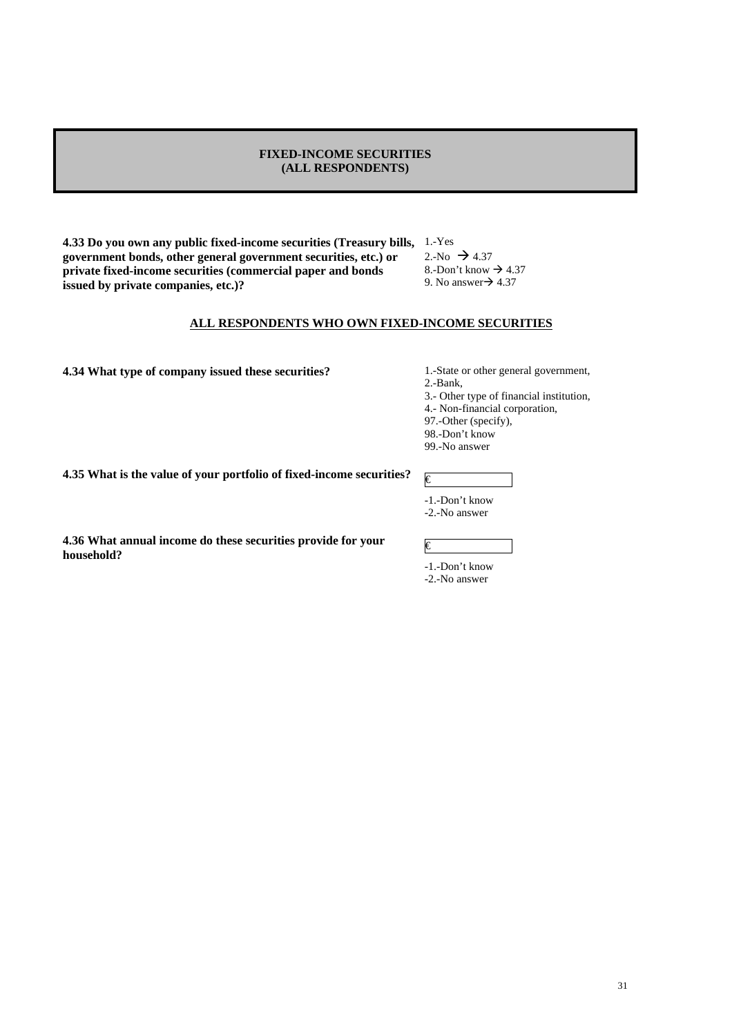### **FIXED-INCOME SECURITIES (ALL RESPONDENTS)**

**4.33 Do you own any public fixed-income securities (Treasury bills,**  1.-Yes **government bonds, other general government securities, etc.) or private fixed-income securities (commercial paper and bonds issued by private companies, etc.)?** 

2.-No  $\rightarrow$  4.37 8.-Don't know  $\rightarrow$  4.37 9. No answer $\rightarrow$  4.37

# **ALL RESPONDENTS WHO OWN FIXED-INCOME SECURITIES**

**4.34 What type of company issued these securities?** 1.-State or other general government,

2.-Bank,

3.- Other type of financial institution,

4.- Non-financial corporation,

97.-Other (specify),

98.-Don't know

99.-No answer

**4.35 What is the value of your portfolio of fixed-income securities?**  $\mathbf{F}$ 

-1.-Don't know

-2.-No answer

**4.36 What annual income do these securities provide for your household?** 

# €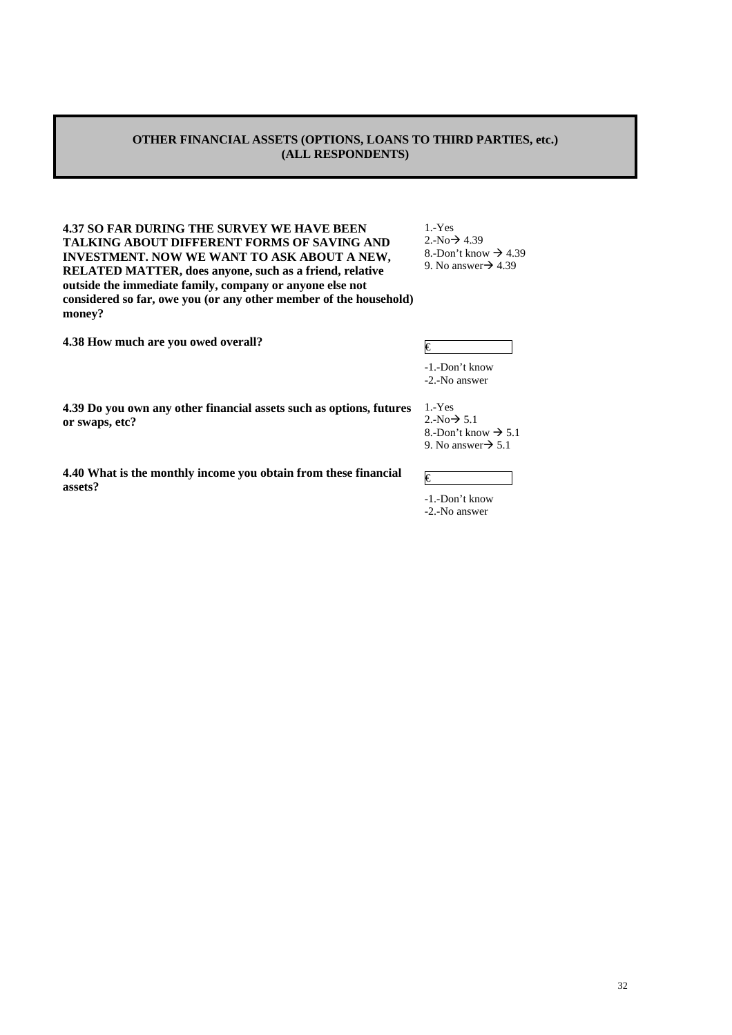# **OTHER FINANCIAL ASSETS (OPTIONS, LOANS TO THIRD PARTIES, etc.) (ALL RESPONDENTS)**

**4.37 SO FAR DURING THE SURVEY WE HAVE BEEN TALKING ABOUT DIFFERENT FORMS OF SAVING AND INVESTMENT. NOW WE WANT TO ASK ABOUT A NEW, RELATED MATTER, does anyone, such as a friend, relative outside the immediate family, company or anyone else not considered so far, owe you (or any other member of the household) money?** 

**4.38 How much are you owed overall?** €

1.-Yes  $2.-No \rightarrow 4.39$ 8.-Don't know  $\rightarrow$  4.39 9. No answer $\rightarrow$  4.39

| € |  |  |  |
|---|--|--|--|
|   |  |  |  |
|   |  |  |  |
|   |  |  |  |

-1.-Don't know -2.-No answer

1.-Yes  $2.-No \rightarrow 5.1$ 8.-Don't know  $\rightarrow$  5.1 9. No answer $\rightarrow$  5.1

€

**4.39 Do you own any other financial assets such as options, futures or swaps, etc?** 

**4.40 What is the monthly income you obtain from these financial assets?** 

-1.-Don't know

<sup>-2.-</sup>No answer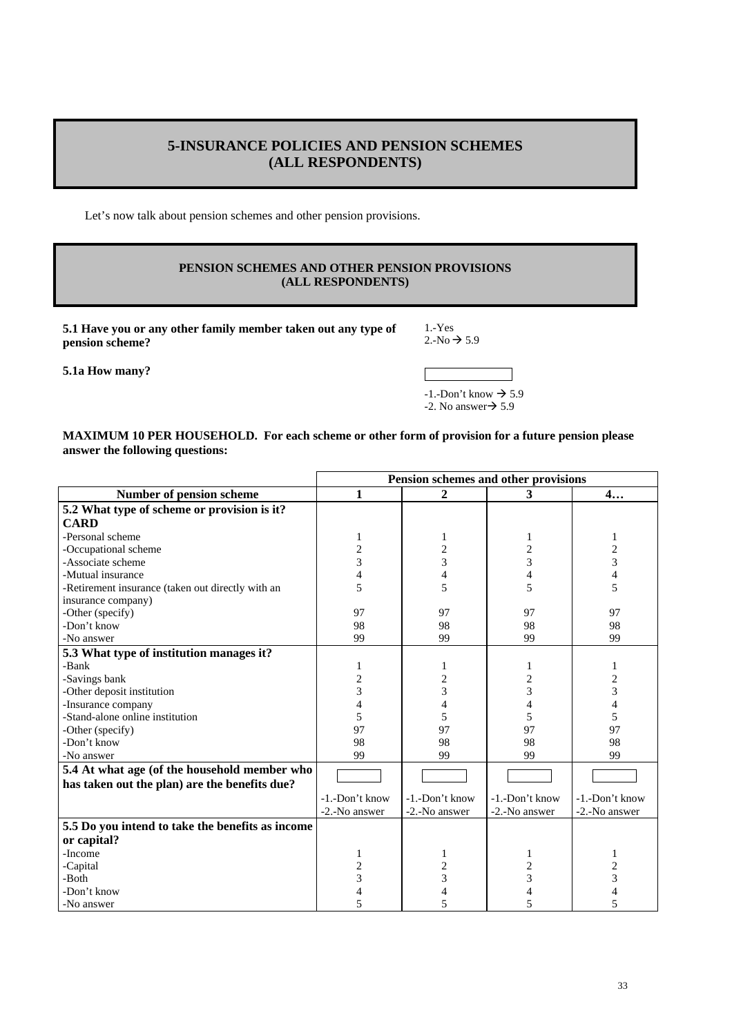# **5-INSURANCE POLICIES AND PENSION SCHEMES (ALL RESPONDENTS)**

Let's now talk about pension schemes and other pension provisions.

# **PENSION SCHEMES AND OTHER PENSION PROVISIONS (ALL RESPONDENTS)**

**5.1 Have you or any other family member taken out any type of pension scheme?** 

1.-Yes  $2.-No \rightarrow 5.9$ 

**5.1a How many?** 

 $-1.-$ Don't know  $\rightarrow$  5.9  $-2$ . No answer $\rightarrow$  5.9

### **MAXIMUM 10 PER HOUSEHOLD. For each scheme or other form of provision for a future pension please answer the following questions:**

|                                                                                               | Pension schemes and other provisions |                |                |                          |  |  |
|-----------------------------------------------------------------------------------------------|--------------------------------------|----------------|----------------|--------------------------|--|--|
| Number of pension scheme                                                                      | 1                                    | 2              | 3              | 4                        |  |  |
| 5.2 What type of scheme or provision is it?                                                   |                                      |                |                |                          |  |  |
| <b>CARD</b>                                                                                   |                                      |                |                |                          |  |  |
| -Personal scheme                                                                              | 1                                    | 1              |                | 1                        |  |  |
| -Occupational scheme                                                                          | $\overline{c}$                       | $\overline{c}$ | $\overline{c}$ | $\overline{c}$           |  |  |
| -Associate scheme                                                                             | 3                                    | $\overline{3}$ | 3              | 3                        |  |  |
| -Mutual insurance                                                                             | 4                                    | $\overline{4}$ | 4              | $\overline{\mathcal{L}}$ |  |  |
| -Retirement insurance (taken out directly with an                                             | 5                                    | 5              | 5              | 5                        |  |  |
| insurance company)                                                                            |                                      |                |                |                          |  |  |
| -Other (specify)                                                                              | 97                                   | 97             | 97             | 97                       |  |  |
| -Don't know                                                                                   | 98                                   | 98             | 98             | 98                       |  |  |
| -No answer                                                                                    | 99                                   | 99             | 99             | 99                       |  |  |
| 5.3 What type of institution manages it?                                                      |                                      |                |                |                          |  |  |
| -Bank                                                                                         | 1                                    |                |                | 1                        |  |  |
| -Savings bank                                                                                 | 2                                    | $\overline{c}$ | 2              | 2                        |  |  |
| -Other deposit institution                                                                    | 3                                    | 3              | 3              | $\overline{3}$           |  |  |
| -Insurance company                                                                            | 4                                    | $\overline{4}$ | 4              | $\overline{\mathcal{L}}$ |  |  |
| -Stand-alone online institution                                                               | 5                                    | 5              | 5              | 5                        |  |  |
| -Other (specify)                                                                              | 97                                   | 97             | 97             | 97                       |  |  |
| -Don't know                                                                                   | 98                                   | 98             | 98             | 98                       |  |  |
| -No answer                                                                                    | 99                                   | 99             | 99             | 99                       |  |  |
| 5.4 At what age (of the household member who<br>has taken out the plan) are the benefits due? |                                      |                |                |                          |  |  |
|                                                                                               | -1.-Don't know                       | -1.-Don't know | -1.-Don't know | -1.-Don't know           |  |  |
|                                                                                               | -2.-No answer                        | -2.-No answer  | -2.-No answer  | -2.-No answer            |  |  |
| 5.5 Do you intend to take the benefits as income                                              |                                      |                |                |                          |  |  |
| or capital?                                                                                   |                                      |                |                |                          |  |  |
| -Income                                                                                       |                                      |                |                | 1                        |  |  |
| -Capital                                                                                      | 2                                    | $\overline{c}$ | $\overline{c}$ | 2                        |  |  |
| -Both                                                                                         | 3                                    | 3              | 3              | 3                        |  |  |
| -Don't know                                                                                   |                                      | 4              | 4              |                          |  |  |
| -No answer                                                                                    | 5                                    | 5              | 5              | 5                        |  |  |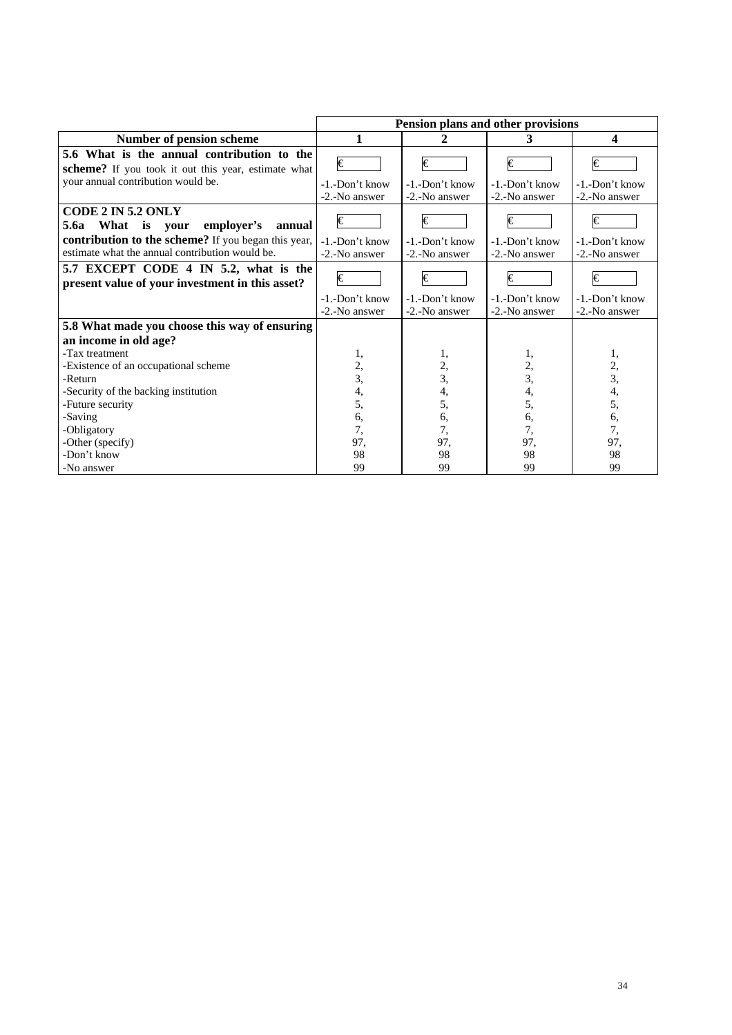|                                                                                                        | Pension plans and other provisions     |                                        |                                        |                                        |  |  |  |
|--------------------------------------------------------------------------------------------------------|----------------------------------------|----------------------------------------|----------------------------------------|----------------------------------------|--|--|--|
| Number of pension scheme                                                                               | 1                                      | 2                                      | 3                                      | 4                                      |  |  |  |
| 5.6 What is the annual contribution to the<br>scheme? If you took it out this year, estimate what      | €                                      | $\overline{\epsilon}$                  | I€                                     | €                                      |  |  |  |
| your annual contribution would be.                                                                     | -1.-Don't know<br>-2.-No answer        | -1.-Don't know<br>-2.-No answer        | $-1$ $-Don't$ know<br>-2.-No answer    | $-1$ . $-$ Don't know<br>-2.-No answer |  |  |  |
| CODE 2 IN 5.2 ONLY<br>5.6a What is your<br>employer's<br>annual                                        | €                                      | €                                      | $\in$                                  | €                                      |  |  |  |
| contribution to the scheme? If you began this year,<br>estimate what the annual contribution would be. | $-1$ . $-$ Don't know<br>-2.-No answer | $-1$ . $-$ Don't know<br>-2.-No answer | $-1$ . $-$ Don't know<br>-2.-No answer | -1.-Don't know<br>-2.-No answer        |  |  |  |
| 5.7 EXCEPT CODE 4 IN 5.2, what is the<br>present value of your investment in this asset?               | €                                      | $\in$                                  | I€                                     | €                                      |  |  |  |
|                                                                                                        | -1.-Don't know<br>-2.-No answer        | -1.-Don't know<br>-2.-No answer        | -1.-Don't know<br>-2.-No answer        | -1.-Don't know<br>-2.-No answer        |  |  |  |
| 5.8 What made you choose this way of ensuring<br>an income in old age?                                 |                                        |                                        |                                        |                                        |  |  |  |
| -Tax treatment<br>-Existence of an occupational scheme<br>-Return                                      | 1,<br>2,<br>3,                         | ı,<br>$\frac{2}{3}$                    | 1,<br>2,<br>$\overline{3},$            | 1,<br>$\frac{2}{3}$                    |  |  |  |
| -Security of the backing institution<br>-Future security<br>-Saving                                    | 4,<br>5,<br>6,                         | 4,<br>5,<br>6,                         | 4,<br>5,<br>6,                         | 4,<br>5,<br>6,                         |  |  |  |
| -Obligatory<br>-Other (specify)                                                                        | 7,<br>97,                              | 7,<br>97,                              | 7,<br>97,                              | 7,<br>97,                              |  |  |  |
| -Don't know<br>-No answer                                                                              | 98<br>99                               | 98<br>99                               | 98<br>99                               | 98<br>99                               |  |  |  |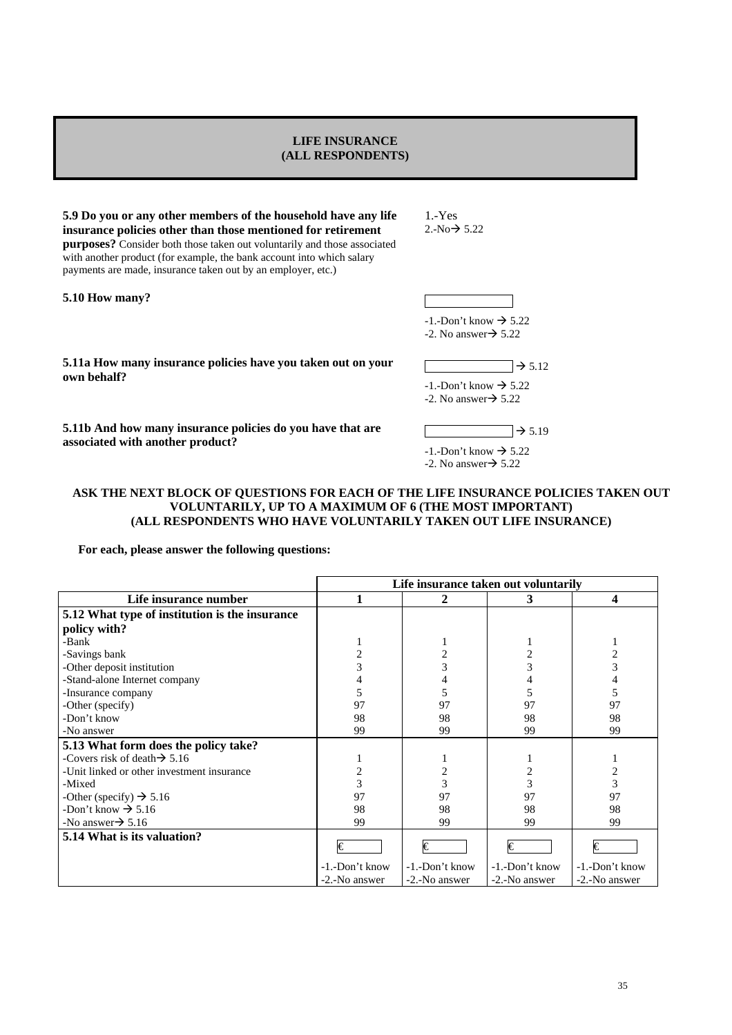### **LIFE INSURANCE (ALL RESPONDENTS)**

**5.9 Do you or any other members of the household have any life insurance policies other than those mentioned for retirement purposes?** Consider both those taken out voluntarily and those associated with another product (for example, the bank account into which salary payments are made, insurance taken out by an employer, etc.)

**5.10 How many?** 

1.-Yes  $2.-No \rightarrow 5.22$ 

 $-1$ . -Don't know  $\rightarrow$  5.22  $-2$ . No answer $\rightarrow$  5.22

**5.11a How many insurance policies have you taken out on your**  $\rightarrow$  5.12 own behalf?

 $-1$ . Don't know  $\rightarrow$  5.22  $-2.$  No answer $\rightarrow$  5.22

**5.11b And how many insurance policies do you have that are**  $\rightarrow$  5.19 associated with another product?

 $-1$ .-Don't know  $\rightarrow$  5.22  $-2$ . No answer $\rightarrow$  5.22

### **ASK THE NEXT BLOCK OF QUESTIONS FOR EACH OF THE LIFE INSURANCE POLICIES TAKEN OUT VOLUNTARILY, UP TO A MAXIMUM OF 6 (THE MOST IMPORTANT) (ALL RESPONDENTS WHO HAVE VOLUNTARILY TAKEN OUT LIFE INSURANCE)**

 **For each, please answer the following questions:** 

|                                                | Life insurance taken out voluntarily |                |                |                |  |  |  |  |
|------------------------------------------------|--------------------------------------|----------------|----------------|----------------|--|--|--|--|
| Life insurance number                          |                                      | 2              | 3              | 4              |  |  |  |  |
| 5.12 What type of institution is the insurance |                                      |                |                |                |  |  |  |  |
| policy with?                                   |                                      |                |                |                |  |  |  |  |
| -Bank                                          |                                      |                |                |                |  |  |  |  |
| -Savings bank                                  |                                      | $\overline{2}$ | $\overline{c}$ | $\overline{c}$ |  |  |  |  |
| -Other deposit institution                     |                                      | 3              | 3              | 3              |  |  |  |  |
| -Stand-alone Internet company                  |                                      |                |                |                |  |  |  |  |
| -Insurance company                             |                                      | 5              | 5              | 5              |  |  |  |  |
| -Other (specify)                               | 97                                   | 97             | 97             | 97             |  |  |  |  |
| -Don't know                                    | 98                                   | 98             | 98             | 98             |  |  |  |  |
| -No answer                                     | 99                                   | 99             | 99             | 99             |  |  |  |  |
| 5.13 What form does the policy take?           |                                      |                |                |                |  |  |  |  |
| -Covers risk of death $\rightarrow$ 5.16       |                                      |                |                |                |  |  |  |  |
| -Unit linked or other investment insurance     |                                      | 2              | 2              | 2              |  |  |  |  |
| -Mixed                                         | 3                                    | 3              | 3              | 3              |  |  |  |  |
| -Other (specify) $\rightarrow$ 5.16            | 97                                   | 97             | 97             | 97             |  |  |  |  |
| -Don't know $\rightarrow$ 5.16                 | 98                                   | 98             | 98             | 98             |  |  |  |  |
| -No answer $\rightarrow$ 5.16                  | 99                                   | 99             | 99             | 99             |  |  |  |  |
| 5.14 What is its valuation?                    | I€                                   | I€             | I€             | €              |  |  |  |  |
|                                                | -1.-Don't know                       | -1.-Don't know | -1.-Don't know | -1.-Don't know |  |  |  |  |
|                                                | -2.-No answer                        | -2.-No answer  | -2.-No answer  | -2.-No answer  |  |  |  |  |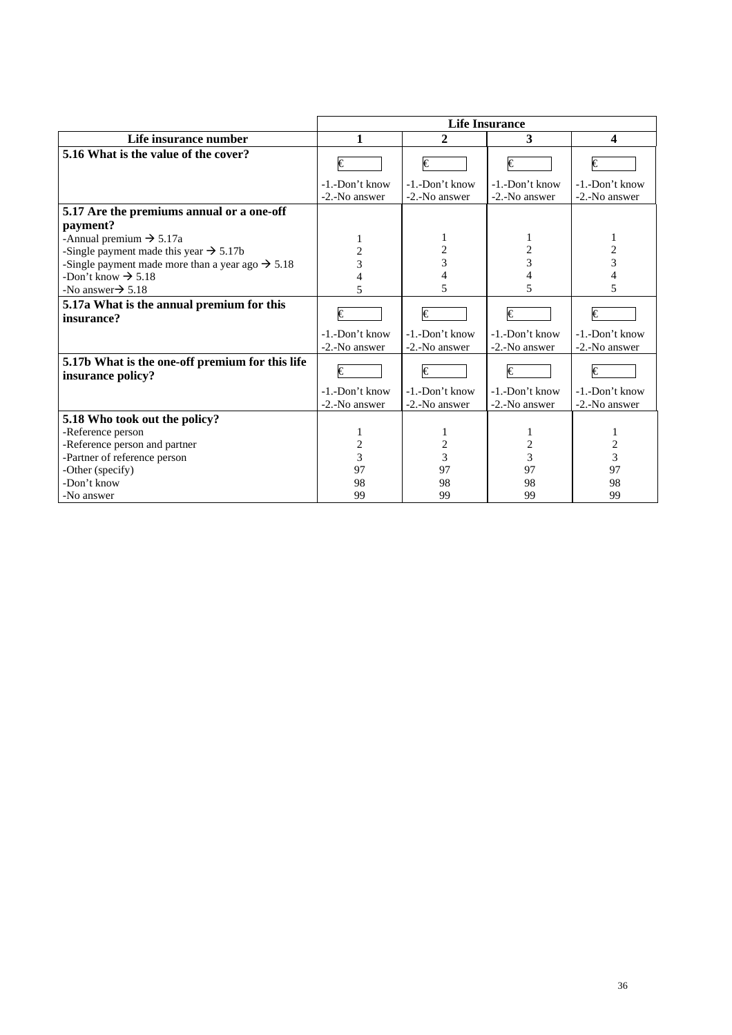|                                                                      | <b>Life Insurance</b>           |                                 |                                 |                                 |  |  |  |
|----------------------------------------------------------------------|---------------------------------|---------------------------------|---------------------------------|---------------------------------|--|--|--|
| Life insurance number                                                | 1                               | 2                               | 3                               | 4                               |  |  |  |
| 5.16 What is the value of the cover?                                 | I€                              | €                               | I€                              | I€                              |  |  |  |
|                                                                      | -1.-Don't know<br>-2.-No answer | -1.-Don't know<br>-2.-No answer | -1.-Don't know<br>-2.-No answer | -1.-Don't know<br>-2.-No answer |  |  |  |
| 5.17 Are the premiums annual or a one-off                            |                                 |                                 |                                 |                                 |  |  |  |
| payment?                                                             |                                 |                                 |                                 |                                 |  |  |  |
| -Annual premium $\rightarrow$ 5.17a                                  |                                 |                                 |                                 | 1                               |  |  |  |
| -Single payment made this year $\rightarrow$ 5.17b                   | 2                               | $\overline{\mathbf{c}}$         | $\overline{\mathbf{c}}$         | 2                               |  |  |  |
| -Single payment made more than a year ago $\rightarrow$ 5.18         | 3                               | 3                               | $\overline{3}$                  | 3                               |  |  |  |
| -Don't know $\rightarrow$ 5.18                                       |                                 |                                 |                                 |                                 |  |  |  |
| -No answer $\rightarrow$ 5.18                                        |                                 | 5                               | 5                               | 5                               |  |  |  |
| 5.17a What is the annual premium for this<br>insurance?              | $\overline{\epsilon}$           | €                               | €                               | €                               |  |  |  |
|                                                                      | -1.-Don't know<br>-2.-No answer | -1.-Don't know<br>-2.-No answer | -1.-Don't know<br>-2.-No answer | -1.-Don't know<br>-2.-No answer |  |  |  |
| 5.17b What is the one-off premium for this life<br>insurance policy? | €                               | €                               | €                               | €                               |  |  |  |
|                                                                      | -1.-Don't know                  | -1.-Don't know                  | -1.-Don't know                  | -1.-Don't know                  |  |  |  |
|                                                                      | -2.-No answer                   | -2.-No answer                   | -2.-No answer                   | -2.-No answer                   |  |  |  |
| 5.18 Who took out the policy?                                        |                                 |                                 |                                 |                                 |  |  |  |
| -Reference person                                                    |                                 |                                 |                                 |                                 |  |  |  |
| -Reference person and partner                                        | $\overline{c}$                  | $\overline{c}$                  | 2                               | $\overline{\mathbf{c}}$         |  |  |  |
| -Partner of reference person                                         | $\overline{3}$                  | $\overline{3}$                  | 3                               | $\overline{3}$                  |  |  |  |
| -Other (specify)                                                     | 97                              | 97                              | 97                              | 97                              |  |  |  |
| -Don't know                                                          | 98                              | 98                              | 98                              | 98                              |  |  |  |
| -No answer                                                           | 99                              | 99                              | 99                              | 99                              |  |  |  |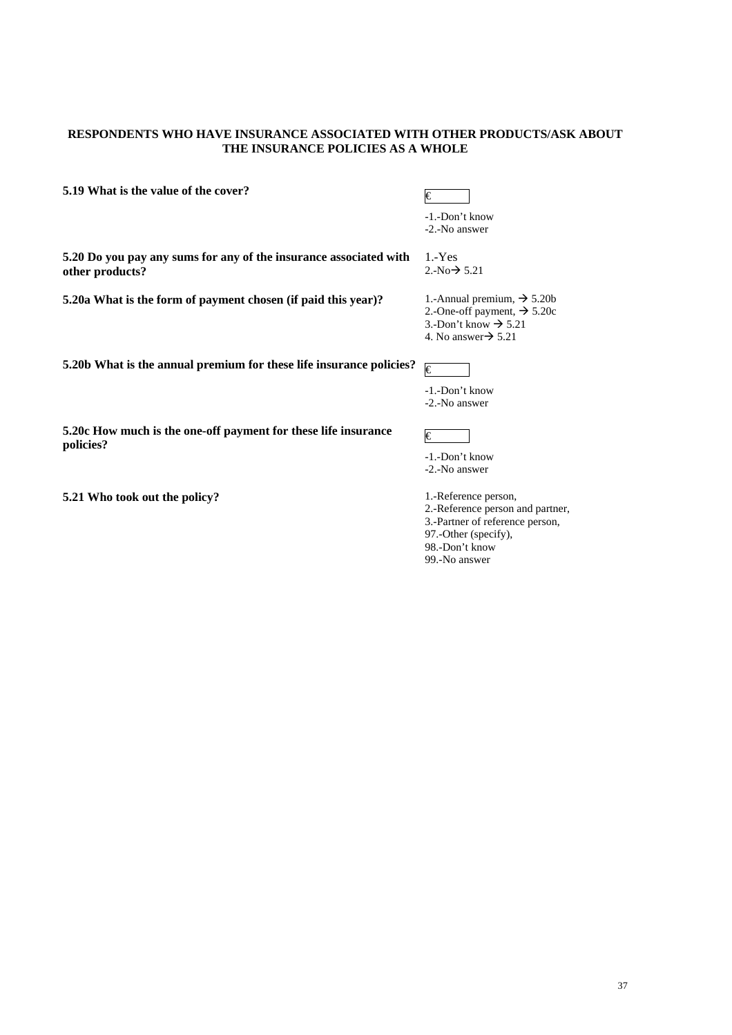# **RESPONDENTS WHO HAVE INSURANCE ASSOCIATED WITH OTHER PRODUCTS/ASK ABOUT THE INSURANCE POLICIES AS A WHOLE**

| 5.19 What is the value of the cover?                                        | €                                                                   |
|-----------------------------------------------------------------------------|---------------------------------------------------------------------|
|                                                                             | -1.-Don't know                                                      |
|                                                                             | -2.-No answer                                                       |
| 5.20 Do you pay any sums for any of the insurance associated with           | $1 - Yes$                                                           |
| other products?                                                             | 2.-No $\rightarrow$ 5.21                                            |
| 5.20a What is the form of payment chosen (if paid this year)?               | 1.-Annual premium, $\rightarrow$ 5.20b                              |
|                                                                             | 2.-One-off payment, $\rightarrow$ 5.20c                             |
|                                                                             | 3.-Don't know $\rightarrow$ 5.21<br>4. No answer $\rightarrow$ 5.21 |
|                                                                             |                                                                     |
| 5.20b What is the annual premium for these life insurance policies?         | €                                                                   |
|                                                                             | -1.-Don't know                                                      |
|                                                                             | -2.-No answer                                                       |
|                                                                             |                                                                     |
| 5.20c How much is the one-off payment for these life insurance<br>policies? | I€                                                                  |
|                                                                             | -1.-Don't know                                                      |
|                                                                             | -2.-No answer                                                       |
|                                                                             | 1.-Reference person,                                                |
| 5.21 Who took out the policy?                                               | 2.-Reference person and partner,                                    |
|                                                                             | 3.-Partner of reference person,                                     |
|                                                                             | 97.-Other (specify),                                                |
|                                                                             | 98.-Don't know                                                      |

99.-No answer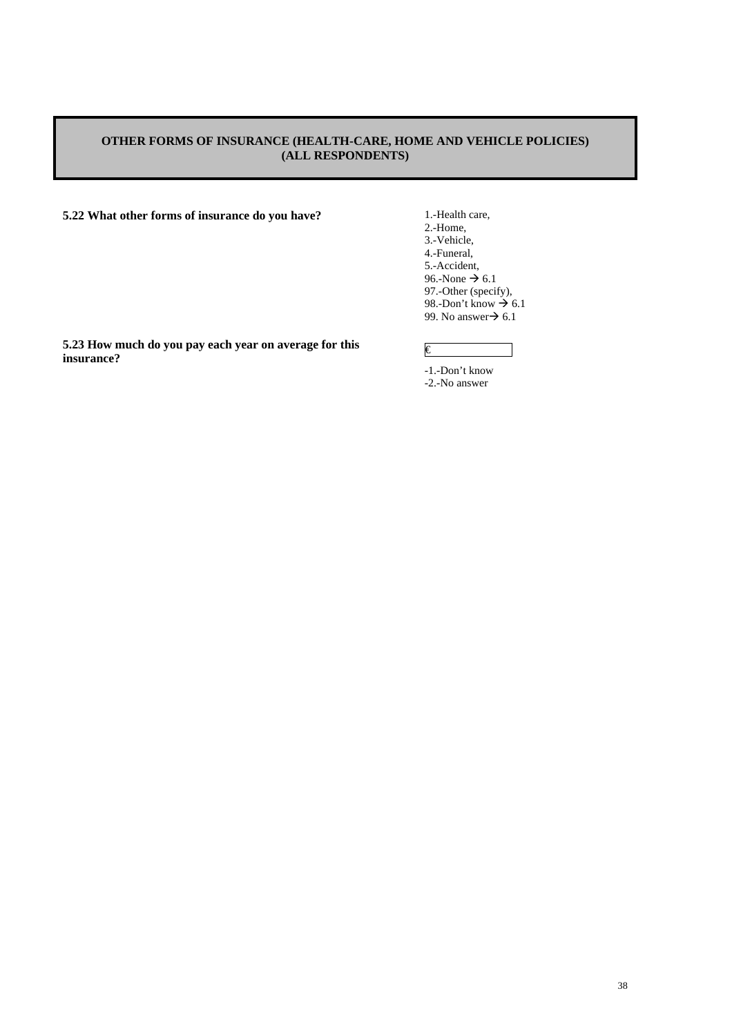# **OTHER FORMS OF INSURANCE (HEALTH-CARE, HOME AND VEHICLE POLICIES) (ALL RESPONDENTS)**

**5.22 What other forms of insurance do you have?** 1.-Health care,

2.-Home, 3.-Vehicle, 4.-Funeral, 5.-Accident, 96.-None  $\rightarrow$  6.1 97.-Other (specify), 98.-Don't know  $\rightarrow 6.1$ 99. No answer $\rightarrow$  6.1

**5.23 How much do you pay each year on average for this insurance?** 

# €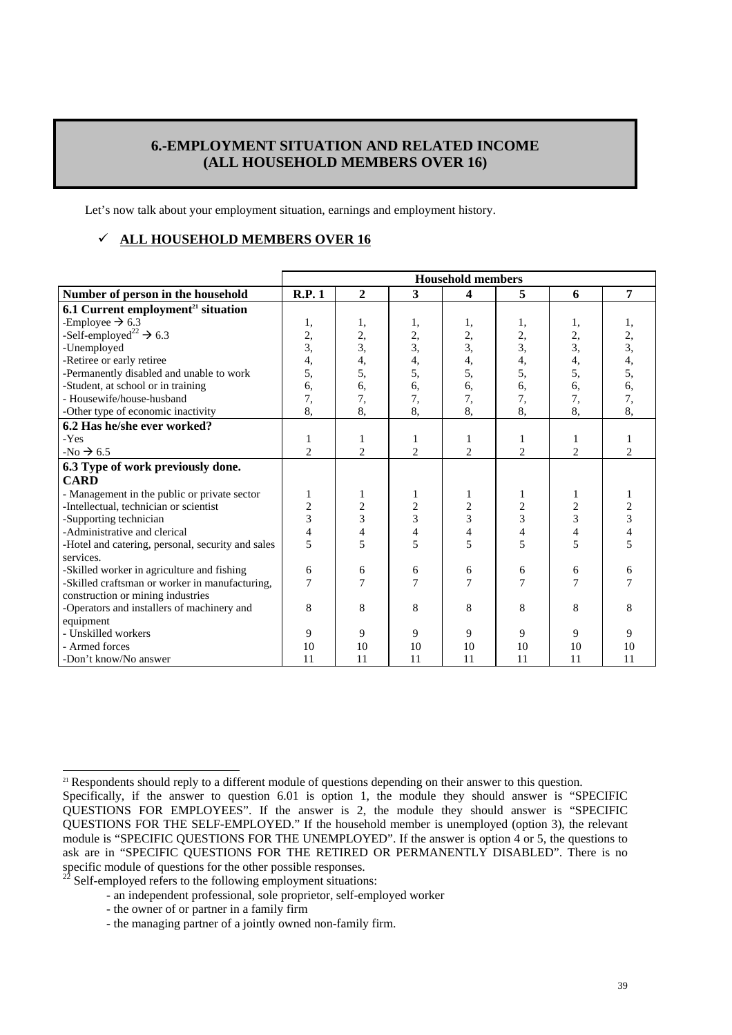# **6.-EMPLOYMENT SITUATION AND RELATED INCOME (ALL HOUSEHOLD MEMBERS OVER 16)**

Let's now talk about your employment situation, earnings and employment history.

# 9 **ALL HOUSEHOLD MEMBERS OVER 16**

|                                                                | <b>Household members</b> |                |                  |                |                |                |    |
|----------------------------------------------------------------|--------------------------|----------------|------------------|----------------|----------------|----------------|----|
| Number of person in the household                              | R.P.1                    | $\overline{2}$ | $\mathbf{3}$     | 4              | 5              | 6              | 7  |
| 6.1 Current employment <sup>21</sup> situation                 |                          |                |                  |                |                |                |    |
| -Employee $\rightarrow$ 6.3                                    | 1,                       | 1,             | 1,               | 1,             | 1,             | 1,             |    |
| -Self-employed <sup>22</sup> $\rightarrow$ 6.3                 | 2,                       | 2,             | 2,               | 2,             | 2,             | 2,             | 2, |
| -Unemployed                                                    | 3,                       | 3,             | $\overline{3}$ , | 3,             | 3,             | $\overline{3}$ | 3, |
| -Retiree or early retiree                                      | 4,                       | 4,             | 4,               | 4,             | 4,             | 4,             | 4, |
| -Permanently disabled and unable to work                       | 5,                       | 5,             | 5,               | 5,             | 5,             | 5,             | 5, |
| -Student, at school or in training                             | 6,                       | 6,             | 6.               | 6,             | 6,             | 6.             | 6, |
| - Housewife/house-husband                                      | 7,                       | 7,             | 7,               | 7,             | 7,             | 7,             | 7, |
| -Other type of economic inactivity                             | 8.                       | 8,             | 8,               | 8,             | 8,             | 8.             | 8. |
| 6.2 Has he/she ever worked?                                    |                          |                |                  |                |                |                |    |
| -Yes                                                           |                          | 1              | 1                |                | 1              |                |    |
| $-No \rightarrow 6.5$                                          | $\overline{c}$           | $\overline{2}$ | $\overline{2}$   | $\overline{2}$ | $\overline{2}$ | $\overline{2}$ | 2  |
| 6.3 Type of work previously done.                              |                          |                |                  |                |                |                |    |
| <b>CARD</b>                                                    |                          |                |                  |                |                |                |    |
| - Management in the public or private sector                   |                          | 1              | 1                |                | 1              | 1              |    |
| -Intellectual, technician or scientist                         | $\overline{c}$           | $\overline{c}$ | $\overline{c}$   | $\overline{c}$ | $\overline{c}$ | $\overline{c}$ |    |
| -Supporting technician                                         | 3                        | 3              | 3                | 3              | 3              | 3              | 3  |
| -Administrative and clerical                                   | 4                        | 4              | 4                | 4              | 4              | 4              |    |
| -Hotel and catering, personal, security and sales<br>services. | 5                        | 5              | 5                | 5              | 5              | 5              |    |
| -Skilled worker in agriculture and fishing                     | 6                        | 6              | 6                | 6              | 6              | 6              | 6  |
| -Skilled craftsman or worker in manufacturing,                 | 7                        |                | 7                | $\overline{7}$ |                | 7              |    |
| construction or mining industries                              |                          |                |                  |                |                |                |    |
| -Operators and installers of machinery and                     | 8                        | 8              | 8                | 8              | 8              | 8              | 8  |
| equipment                                                      |                          |                |                  |                |                |                |    |
| - Unskilled workers                                            | 9                        | 9              | 9                | 9              | 9              | 9              | 9  |
| - Armed forces                                                 | 10                       | 10             | 10               | 10             | 10             | 10             | 10 |
| -Don't know/No answer                                          | 11                       | 11             | 11               | 11             | 11             | 11             | 11 |

<sup>21</sup> Respondents should reply to a different module of questions depending on their answer to this question.

 $\overline{a}$ 

Specifically, if the answer to question 6.01 is option 1, the module they should answer is "SPECIFIC QUESTIONS FOR EMPLOYEES". If the answer is 2, the module they should answer is "SPECIFIC QUESTIONS FOR THE SELF-EMPLOYED." If the household member is unemployed (option 3), the relevant module is "SPECIFIC QUESTIONS FOR THE UNEMPLOYED". If the answer is option 4 or 5, the questions to ask are in "SPECIFIC QUESTIONS FOR THE RETIRED OR PERMANENTLY DISABLED". There is no specific module of questions for the other possible responses.

Self-employed refers to the following employment situations:

<sup>-</sup> an independent professional, sole proprietor, self-employed worker

<sup>-</sup> the owner of or partner in a family firm

<sup>-</sup> the managing partner of a jointly owned non-family firm.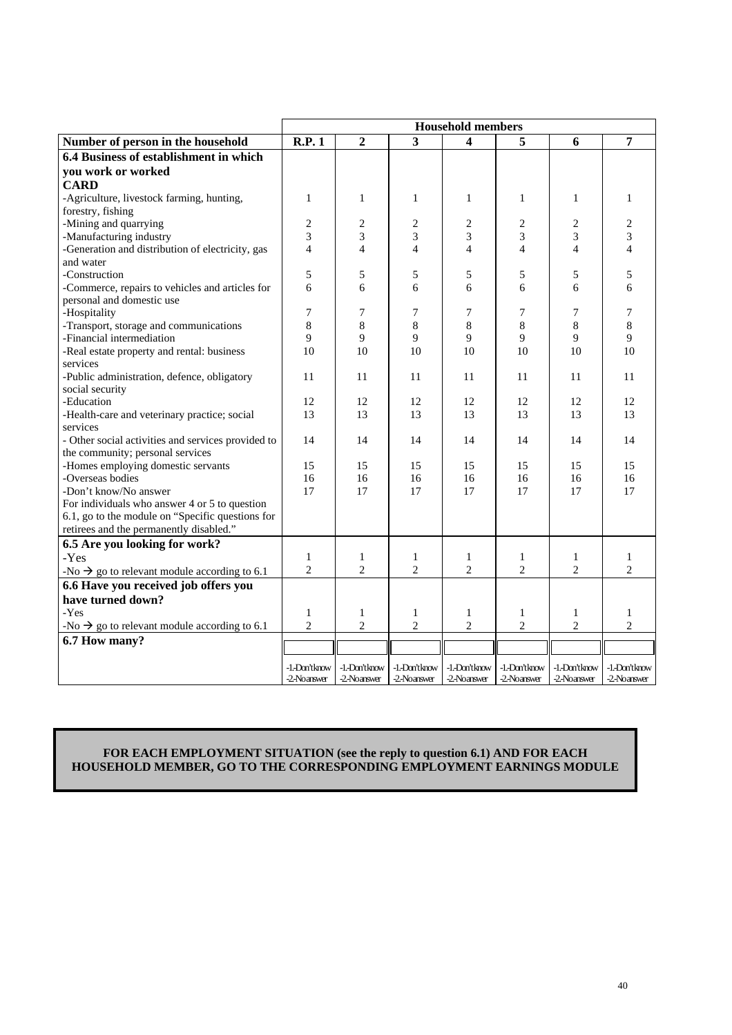|                                                          | <b>Household members</b> |                          |                |                |                          |                          |                          |
|----------------------------------------------------------|--------------------------|--------------------------|----------------|----------------|--------------------------|--------------------------|--------------------------|
| Number of person in the household                        | R.P.1                    | $\overline{2}$           | $\overline{3}$ | 4              | 5                        | 6                        | 7                        |
| 6.4 Business of establishment in which                   |                          |                          |                |                |                          |                          |                          |
| you work or worked                                       |                          |                          |                |                |                          |                          |                          |
| <b>CARD</b>                                              |                          |                          |                |                |                          |                          |                          |
| -Agriculture, livestock farming, hunting,                | $\mathbf{1}$             | 1                        | $\mathbf{1}$   | $\mathbf{1}$   | $\mathbf{1}$             | $\mathbf{1}$             | $\mathbf{1}$             |
| forestry, fishing                                        |                          |                          |                |                |                          |                          |                          |
| -Mining and quarrying                                    | 2                        | $\overline{c}$           | $\overline{c}$ | 2              | $\overline{2}$           | 2                        | 2                        |
| -Manufacturing industry                                  | 3                        | 3                        | 3              | 3              | 3                        | 3                        | 3                        |
| -Generation and distribution of electricity, gas         | $\overline{\mathcal{L}}$ | $\overline{\mathcal{L}}$ | $\overline{4}$ | $\overline{4}$ | $\overline{\mathcal{L}}$ | $\overline{\mathcal{L}}$ | $\overline{\mathcal{L}}$ |
| and water                                                |                          |                          |                |                |                          |                          |                          |
| -Construction                                            | 5                        | 5                        | 5              | 5              | 5                        | 5                        | 5                        |
| -Commerce, repairs to vehicles and articles for          | 6                        | 6                        | 6              | 6              | 6                        | 6                        | 6                        |
| personal and domestic use                                |                          |                          |                |                |                          |                          |                          |
| -Hospitality                                             | 7                        | 7                        | 7              | 7              | 7                        | 7                        | 7                        |
| -Transport, storage and communications                   | 8                        | 8                        | 8              | 8              | 8                        | 8                        | 8                        |
| -Financial intermediation                                | 9                        | 9                        | 9              | 9              | 9                        | 9                        | 9                        |
| -Real estate property and rental: business               | 10                       | 10                       | 10             | 10             | 10                       | 10                       | 10                       |
| services                                                 |                          |                          |                |                |                          |                          |                          |
| -Public administration, defence, obligatory              | 11                       | 11                       | 11             | 11             | 11                       | 11                       | 11                       |
| social security                                          |                          |                          |                |                |                          |                          |                          |
| -Education                                               | 12                       | 12                       | 12             | 12             | 12                       | 12                       | 12                       |
| -Health-care and veterinary practice; social             | 13                       | 13                       | 13             | 13             | 13                       | 13                       | 13                       |
| services                                                 |                          |                          |                |                |                          |                          |                          |
| - Other social activities and services provided to       | 14                       | 14                       | 14             | 14             | 14                       | 14                       | 14                       |
| the community; personal services                         |                          |                          |                |                |                          |                          |                          |
| -Homes employing domestic servants                       | 15                       | 15                       | 15             | 15             | 15                       | 15                       | 15                       |
| -Overseas bodies                                         | 16                       | 16                       | 16             | 16             | 16                       | 16                       | 16                       |
| -Don't know/No answer                                    | 17                       | 17                       | 17             | 17             | 17                       | 17                       | 17                       |
| For individuals who answer 4 or 5 to question            |                          |                          |                |                |                          |                          |                          |
| 6.1, go to the module on "Specific questions for         |                          |                          |                |                |                          |                          |                          |
| retirees and the permanently disabled."                  |                          |                          |                |                |                          |                          |                          |
| 6.5 Are you looking for work?                            |                          |                          |                |                |                          |                          |                          |
| -Yes                                                     | 1                        | 1                        | 1              | 1              | 1                        | 1                        | 1                        |
| -No $\rightarrow$ go to relevant module according to 6.1 | $\overline{2}$           | $\overline{2}$           | $\overline{c}$ | $\overline{c}$ | $\overline{2}$           | $\overline{2}$           | $\overline{c}$           |
| 6.6 Have you received job offers you                     |                          |                          |                |                |                          |                          |                          |
| have turned down?                                        |                          |                          |                |                |                          |                          |                          |
| -Yes                                                     | $\mathbf{1}$             | 1                        | $\mathbf{1}$   | $\mathbf{1}$   | $\mathbf{1}$             | $\mathbf{1}$             | $\mathbf{1}$             |
| -No $\rightarrow$ go to relevant module according to 6.1 | $\overline{2}$           | $\overline{c}$           | $\overline{c}$ | $\overline{2}$ | $\overline{2}$           | $\overline{c}$           | $\overline{2}$           |
| 6.7 How many?                                            |                          |                          |                |                |                          |                          |                          |
|                                                          |                          |                          |                |                |                          |                          |                          |
|                                                          | -1. Don't know           | -1.-Don'tknow            | -1. Don't know | -1. Don't know | -1. Don't know           | -1. Don't know           | -1.-Don'tknow            |
|                                                          | -2-Noanswer              | -2-Noanswer              | -2-Noanswer    | -2-Noanswer    | -2-Noanswer              | -2-Noanswer              | -2-Noanswer              |

# **FOR EACH EMPLOYMENT SITUATION (see the reply to question 6.1) AND FOR EACH HOUSEHOLD MEMBER, GO TO THE CORRESPONDING EMPLOYMENT EARNINGS MODULE**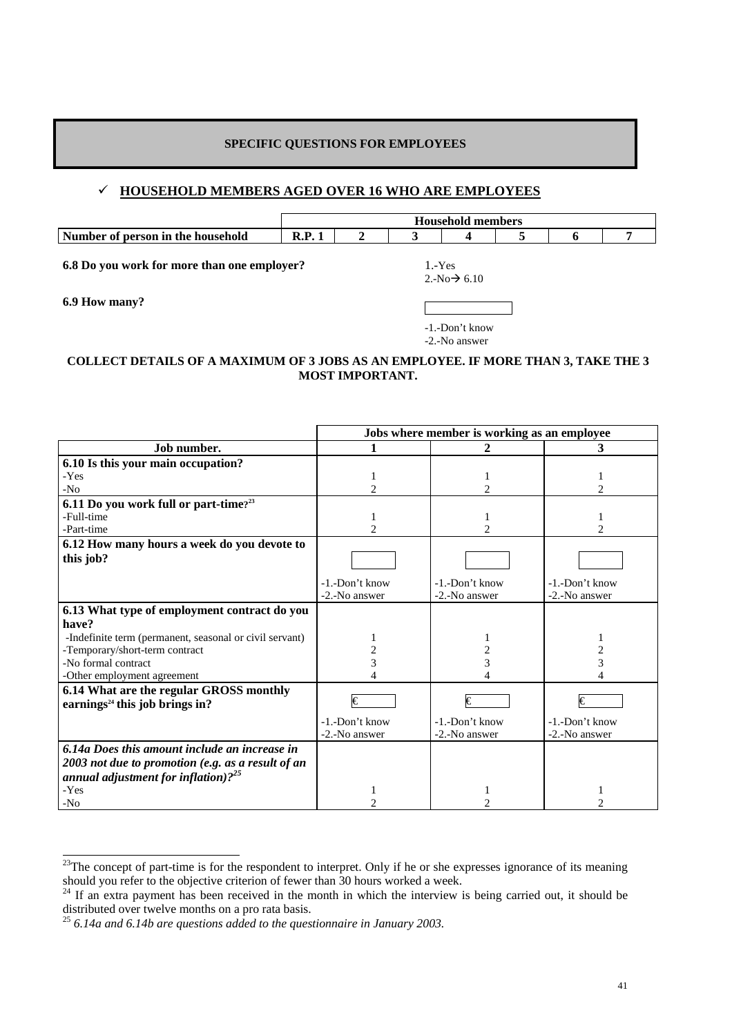# **SPECIFIC QUESTIONS FOR EMPLOYEES**

# 9 **HOUSEHOLD MEMBERS AGED OVER 16 WHO ARE EMPLOYEES**

|                                   | <b>Household</b><br>l members |  |  |  |  |  |  |
|-----------------------------------|-------------------------------|--|--|--|--|--|--|
| Number of person in the household | D<br>18.1                     |  |  |  |  |  |  |

**6.8 Do you work for more than one employer?** 1.-Yes

**6.9 How many?**

 $2.-No \rightarrow 6.10$ 

-1.-Don't know

-2.-No answer

# **COLLECT DETAILS OF A MAXIMUM OF 3 JOBS AS AN EMPLOYEE. IF MORE THAN 3, TAKE THE 3 MOST IMPORTANT.**

|                                                         | Jobs where member is working as an employee |                   |                |  |  |  |
|---------------------------------------------------------|---------------------------------------------|-------------------|----------------|--|--|--|
| Job number.                                             | 1                                           | 2                 | 3              |  |  |  |
| 6.10 Is this your main occupation?                      |                                             |                   |                |  |  |  |
| -Yes                                                    |                                             |                   |                |  |  |  |
| $-N0$                                                   | $\overline{c}$                              | $\overline{c}$    | $\mathfrak{D}$ |  |  |  |
| 6.11 Do you work full or part-time? <sup>23</sup>       |                                             |                   |                |  |  |  |
| -Full-time                                              |                                             |                   |                |  |  |  |
| -Part-time                                              |                                             | 2                 |                |  |  |  |
| 6.12 How many hours a week do you devote to             |                                             |                   |                |  |  |  |
| this job?                                               |                                             |                   |                |  |  |  |
|                                                         |                                             |                   |                |  |  |  |
|                                                         | -1.-Don't know                              | $-1$ . Don't know | -1.-Don't know |  |  |  |
|                                                         | -2.-No answer                               | -2.-No answer     | -2.-No answer  |  |  |  |
| 6.13 What type of employment contract do you            |                                             |                   |                |  |  |  |
| have?                                                   |                                             |                   |                |  |  |  |
| -Indefinite term (permanent, seasonal or civil servant) |                                             |                   |                |  |  |  |
| -Temporary/short-term contract                          |                                             |                   |                |  |  |  |
| -No formal contract                                     |                                             | 3                 | 3              |  |  |  |
| -Other employment agreement                             |                                             |                   |                |  |  |  |
| 6.14 What are the regular GROSS monthly                 |                                             |                   |                |  |  |  |
| earnings <sup>24</sup> this job brings in?              | €                                           | €                 | €              |  |  |  |
|                                                         | -1.-Don't know                              | -1.-Don't know    | -1.-Don't know |  |  |  |
|                                                         | -2.-No answer                               | -2.-No answer     | -2.-No answer  |  |  |  |
| 6.14a Does this amount include an increase in           |                                             |                   |                |  |  |  |
| 2003 not due to promotion (e.g. as a result of an       |                                             |                   |                |  |  |  |
| annual adjustment for inflation). $2^{25}$              |                                             |                   |                |  |  |  |
| -Yes                                                    |                                             |                   |                |  |  |  |
| -No                                                     |                                             |                   |                |  |  |  |

 $\frac{23}{2}$ The concept of part-time is for the respondent to interpret. Only if he or she expresses ignorance of its meaning should you refer to the objective criterion of fewer than 30 hours worked a week. <sup>24</sup> If an extra payment has been received in the month in which the interview is being carried out, it should be

distributed over twelve months on a pro rata basis.

<sup>25</sup> *6.14a and 6.14b are questions added to the questionnaire in January 2003.*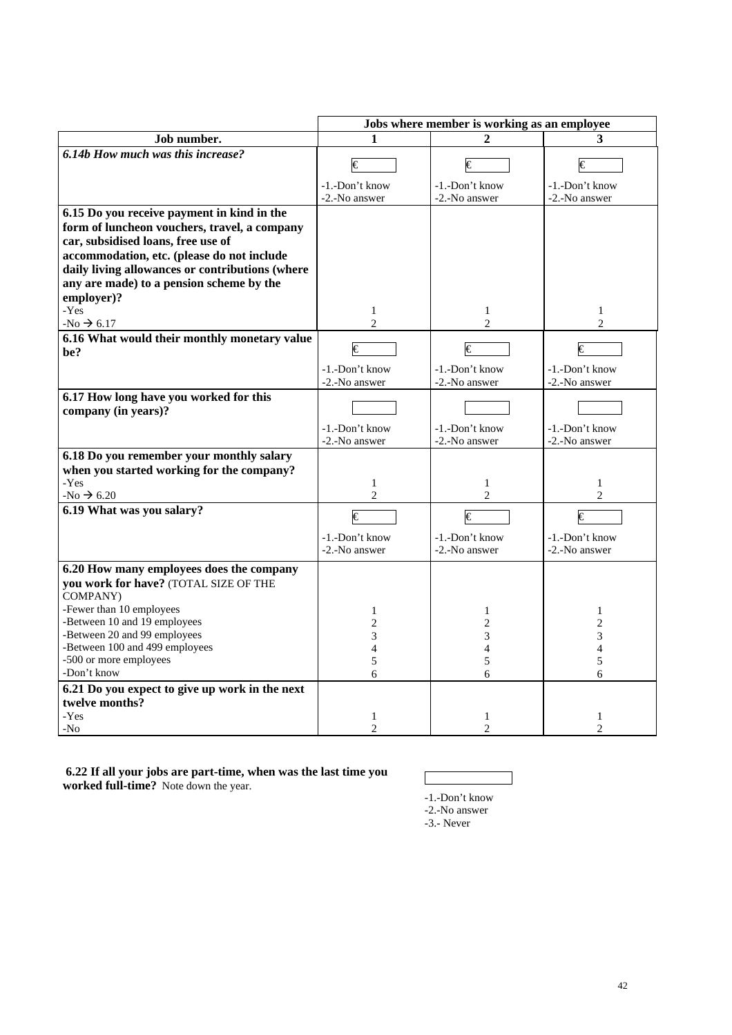|                                                                                                                                                                                                                                                                                                                        | Jobs where member is working as an employee              |                                                    |                                                                         |  |  |  |
|------------------------------------------------------------------------------------------------------------------------------------------------------------------------------------------------------------------------------------------------------------------------------------------------------------------------|----------------------------------------------------------|----------------------------------------------------|-------------------------------------------------------------------------|--|--|--|
| Job number.                                                                                                                                                                                                                                                                                                            |                                                          |                                                    | 3                                                                       |  |  |  |
| 6.14b How much was this increase?                                                                                                                                                                                                                                                                                      | $\overline{\epsilon}$<br>-1.-Don't know                  | €<br>-1.-Don't know                                | $\overline{\epsilon}$<br>-1.-Don't know                                 |  |  |  |
|                                                                                                                                                                                                                                                                                                                        | -2.-No answer                                            | -2.-No answer                                      | -2.-No answer                                                           |  |  |  |
| 6.15 Do you receive payment in kind in the<br>form of luncheon vouchers, travel, a company<br>car, subsidised loans, free use of<br>accommodation, etc. (please do not include<br>daily living allowances or contributions (where<br>any are made) to a pension scheme by the<br>employer)?                            |                                                          |                                                    |                                                                         |  |  |  |
| -Yes<br>-No $\rightarrow$ 6.17                                                                                                                                                                                                                                                                                         | $\mathbf{1}$<br>$\overline{2}$                           | $\mathbf{1}$<br>$\overline{c}$                     | $\mathbf{1}$<br>$\overline{c}$                                          |  |  |  |
| 6.16 What would their monthly monetary value<br>be?                                                                                                                                                                                                                                                                    | $\overline{\epsilon}$<br>-1.-Don't know<br>-2.-No answer | €<br>-1.-Don't know<br>-2.-No answer               | $\overline{\epsilon}$<br>-1.-Don't know<br>-2.-No answer                |  |  |  |
| 6.17 How long have you worked for this<br>company (in years)?                                                                                                                                                                                                                                                          | -1.-Don't know<br>-2.-No answer                          | -1.-Don't know<br>-2.-No answer                    | -1.-Don't know<br>-2.-No answer                                         |  |  |  |
| 6.18 Do you remember your monthly salary<br>when you started working for the company?<br>-Yes<br>$-No \rightarrow 6.20$                                                                                                                                                                                                | $\mathbf{1}$<br>$\overline{c}$                           | $\mathbf{1}$<br>$\overline{c}$                     | $\mathbf{1}$<br>2                                                       |  |  |  |
| 6.19 What was you salary?                                                                                                                                                                                                                                                                                              | €<br>-1.-Don't know<br>-2.-No answer                     | €<br>-1.-Don't know<br>-2.-No answer               | €<br>-1.-Don't know<br>-2.-No answer                                    |  |  |  |
| 6.20 How many employees does the company<br>you work for have? (TOTAL SIZE OF THE<br>COMPANY)<br>-Fewer than 10 employees<br>-Between 10 and 19 employees<br>-Between 20 and 99 employees<br>-Between 100 and 499 employees<br>-500 or more employees<br>-Don't know<br>6.21 Do you expect to give up work in the next | 1<br>$\overline{c}$<br>3<br>$\overline{4}$<br>5<br>6     | $\mathbf{1}$<br>$\overline{c}$<br>3<br>4<br>5<br>6 | $\mathbf{1}$<br>$\mathbf{2}$<br>3<br>$\overline{\mathcal{L}}$<br>5<br>6 |  |  |  |
| twelve months?<br>-Yes<br>$-NO$                                                                                                                                                                                                                                                                                        | $\mathbf{1}$<br>$\overline{2}$                           | $\mathbf{1}$<br>$\overline{c}$                     | $\mathbf{1}$<br>$\overline{2}$                                          |  |  |  |

 **6.22 If all your jobs are part-time, when was the last time you worked full-time?** Note down the year.

-1.-Don't know

-2.-No answer

-3.- Never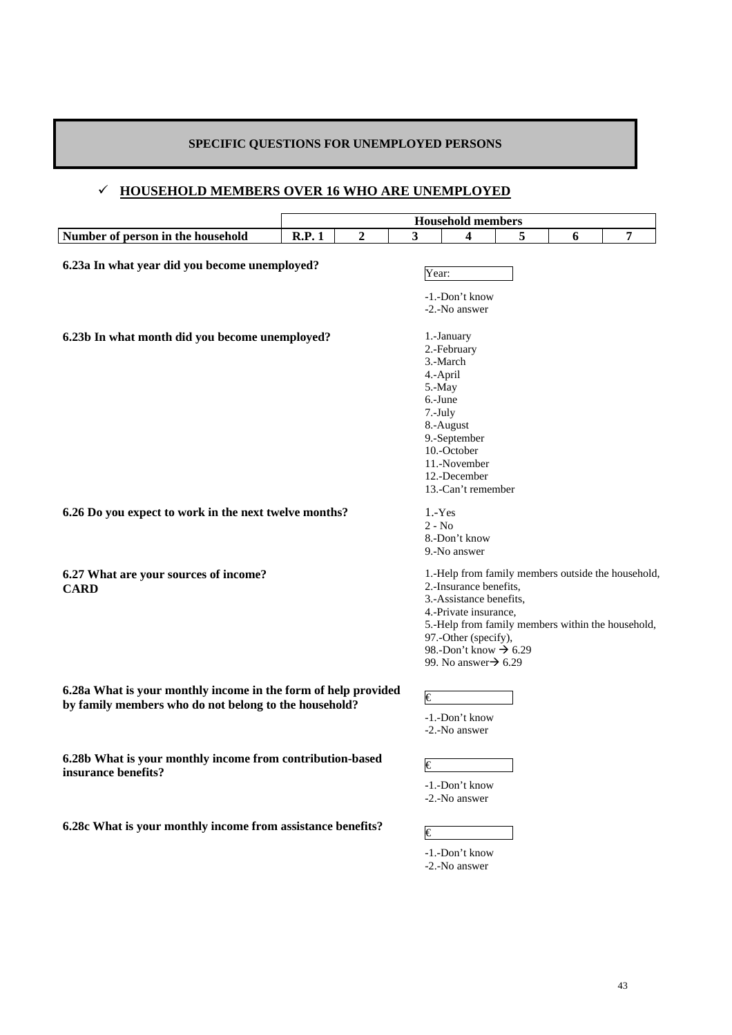# **SPECIFIC QUESTIONS FOR UNEMPLOYED PERSONS**

# 9 **HOUSEHOLD MEMBERS OVER 16 WHO ARE UNEMPLOYED**

|                                                                                                                         |              |   |       | <b>Household members</b>                                                                                                                                                            |   |   |                                                                                                         |
|-------------------------------------------------------------------------------------------------------------------------|--------------|---|-------|-------------------------------------------------------------------------------------------------------------------------------------------------------------------------------------|---|---|---------------------------------------------------------------------------------------------------------|
| Number of person in the household                                                                                       | <b>R.P.1</b> | 2 | 3     | 4                                                                                                                                                                                   | 5 | 6 | 7                                                                                                       |
| 6.23a In what year did you become unemployed?                                                                           |              |   | Year: | -1.-Don't know<br>-2.-No answer                                                                                                                                                     |   |   |                                                                                                         |
| 6.23b In what month did you become unemployed?                                                                          |              |   |       | 1.-January<br>2.-February<br>3.-March<br>4.-April<br>5.-May<br>6.-June<br>7.-July<br>8.-August<br>9.-September<br>10.-October<br>11.-November<br>12.-December<br>13.-Can't remember |   |   |                                                                                                         |
| 6.26 Do you expect to work in the next twelve months?                                                                   |              |   |       | $1.-Yes$<br>$2 - No$<br>8.-Don't know<br>9.-No answer                                                                                                                               |   |   |                                                                                                         |
| 6.27 What are your sources of income?<br><b>CARD</b>                                                                    |              |   |       | 2.-Insurance benefits,<br>3.-Assistance benefits.<br>4.-Private insurance,<br>97.-Other (specify),<br>98.-Don't know $\rightarrow$ 6.29<br>99. No answer $\rightarrow$ 6.29         |   |   | 1.-Help from family members outside the household,<br>5.-Help from family members within the household, |
| 6.28a What is your monthly income in the form of help provided<br>by family members who do not belong to the household? |              |   | €     | -1.-Don't know<br>-2.-No answer                                                                                                                                                     |   |   |                                                                                                         |
| 6.28b What is your monthly income from contribution-based<br>insurance benefits?                                        |              |   | €     | -1.-Don't know<br>-2.-No answer                                                                                                                                                     |   |   |                                                                                                         |
| 6.28c What is your monthly income from assistance benefits?                                                             |              |   | €     |                                                                                                                                                                                     |   |   |                                                                                                         |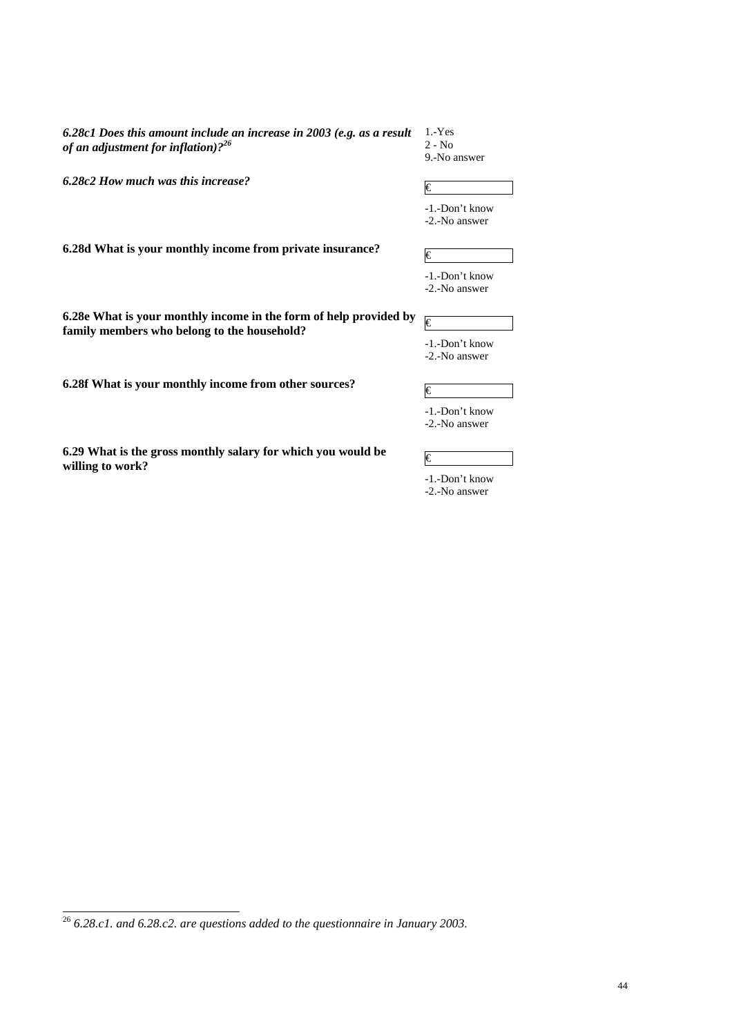*6.28c1 Does this amount include an increase in 2003 (e.g. as a result of an adjustment for inflation)?26*

1.-Yes 2 - No 9.-No answer

**6.28c2 How much was this increase?**  $\epsilon$ 

-1.-Don't know -2.-No answer

**6.28d What is your monthly income from private insurance?**  $\qquad \qquad \in \mathbb{C}$ 

| -1.-Don't know |
|----------------|
| -2.-No answer  |

**6.28e What is your monthly income in the form of help provided by 6.28e** What is your monthly income in the form of help provided by  $\epsilon$  family members who belong to the household?

**6.28f What is your monthly income from other sources?**  $\qquad \qquad \in \mathbb{R}$ 

| -1.-Don't know |
|----------------|
| $\sim$ $\sim$  |

-2.-No answer

-1.-Don't know -2.-No answer

**6.29** What is the gross monthly salary for which you would be  $\epsilon$   $\epsilon$ 

 <sup>26</sup> *6.28.c1. and 6.28.c2. are questions added to the questionnaire in January 2003.*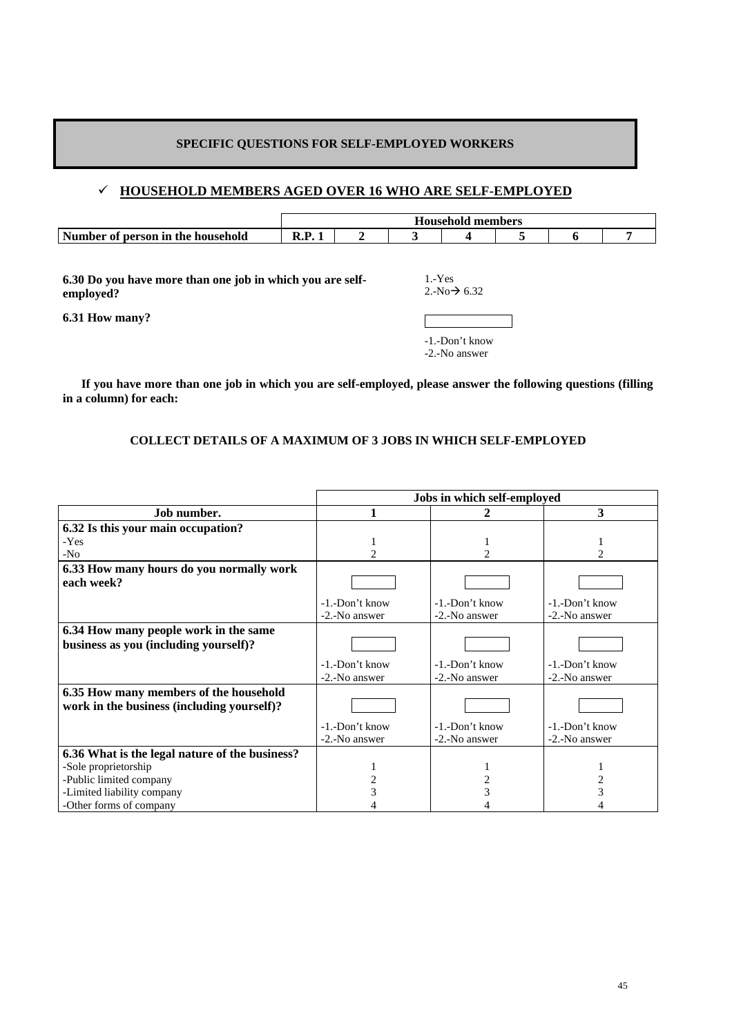# **SPECIFIC QUESTIONS FOR SELF-EMPLOYED WORKERS**

# 9 **HOUSEHOLD MEMBERS AGED OVER 16 WHO ARE SELF-EMPLOYED**

|                                   | Household<br>members |  |  |  |  |  |  |
|-----------------------------------|----------------------|--|--|--|--|--|--|
| Number of person in the household |                      |  |  |  |  |  |  |

**6.30 Do you have more than one job in which you are selfemployed?** 

1.-Yes  $2.-No \rightarrow 6.32$ 

**6.31 How many?**

-1.-Don't know -2.-No answer

 **If you have more than one job in which you are self-employed, please answer the following questions (filling in a column) for each:** 

# **COLLECT DETAILS OF A MAXIMUM OF 3 JOBS IN WHICH SELF-EMPLOYED**

|                                                                                      | Jobs in which self-employed |                    |                       |  |  |  |  |
|--------------------------------------------------------------------------------------|-----------------------------|--------------------|-----------------------|--|--|--|--|
| Job number.                                                                          |                             |                    | 3                     |  |  |  |  |
| 6.32 Is this your main occupation?                                                   |                             |                    |                       |  |  |  |  |
| -Yes                                                                                 |                             |                    |                       |  |  |  |  |
| $-N0$                                                                                |                             | 2                  |                       |  |  |  |  |
| 6.33 How many hours do you normally work                                             |                             |                    |                       |  |  |  |  |
| each week?                                                                           |                             |                    |                       |  |  |  |  |
|                                                                                      | $-1$ . $-$ Don't know       | $-1$ $-Don't$ know | $-1$ . $-$ Don't know |  |  |  |  |
|                                                                                      | -2.-No answer               | -2.-No answer      | -2.-No answer         |  |  |  |  |
| 6.34 How many people work in the same<br>business as you (including yourself)?       |                             |                    |                       |  |  |  |  |
|                                                                                      | $-1$ . $-$ Don't know       | $-1$ $-Don't$ know | -1.-Don't know        |  |  |  |  |
|                                                                                      | -2.-No answer               | -2.-No answer      | -2.-No answer         |  |  |  |  |
| 6.35 How many members of the household<br>work in the business (including yourself)? |                             |                    |                       |  |  |  |  |
|                                                                                      | -1.-Don't know              | -1.-Don't know     | -1.-Don't know        |  |  |  |  |
|                                                                                      | -2.-No answer               | -2.-No answer      | -2.-No answer         |  |  |  |  |
| 6.36 What is the legal nature of the business?                                       |                             |                    |                       |  |  |  |  |
| -Sole proprietorship                                                                 |                             |                    |                       |  |  |  |  |
| -Public limited company                                                              |                             |                    |                       |  |  |  |  |
| -Limited liability company                                                           |                             |                    |                       |  |  |  |  |
| -Other forms of company                                                              |                             |                    |                       |  |  |  |  |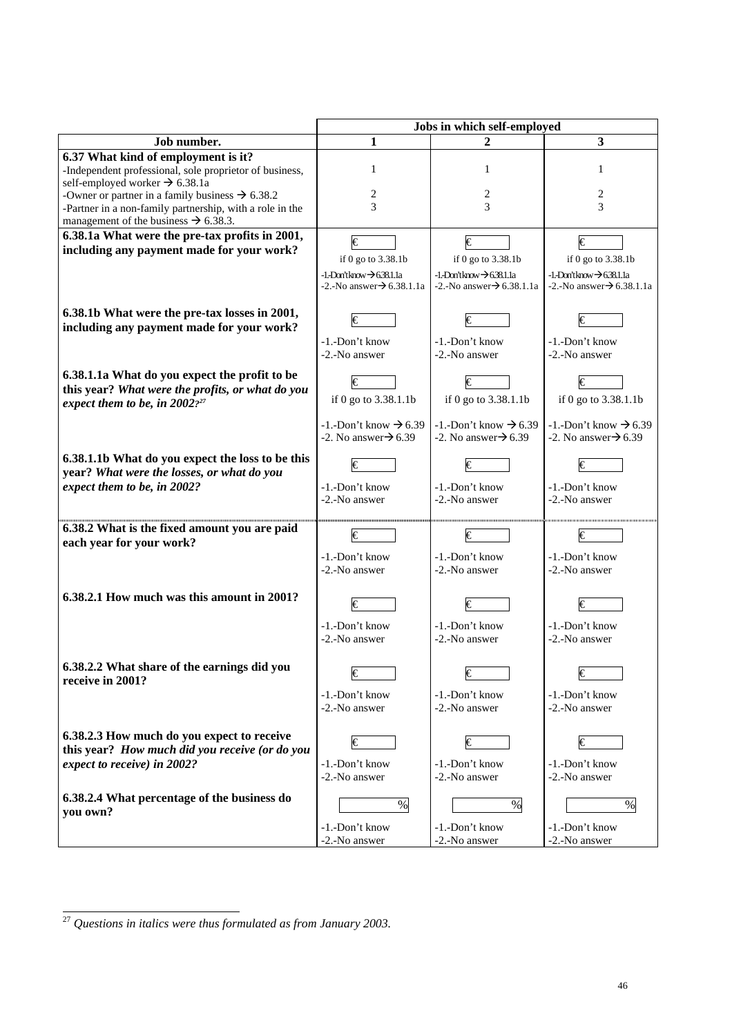|                                                                                                                                                                                                                                                                                                                             | Jobs in which self-employed                                                                                                      |                                                                                                                          |                                                                                                                   |  |  |  |
|-----------------------------------------------------------------------------------------------------------------------------------------------------------------------------------------------------------------------------------------------------------------------------------------------------------------------------|----------------------------------------------------------------------------------------------------------------------------------|--------------------------------------------------------------------------------------------------------------------------|-------------------------------------------------------------------------------------------------------------------|--|--|--|
| Job number.                                                                                                                                                                                                                                                                                                                 | 1                                                                                                                                | 2                                                                                                                        | 3                                                                                                                 |  |  |  |
| 6.37 What kind of employment is it?<br>-Independent professional, sole proprietor of business,<br>self-employed worker $\rightarrow$ 6.38.1a<br>-Owner or partner in a family business $\rightarrow$ 6.38.2<br>-Partner in a non-family partnership, with a role in the<br>management of the business $\rightarrow$ 6.38.3. | 1<br>2<br>3                                                                                                                      | 1<br>2<br>3                                                                                                              | 1<br>2<br>3                                                                                                       |  |  |  |
| 6.38.1a What were the pre-tax profits in 2001,<br>including any payment made for your work?                                                                                                                                                                                                                                 | $\overline{\epsilon}$<br>if 0 go to $3.38.1b$<br>$-1.$ Don'tknow $\rightarrow$ 638.1.1a<br>-2.-No answer $\rightarrow$ 6.38.1.1a | $\epsilon$<br>if 0 go to $3.38.1b$<br>$-1.$ Don'tknow $\rightarrow$ 638.1.1a<br>$-2$ . No answer $\rightarrow$ 6.38.1.1a | $\in$<br>if 0 go to 3.38.1b<br>$-1.$ Don'tknow $\rightarrow$ 638.1.1a<br>$-2$ . No answer $\rightarrow$ 6.38.1.1a |  |  |  |
| 6.38.1b What were the pre-tax losses in 2001,<br>including any payment made for your work?                                                                                                                                                                                                                                  | €<br>-1.-Don't know<br>-2.-No answer                                                                                             | €<br>-1.-Don't know<br>-2.-No answer                                                                                     | €<br>-1.-Don't know<br>-2.-No answer                                                                              |  |  |  |
| 6.38.1.1a What do you expect the profit to be<br>this year? What were the profits, or what do you<br>expect them to be, in $2002$ ? <sup>27</sup>                                                                                                                                                                           | €<br>if 0 go to 3.38.1.1b                                                                                                        | €<br>if 0 go to 3.38.1.1b                                                                                                | €<br>if 0 go to 3.38.1.1b                                                                                         |  |  |  |
|                                                                                                                                                                                                                                                                                                                             | $-1$ . Don't know $\rightarrow 6.39$<br>$-2$ . No answer $\rightarrow$ 6.39                                                      | $-1$ . Don't know $\rightarrow 6.39$<br>$-2$ . No answer $\rightarrow 6.39$                                              | $-1$ . Don't know $\rightarrow 6.39$<br>-2. No answer $\rightarrow$ 6.39                                          |  |  |  |
| 6.38.1.1b What do you expect the loss to be this<br>year? What were the losses, or what do you<br>expect them to be, in 2002?                                                                                                                                                                                               | €<br>-1.-Don't know<br>-2.-No answer                                                                                             | €<br>-1.-Don't know<br>-2.-No answer                                                                                     | €<br>-1.-Don't know<br>-2.-No answer                                                                              |  |  |  |
| 6.38.2 What is the fixed amount you are paid<br>each year for your work?                                                                                                                                                                                                                                                    | €<br>-1.-Don't know<br>-2.-No answer                                                                                             | €<br>-1.-Don't know<br>-2.-No answer                                                                                     | €<br>-1.-Don't know<br>-2.-No answer                                                                              |  |  |  |
| 6.38.2.1 How much was this amount in 2001?                                                                                                                                                                                                                                                                                  | €<br>-1.-Don't know<br>-2.-No answer                                                                                             | €<br>-1.-Don't know<br>-2.-No answer                                                                                     | €<br>-1.-Don't know<br>-2.-No answer                                                                              |  |  |  |
| 6.38.2.2 What share of the earnings did you<br>receive in 2001?                                                                                                                                                                                                                                                             | €<br>-1.-Don't know<br>-2.-No answer                                                                                             | €<br>-1.-Don't know<br>-2.-No answer                                                                                     | €<br>-1.-Don't know<br>-2.-No answer                                                                              |  |  |  |
| 6.38.2.3 How much do you expect to receive<br>this year? How much did you receive (or do you<br>expect to receive) in 2002?                                                                                                                                                                                                 | $\in$<br>-1.-Don't know<br>-2.-No answer                                                                                         | €<br>-1.-Don't know<br>-2.-No answer                                                                                     | €<br>-1.-Don't know<br>-2.-No answer                                                                              |  |  |  |
| 6.38.2.4 What percentage of the business do<br>you own?                                                                                                                                                                                                                                                                     | $\%$<br>-1.-Don't know                                                                                                           | %<br>-1.-Don't know                                                                                                      | %<br>-1.-Don't know                                                                                               |  |  |  |
|                                                                                                                                                                                                                                                                                                                             | -2.-No answer                                                                                                                    | -2.-No answer                                                                                                            | -2.-No answer                                                                                                     |  |  |  |

 <sup>27</sup> *Questions in italics were thus formulated as from January 2003.*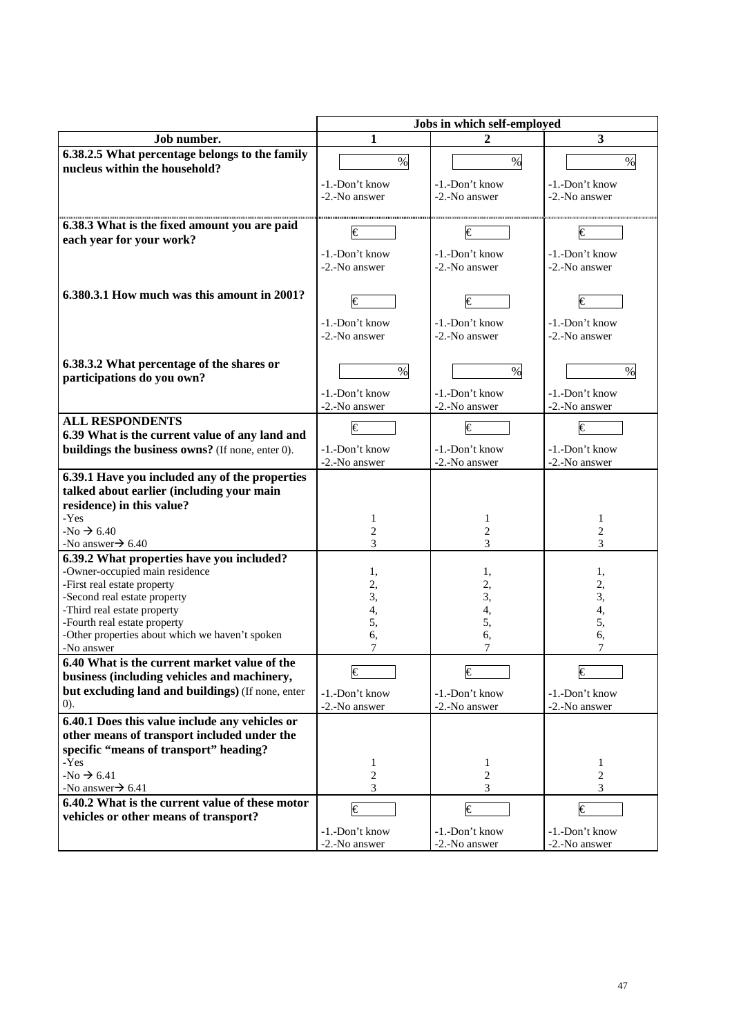|                                                                                                    | Jobs in which self-employed     |                                 |                                 |  |  |  |
|----------------------------------------------------------------------------------------------------|---------------------------------|---------------------------------|---------------------------------|--|--|--|
| Job number.                                                                                        | 1                               | 2                               | 3                               |  |  |  |
| 6.38.2.5 What percentage belongs to the family<br>nucleus within the household?                    | $\%$                            | $\%$                            | $\%$                            |  |  |  |
|                                                                                                    | -1.-Don't know<br>-2.-No answer | -1.-Don't know<br>-2.-No answer | -1.-Don't know<br>-2.-No answer |  |  |  |
| 6.38.3 What is the fixed amount you are paid<br>each year for your work?                           | I€                              | €                               | €                               |  |  |  |
|                                                                                                    | -1.-Don't know<br>-2.-No answer | -1.-Don't know<br>-2.-No answer | -1.-Don't know<br>-2.-No answer |  |  |  |
| 6.380.3.1 How much was this amount in 2001?                                                        | $\epsilon$                      | €                               | €                               |  |  |  |
|                                                                                                    | -1.-Don't know<br>-2.-No answer | -1.-Don't know<br>-2.-No answer | -1.-Don't know<br>-2.-No answer |  |  |  |
| 6.38.3.2 What percentage of the shares or<br>participations do you own?                            | $\%$                            | $\%$                            | $\%$                            |  |  |  |
|                                                                                                    | -1.-Don't know<br>-2.-No answer | -1.-Don't know<br>-2.-No answer | -1.-Don't know<br>-2.-No answer |  |  |  |
| <b>ALL RESPONDENTS</b>                                                                             | €                               | €                               | €                               |  |  |  |
| 6.39 What is the current value of any land and<br>buildings the business owns? (If none, enter 0). | -1.-Don't know<br>-2.-No answer | -1.-Don't know<br>-2.-No answer | -1.-Don't know<br>-2.-No answer |  |  |  |
| 6.39.1 Have you included any of the properties                                                     |                                 |                                 |                                 |  |  |  |
| talked about earlier (including your main<br>residence) in this value?                             |                                 |                                 |                                 |  |  |  |
| -Yes                                                                                               | 1                               | 1                               | 1                               |  |  |  |
| $-No \rightarrow 6.40$                                                                             | 2                               | 2                               | 2                               |  |  |  |
| -No answer $\rightarrow$ 6.40                                                                      | 3                               | 3                               | 3                               |  |  |  |
| 6.39.2 What properties have you included?                                                          |                                 |                                 |                                 |  |  |  |
| -Owner-occupied main residence<br>-First real estate property                                      | 1,                              | 1,<br>2,                        | 1,<br>2,                        |  |  |  |
| -Second real estate property                                                                       | 2,<br>3,                        | 3,                              | 3,                              |  |  |  |
| -Third real estate property                                                                        | 4,                              | 4,                              | 4,                              |  |  |  |
| -Fourth real estate property                                                                       | 5,                              | 5,                              | 5,                              |  |  |  |
| -Other properties about which we haven't spoken                                                    | 6,<br>7                         | 6,<br>7                         | 6,                              |  |  |  |
| -No answer<br>6.40 What is the current market value of the                                         |                                 |                                 | 7                               |  |  |  |
| business (including vehicles and machinery,                                                        | €                               | €                               | €                               |  |  |  |
| but excluding land and buildings) (If none, enter                                                  | -1.-Don't know                  | -1.-Don't know                  | -1.-Don't know                  |  |  |  |
| (0).                                                                                               | -2.-No answer                   | -2.-No answer                   | -2.-No answer                   |  |  |  |
| 6.40.1 Does this value include any vehicles or                                                     |                                 |                                 |                                 |  |  |  |
| other means of transport included under the<br>specific "means of transport" heading?              |                                 |                                 |                                 |  |  |  |
| -Yes<br>$-No \rightarrow 6.41$                                                                     | 1<br>$\overline{c}$             | $\mathbf{1}$<br>2               | $\mathbf{1}$<br>2               |  |  |  |
| -No answer $\rightarrow$ 6.41                                                                      | 3                               | 3                               | 3                               |  |  |  |
| 6.40.2 What is the current value of these motor                                                    |                                 |                                 |                                 |  |  |  |
| vehicles or other means of transport?                                                              | €                               | €                               | €                               |  |  |  |
|                                                                                                    | -1.-Don't know                  | -1.-Don't know                  | -1.-Don't know                  |  |  |  |
|                                                                                                    | -2.-No answer                   | -2.-No answer                   | -2.-No answer                   |  |  |  |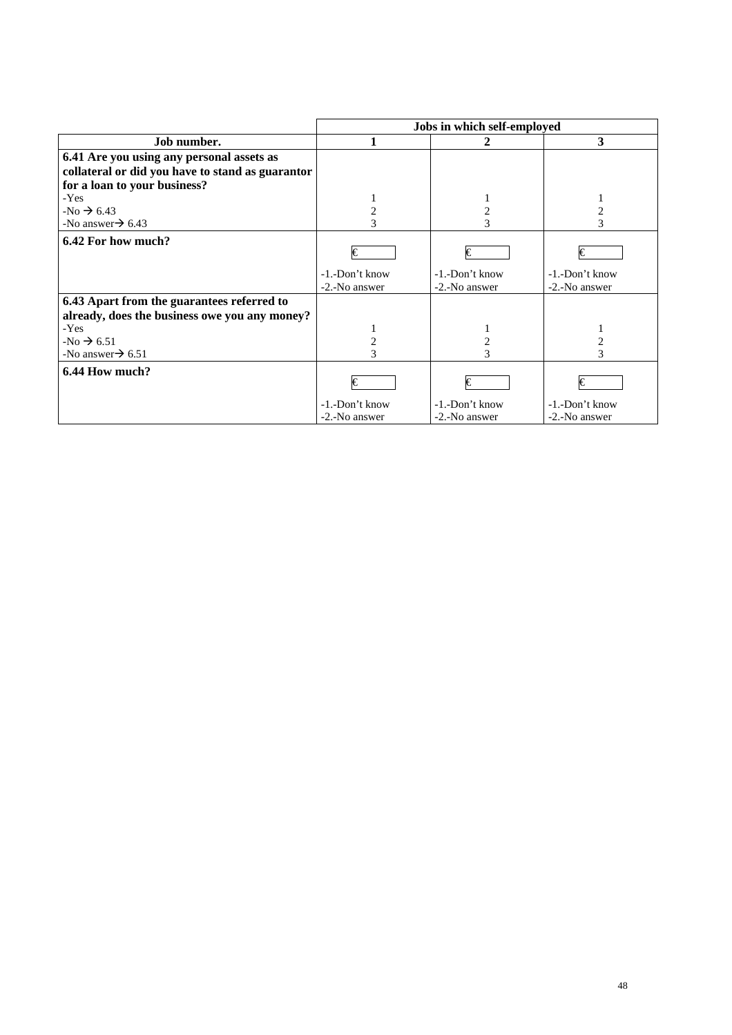|                                                                                                                                                                  | Jobs in which self-employed          |                                        |                                        |  |  |  |  |
|------------------------------------------------------------------------------------------------------------------------------------------------------------------|--------------------------------------|----------------------------------------|----------------------------------------|--|--|--|--|
| Job number.                                                                                                                                                      |                                      | 2                                      | 3                                      |  |  |  |  |
| 6.41 Are you using any personal assets as                                                                                                                        |                                      |                                        |                                        |  |  |  |  |
| collateral or did you have to stand as guarantor                                                                                                                 |                                      |                                        |                                        |  |  |  |  |
| for a loan to your business?                                                                                                                                     |                                      |                                        |                                        |  |  |  |  |
| $-Yes$                                                                                                                                                           |                                      |                                        |                                        |  |  |  |  |
| $-No \rightarrow 6.43$                                                                                                                                           |                                      | 2                                      |                                        |  |  |  |  |
| -No answer $\rightarrow$ 6.43                                                                                                                                    |                                      |                                        |                                        |  |  |  |  |
| 6.42 For how much?                                                                                                                                               | I€                                   | €                                      | I€                                     |  |  |  |  |
|                                                                                                                                                                  | -1.-Don't know<br>-2.-No answer      | $-1$ . $-$ Don't know<br>-2.-No answer | $-1$ . $-$ Don't know<br>-2.-No answer |  |  |  |  |
| 6.43 Apart from the guarantees referred to<br>already, does the business owe you any money?<br>$-Yes$<br>$-No \rightarrow 6.51$<br>-No answer $\rightarrow$ 6.51 |                                      |                                        |                                        |  |  |  |  |
| 6.44 How much?                                                                                                                                                   | Ѥ<br>-1.-Don't know<br>-2.-No answer | €<br>-1.-Don't know<br>-2.-No answer   | I€<br>-1.-Don't know<br>-2.-No answer  |  |  |  |  |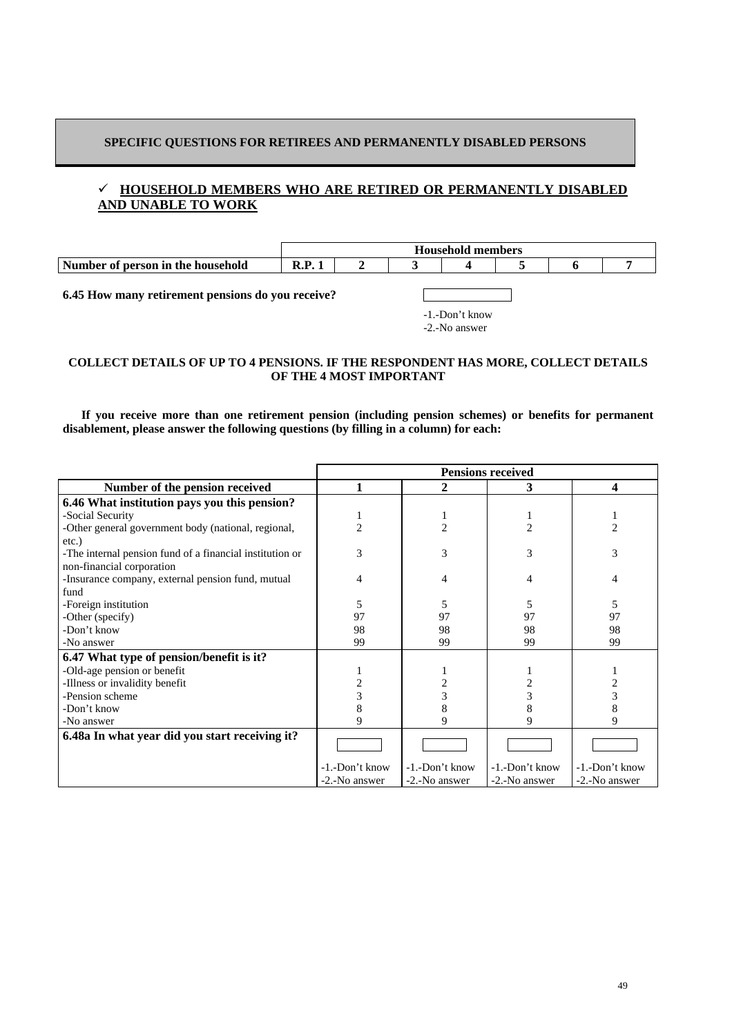# **SPECIFIC QUESTIONS FOR RETIREES AND PERMANENTLY DISABLED PERSONS**

# 9 **HOUSEHOLD MEMBERS WHO ARE RETIRED OR PERMANENTLY DISABLED AND UNABLE TO WORK**



-1.-Don't know -2.-No answer

# **COLLECT DETAILS OF UP TO 4 PENSIONS. IF THE RESPONDENT HAS MORE, COLLECT DETAILS OF THE 4 MOST IMPORTANT**

 **If you receive more than one retirement pension (including pension schemes) or benefits for permanent disablement, please answer the following questions (by filling in a column) for each:** 

|                                                          | <b>Pensions received</b> |                |                |                |  |  |  |
|----------------------------------------------------------|--------------------------|----------------|----------------|----------------|--|--|--|
| Number of the pension received                           | 2<br>4<br>3              |                |                |                |  |  |  |
| 6.46 What institution pays you this pension?             |                          |                |                |                |  |  |  |
| -Social Security                                         |                          |                |                |                |  |  |  |
| -Other general government body (national, regional,      | $\mathfrak{D}$           | $\mathfrak{D}$ | $\overline{c}$ | $\overline{c}$ |  |  |  |
| etc.)                                                    |                          |                |                |                |  |  |  |
| -The internal pension fund of a financial institution or | 3                        | 3              | 3              | 3              |  |  |  |
| non-financial corporation                                |                          |                |                |                |  |  |  |
| -Insurance company, external pension fund, mutual        | 4                        | 4              | 4              | 4              |  |  |  |
| fund                                                     |                          |                |                |                |  |  |  |
| -Foreign institution                                     | 5                        | 5              | 5              | 5              |  |  |  |
| -Other (specify)                                         | 97                       | 97             | 97             | 97             |  |  |  |
| -Don't know                                              | 98                       | 98             | 98             | 98             |  |  |  |
| -No answer                                               | 99                       | 99             | 99             | 99             |  |  |  |
| 6.47 What type of pension/benefit is it?                 |                          |                |                |                |  |  |  |
| -Old-age pension or benefit                              |                          |                |                |                |  |  |  |
| -Illness or invalidity benefit                           |                          | 2              |                |                |  |  |  |
| -Pension scheme                                          |                          | 3              |                |                |  |  |  |
| -Don't know                                              |                          | 8              | 8              |                |  |  |  |
| -No answer                                               | 9                        | 9              | 9              | 9              |  |  |  |
| 6.48a In what year did you start receiving it?           |                          |                |                |                |  |  |  |
|                                                          |                          |                |                |                |  |  |  |
|                                                          | -1.-Don't know           | -1.-Don't know | -1.-Don't know | -1.-Don't know |  |  |  |
|                                                          | -2.-No answer            | -2.-No answer  | -2.-No answer  | -2.-No answer  |  |  |  |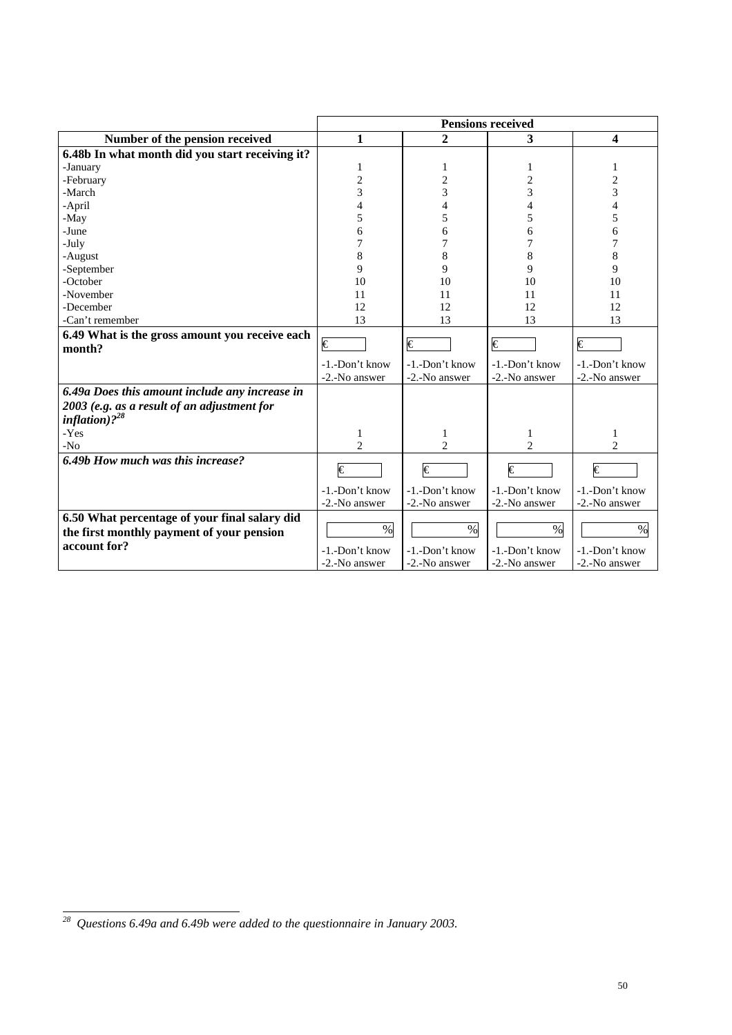|                                                 | <b>Pensions received</b> |                |                       |                         |  |  |  |
|-------------------------------------------------|--------------------------|----------------|-----------------------|-------------------------|--|--|--|
| Number of the pension received                  | 1                        | $\overline{2}$ | 3                     | $\overline{\mathbf{4}}$ |  |  |  |
| 6.48b In what month did you start receiving it? |                          |                |                       |                         |  |  |  |
| -January                                        | 1                        | 1              | 1                     | 1                       |  |  |  |
| -February                                       | $\overline{c}$           | $\overline{2}$ | $\overline{2}$        | 2                       |  |  |  |
| -March                                          | 3                        | 3              | 3                     | 3                       |  |  |  |
| -April                                          | 4                        | 4              | 4                     | 4                       |  |  |  |
| -May                                            | 5                        | 5              | 5                     | 5                       |  |  |  |
| -June                                           | 6                        | 6              | 6                     | 6                       |  |  |  |
| -July                                           | 7                        | 7              | 7                     | 7                       |  |  |  |
| -August                                         | 8                        | 8              | 8                     | 8                       |  |  |  |
| -September                                      | 9                        | 9              | 9                     | 9                       |  |  |  |
| -October                                        | 10                       | 10             | 10                    | 10                      |  |  |  |
| -November                                       | 11                       | 11             | 11                    | 11                      |  |  |  |
| -December                                       | 12                       | 12             | 12                    | 12                      |  |  |  |
| -Can't remember                                 | 13                       | 13             | 13                    | 13                      |  |  |  |
| 6.49 What is the gross amount you receive each  |                          |                |                       |                         |  |  |  |
| month?                                          | $\overline{\epsilon}$    | €              | €                     | €                       |  |  |  |
|                                                 | -1.-Don't know           | -1.-Don't know | -1.-Don't know        | -1.-Don't know          |  |  |  |
|                                                 | -2.-No answer            | -2.-No answer  | -2.-No answer         | -2.-No answer           |  |  |  |
| 6.49a Does this amount include any increase in  |                          |                |                       |                         |  |  |  |
| 2003 (e.g. as a result of an adjustment for     |                          |                |                       |                         |  |  |  |
| inflation) $2^{28}$                             |                          |                |                       |                         |  |  |  |
| -Yes                                            | 1                        | 1              |                       | 1                       |  |  |  |
| $-N0$                                           | $\overline{c}$           | $\overline{c}$ | $\mathfrak{D}$        | $\mathfrak{D}$          |  |  |  |
| 6.49b How much was this increase?               |                          |                |                       |                         |  |  |  |
|                                                 | $\overline{\epsilon}$    | €              | $\overline{\epsilon}$ | $\overline{\epsilon}$   |  |  |  |
|                                                 | -1.-Don't know           | -1.-Don't know | -1.-Don't know        | -1.-Don't know          |  |  |  |
|                                                 | -2.-No answer            | -2.-No answer  | -2.-No answer         | -2.-No answer           |  |  |  |
| 6.50 What percentage of your final salary did   |                          |                |                       |                         |  |  |  |
| the first monthly payment of your pension       | $\%$                     | $\%$           | $\%$                  | $\%$                    |  |  |  |
| account for?                                    | -1.-Don't know           | -1.-Don't know | -1.-Don't know        | -1.-Don't know          |  |  |  |
|                                                 | -2.-No answer            | -2.-No answer  | -2.-No answer         | -2.-No answer           |  |  |  |
|                                                 |                          |                |                       |                         |  |  |  |

 *28 Questions 6.49a and 6.49b were added to the questionnaire in January 2003.*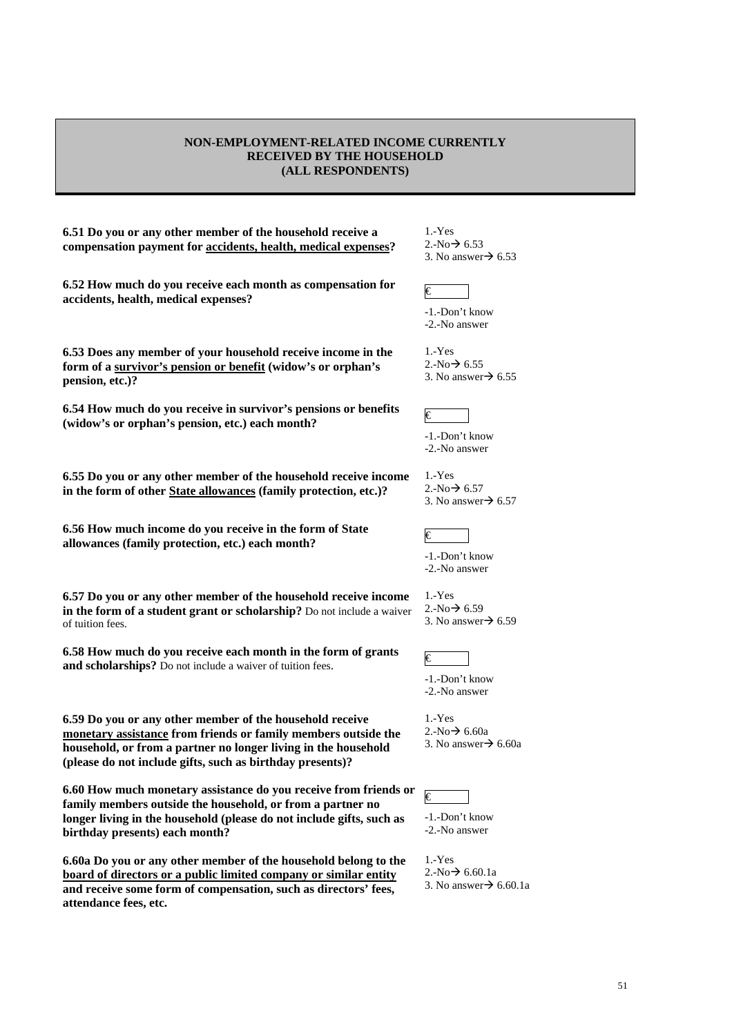### **NON-EMPLOYMENT-RELATED INCOME CURRENTLY RECEIVED BY THE HOUSEHOLD (ALL RESPONDENTS)**

**6.51 Do you or any other member of the household receive a compensation payment for accidents, health, medical expenses?** 

**6.52 How much do you receive each month as compensation for**   $\alpha$ .  $\alpha$  accidents, health, medical expenses?

**6.53 Does any member of your household receive income in the form of a survivor's pension or benefit (widow's or orphan's pension, etc.)?** 

**6.54 How much do you receive in survivor's pensions or benefits**  0.54 How much do you receive in survivor's pensions or benefits  $\epsilon$  (widow's or orphan's pension, etc.) each month?

**6.55 Do you or any other member of the household receive income in the form of other State allowances (family protection, etc.)?** 

**6.56 How much income do you receive in the form of State allowances (family protection, etc.) each month?**  $\epsilon$ 

**6.57 Do you or any other member of the household receive income in the form of a student grant or scholarship?** Do not include a waiver of tuition fees.

**6.58 How much do you receive each month in the form of grants and scholarships?** Do not include a waiver of tuition fees.

**6.59 Do you or any other member of the household receive monetary assistance from friends or family members outside the household, or from a partner no longer living in the household (please do not include gifts, such as birthday presents)?** 

**6.60 How much monetary assistance do you receive from friends or family members outside the household, or from a partner no longer living in the household (please do not include gifts, such as birthday presents) each month?** 

**6.60a Do you or any other member of the household belong to the board of directors or a public limited company or similar entity and receive some form of compensation, such as directors' fees, attendance fees, etc.** 

1.-Yes  $2.-No \rightarrow 6.53$ 3. No answer $\rightarrow$  6.53



-1.-Don't know -2.-No answer

1.-Yes  $2.-No \rightarrow 6.55$ 3. No answer $\rightarrow$  6.55

-1.-Don't know -2.-No answer

1.-Yes  $2.-No \rightarrow 6.57$ 

3. No answer $\rightarrow$  6.57



-1.-Don't know -2.-No answer

1.-Yes  $2.-No \rightarrow 6.59$ 3. No answer $\rightarrow$  6.59



-1.-Don't know -2.-No answer

1.-Yes  $2.-No \rightarrow 6.60a$ 3. No answer $\rightarrow$  6.60a

€

-1.-Don't know -2.-No answer

1.-Yes  $2.-No \rightarrow 6.60.1a$ 3. No answer  $\rightarrow$  6.60.1a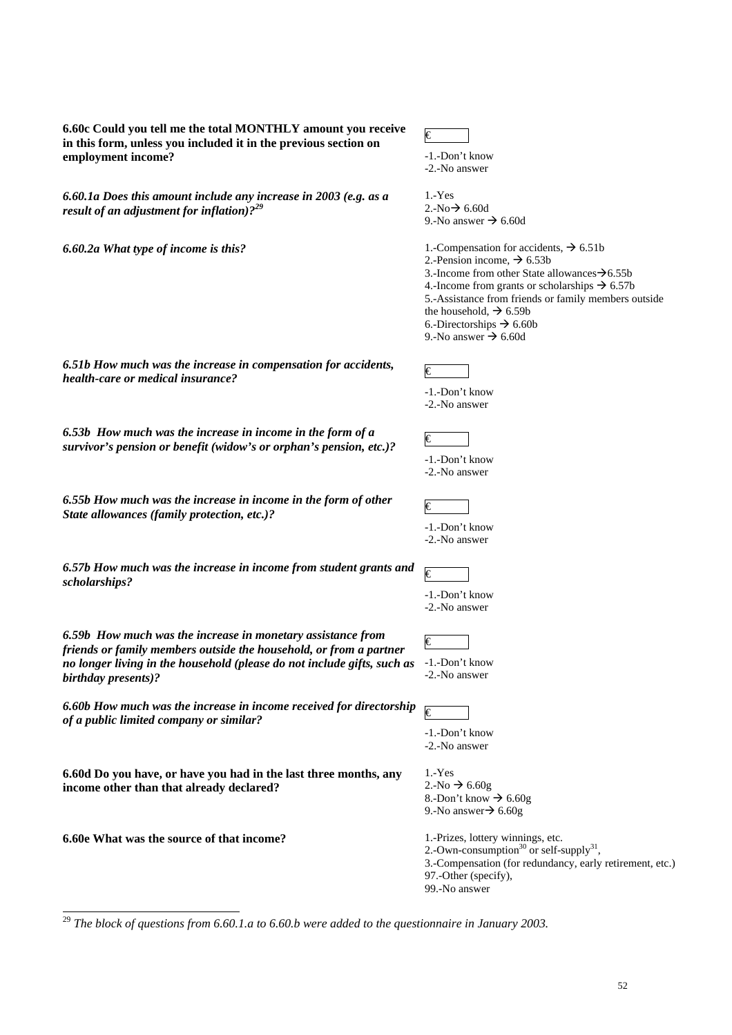| 6.60c Could you tell me the total MONTHLY amount you receive<br>in this form, unless you included it in the previous section on<br>employment income?                                                                               | $\epsilon$<br>-1.-Don't know<br>-2.-No answer                                                                                                                                                                                                                                                                                                                                                    |
|-------------------------------------------------------------------------------------------------------------------------------------------------------------------------------------------------------------------------------------|--------------------------------------------------------------------------------------------------------------------------------------------------------------------------------------------------------------------------------------------------------------------------------------------------------------------------------------------------------------------------------------------------|
| 6.60.1a Does this amount include any increase in 2003 (e.g. as a<br>result of an adjustment for inflation). $2^{29}$                                                                                                                | $1.-Yes$<br>2.-No $\rightarrow$ 6.60d<br>9.-No answer $\rightarrow$ 6.60d                                                                                                                                                                                                                                                                                                                        |
| 6.60.2a What type of income is this?                                                                                                                                                                                                | 1.-Compensation for accidents, $\rightarrow$ 6.51b<br>2.-Pension income, $\rightarrow$ 6.53b<br>3.-Income from other State allowances $\rightarrow 6.55b$<br>4.-Income from grants or scholarships $\rightarrow$ 6.57b<br>5.-Assistance from friends or family members outside<br>the household, $\rightarrow$ 6.59b<br>6.-Directorships $\rightarrow$ 6.60b<br>9.-No answer $\rightarrow$ 6.60d |
| 6.51b How much was the increase in compensation for accidents,<br>health-care or medical insurance?                                                                                                                                 | $\in$<br>-1.-Don't know<br>-2.-No answer                                                                                                                                                                                                                                                                                                                                                         |
| 6.53b How much was the increase in income in the form of a<br>survivor's pension or benefit (widow's or orphan's pension, etc.)?                                                                                                    | €<br>-1.-Don't know<br>-2.-No answer                                                                                                                                                                                                                                                                                                                                                             |
| 6.55b How much was the increase in income in the form of other<br>State allowances (family protection, etc.)?                                                                                                                       | €<br>-1.-Don't know<br>-2.-No answer                                                                                                                                                                                                                                                                                                                                                             |
| 6.57b How much was the increase in income from student grants and<br>scholarships?                                                                                                                                                  | $\overline{\epsilon}$<br>-1.-Don't know<br>-2.-No answer                                                                                                                                                                                                                                                                                                                                         |
| 6.59b How much was the increase in monetary assistance from<br>friends or family members outside the household, or from a partner<br>no longer living in the household (please do not include gifts, such as<br>birthday presents)? | $ \epsilon $<br>-1.-Don't know<br>-2.-No answer                                                                                                                                                                                                                                                                                                                                                  |
| 6.60b How much was the increase in income received for directorship<br>of a public limited company or similar?                                                                                                                      | $\overline{\epsilon}$<br>-1.-Don't know<br>-2.-No answer                                                                                                                                                                                                                                                                                                                                         |
| 6.60d Do you have, or have you had in the last three months, any<br>income other than that already declared?                                                                                                                        | $1.-Yes$<br>2.-No $\rightarrow$ 6.60g<br>8.-Don't know $\rightarrow$ 6.60g<br>9.-No answer $\rightarrow 6.60g$                                                                                                                                                                                                                                                                                   |
| 6.60e What was the source of that income?                                                                                                                                                                                           | 1.-Prizes, lottery winnings, etc.<br>2.-Own-consumption <sup>30</sup> or self-supply <sup>31</sup> ,<br>3.-Compensation (for redundancy, early retirement, etc.)<br>97.-Other (specify),<br>99.-No answer                                                                                                                                                                                        |

<sup>29</sup> *The block of questions from 6.60.1.a to 6.60.b were added to the questionnaire in January 2003.*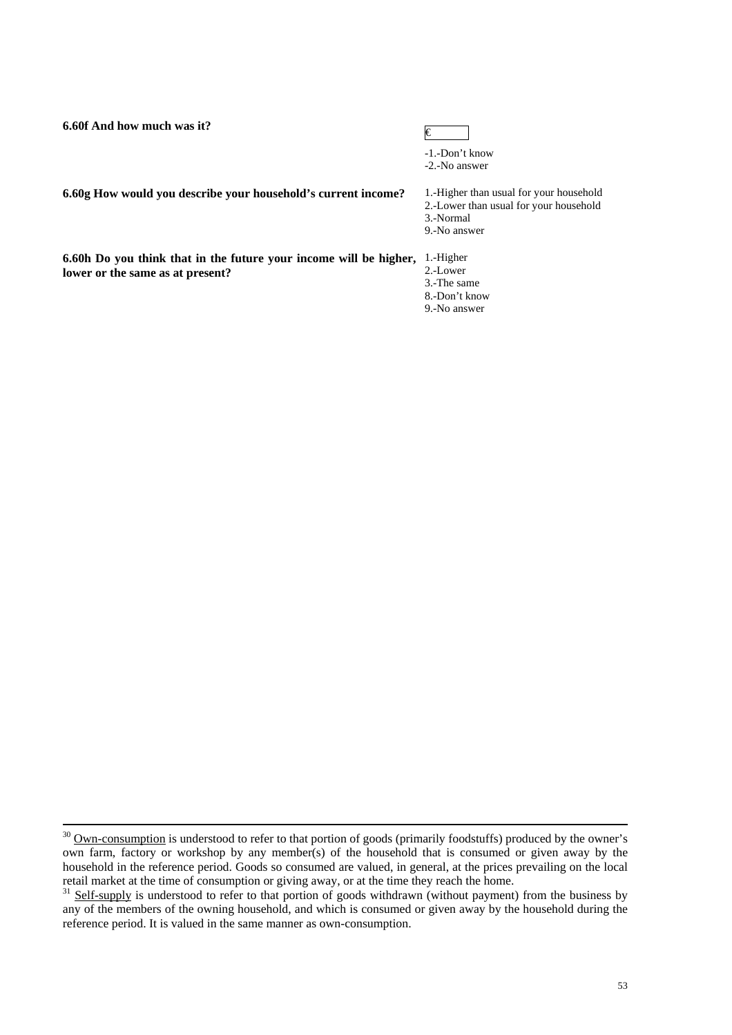**6.60f** And how much was it?  $\in$ 

-1.-Don't know -2.-No answer

**6.60g How would you describe your household's current income?** 1.-Higher than usual for your household

2.-Lower than usual for your household

3.-Normal

9.-No answer

**6.60h Do you think that in the future your income will be higher,**  1.-Higher **lower or the same as at present?**

2.-Lower

3.-The same

8.-Don't know

9.-No answer

<sup>&</sup>lt;sup>30</sup> Own-consumption is understood to refer to that portion of goods (primarily foodstuffs) produced by the owner's own farm, factory or workshop by any member(s) of the household that is consumed or given away by the household in the reference period. Goods so consumed are valued, in general, at the prices prevailing on the local retail market at the time of consumption or giving away, or at the time they reach the home.

<sup>&</sup>lt;sup>31</sup> Self-supply is understood to refer to that portion of goods withdrawn (without payment) from the business by any of the members of the owning household, and which is consumed or given away by the household during the reference period. It is valued in the same manner as own-consumption.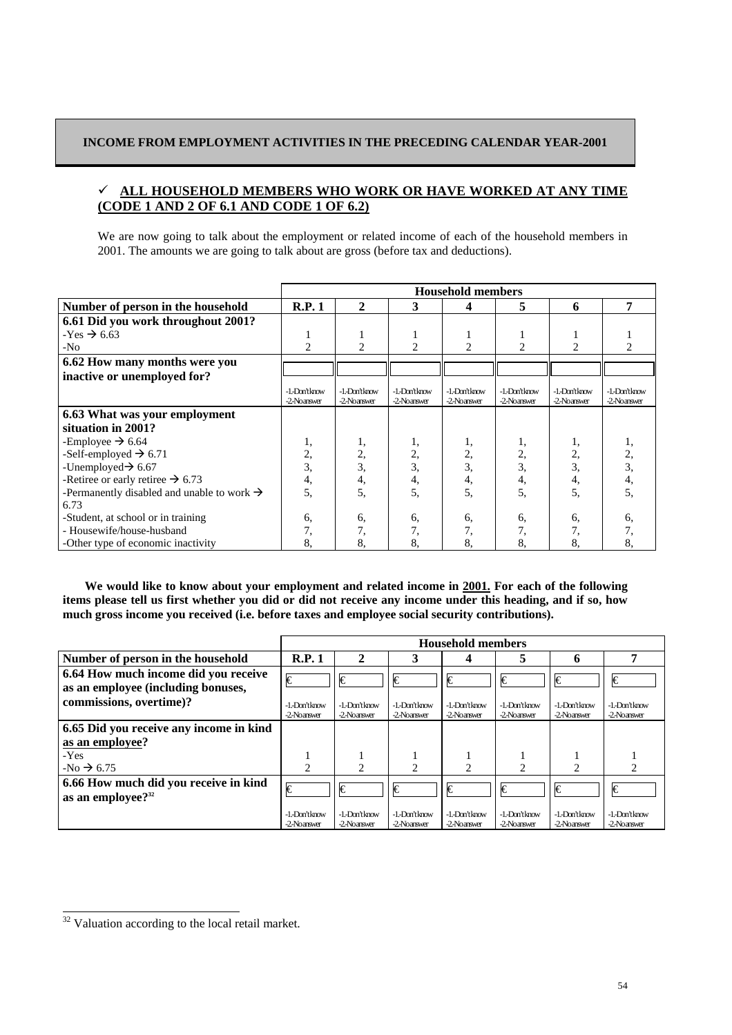# **INCOME FROM EMPLOYMENT ACTIVITIES IN THE PRECEDING CALENDAR YEAR-2001**

# 9 **ALL HOUSEHOLD MEMBERS WHO WORK OR HAVE WORKED AT ANY TIME (CODE 1 AND 2 OF 6.1 AND CODE 1 OF 6.2)**

We are now going to talk about the employment or related income of each of the household members in 2001. The amounts we are going to talk about are gross (before tax and deductions).

|                                                        | <b>Household members</b>    |                               |                               |                               |                             |                               |                               |
|--------------------------------------------------------|-----------------------------|-------------------------------|-------------------------------|-------------------------------|-----------------------------|-------------------------------|-------------------------------|
| Number of person in the household                      | R.P.1                       | $\mathbf{2}$                  | 3                             | 4                             | 5                           | 6                             | 7                             |
| 6.61 Did you work throughout 2001?                     |                             |                               |                               |                               |                             |                               |                               |
| $-Yes \rightarrow 6.63$                                |                             |                               |                               |                               |                             |                               |                               |
| $-N0$                                                  | $\mathfrak{D}$              | $\overline{c}$                | $\overline{c}$                | $\mathfrak{D}$                | $\overline{2}$              | 2                             |                               |
| 6.62 How many months were you                          |                             |                               |                               |                               |                             |                               |                               |
| inactive or unemployed for?                            |                             |                               |                               |                               |                             |                               |                               |
|                                                        | -1-Don'tknow<br>-2-Noanswer | -1. Don't know<br>-2-Noanswer | -1. Don't know<br>-2-Noanswer | -1. Don't know<br>-2-Noanswer | -1.Don'tknow<br>-2-Noanswer | -1. Don't know<br>-2-Noanswer | -1. Don't know<br>-2-Noanswer |
| 6.63 What was your employment                          |                             |                               |                               |                               |                             |                               |                               |
| situation in 2001?                                     |                             |                               |                               |                               |                             |                               |                               |
| -Employee $\rightarrow$ 6.64                           |                             | 1,                            | ı,                            | 1,                            | ı,                          | 1,                            |                               |
| -Self-employed $\rightarrow$ 6.71                      | 2,                          | 2,                            | 2,                            | 2,                            | 2,                          | 2,                            | 2,                            |
| -Unemployed $\rightarrow$ 6.67                         | 3,                          | 3.                            | 3,                            | 3,                            |                             | 3,                            | 3,                            |
| -Retiree or early retiree $\rightarrow$ 6.73           | 4,                          | 4,                            | 4,                            | 4,                            | 4.                          | 4,                            | 4,                            |
| -Permanently disabled and unable to work $\rightarrow$ | 5.                          | 5.                            | 5.                            | 5,                            | 5.                          | 5.                            |                               |
| 6.73                                                   |                             |                               |                               |                               |                             |                               |                               |
| -Student, at school or in training                     | 6,                          | 6,                            | 6,                            | 6,                            | 6,                          | 6,                            | 6.                            |
| - Housewife/house-husband                              | 7,                          | 7,                            | 7,                            | 7,                            | 7,                          |                               |                               |
| -Other type of economic inactivity                     | 8.                          | 8.                            | 8.                            | 8.                            | 8.                          | 8.                            | 8.                            |

We would like to know about your employment and related income in 2001. For each of the following **items please tell us first whether you did or did not receive any income under this heading, and if so, how much gross income you received (i.e. before taxes and employee social security contributions).** 

|                                                                            |                               | <b>Household members</b>      |                              |                               |                             |                               |                               |
|----------------------------------------------------------------------------|-------------------------------|-------------------------------|------------------------------|-------------------------------|-----------------------------|-------------------------------|-------------------------------|
| Number of person in the household                                          | R.P.1                         | $\mathbf{2}$                  | 3                            | 4                             | 5                           | 6                             |                               |
| 6.64 How much income did you receive<br>as an employee (including bonuses, | €                             | €                             | €                            | €                             | €                           | €                             | I€                            |
| commissions, overtime)?                                                    | -1. Don't know<br>-2-Noanswer | -1.-Don't know<br>-2-Noanswer | -1.-Don'tknow<br>-2-Noanswer | -1.-Don'tknow<br>-2-Noanswer  | -1-Don'tknow<br>-2-Noanswer | -1.-Don'tknow<br>-2-Noanswer  | -1. Don't know<br>-2-Noanswer |
| 6.65 Did you receive any income in kind                                    |                               |                               |                              |                               |                             |                               |                               |
| as an employee?                                                            |                               |                               |                              |                               |                             |                               |                               |
| $-Yes$                                                                     |                               |                               |                              |                               |                             |                               |                               |
| $-No \rightarrow 6.75$                                                     | ∍                             | $\mathcal{D}$                 |                              | ∍                             |                             |                               |                               |
| 6.66 How much did you receive in kind<br>as an employee? <sup>32</sup>     | I€                            | €                             | Ѥ                            | I€                            | €                           | €                             | Ѥ                             |
|                                                                            | -1. Don't know<br>-2-Noanswer | -1.-Don't know<br>-2-Noanswer | -1.-Don'tknow<br>-2-Noanswer | -1.-Don't know<br>-2-Noanswer | -1-Don'tknow<br>-2-Noanswer | -1.-Don't know<br>-2-Noanswer | -1.-Don't know<br>-2-Noanswer |

 $\overline{\text{32}}$  Valuation according to the local retail market.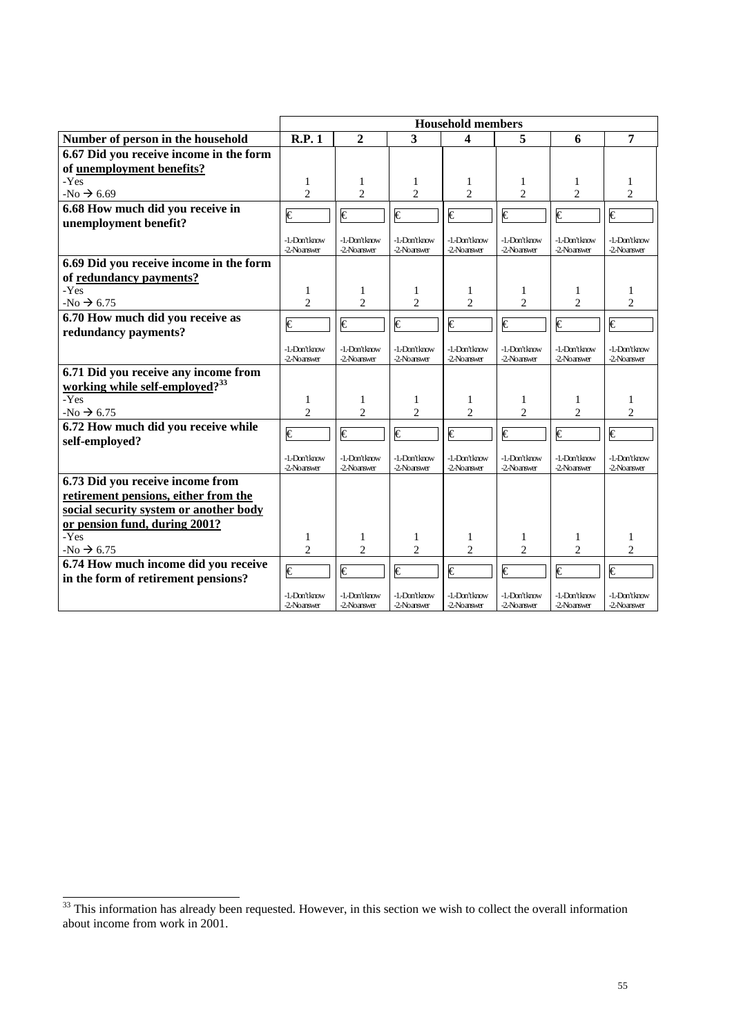|                                            | <b>Household members</b>     |                              |                              |                              |                              |                               |                              |
|--------------------------------------------|------------------------------|------------------------------|------------------------------|------------------------------|------------------------------|-------------------------------|------------------------------|
| Number of person in the household          | R.P.1                        | $\overline{2}$               | 3                            | 4                            | 5                            | 6                             | 7                            |
| 6.67 Did you receive income in the form    |                              |                              |                              |                              |                              |                               |                              |
| of <u>unemployment benefits</u> ?          |                              |                              |                              |                              |                              |                               |                              |
| -Yes                                       | 1                            | 1                            | 1                            | 1                            | 1                            | 1                             |                              |
| $-No \rightarrow 6.69$                     | $\overline{\mathcal{L}}$     | $\overline{2}$               | $\overline{c}$               | $\overline{c}$               | $\overline{2}$               | $\overline{c}$                | $\overline{c}$               |
| 6.68 How much did you receive in           | $\overline{\epsilon}$        | $\overline{\epsilon}$        | $\overline{\epsilon}$        | €                            | €                            | €                             | €                            |
| unemployment benefit?                      |                              |                              |                              |                              |                              |                               |                              |
|                                            | -1.-Don'tknow<br>-2-Noanswer | -1.-Don'tknow<br>-2-Noanswer | -1.-Don'tknow<br>-2-Noanswer | -1.-Don'tknow<br>-2-Noanswer | -1.-Don'tknow<br>-2-Noanswer | -1.-Don't know<br>-2-Noanswer | -1.-Don'tknow<br>-2-Noanswer |
| 6.69 Did you receive income in the form    |                              |                              |                              |                              |                              |                               |                              |
| of redundancy payments?                    |                              |                              |                              |                              |                              |                               |                              |
| -Yes                                       | 1                            | 1                            | 1                            | 1                            | 1                            | -1                            | 1                            |
| $-N0 \rightarrow 6.75$                     | $\overline{c}$               | $\overline{c}$               | $\overline{c}$               | $\overline{c}$               | $\overline{c}$               | $\overline{c}$                | $\overline{2}$               |
| 6.70 How much did you receive as           |                              |                              |                              |                              |                              |                               |                              |
| redundancy payments?                       | $\overline{\epsilon}$        | €                            | €                            | €                            | $\overline{\epsilon}$        | €                             | €                            |
|                                            | -1.-Don'tknow<br>-2-Noanswer | -1.-Don'tknow<br>-2-Noanswer | -1.-Don'tknow<br>-2-Noanswer | -1.-Don'tknow<br>-2-Noanswer | -1.-Don'tknow<br>-2-Noanswer | -1.-Don'tknow<br>-2-Noanswer  | -1.-Don'tknow<br>-2-Noanswer |
| 6.71 Did you receive any income from       |                              |                              |                              |                              |                              |                               |                              |
| working while self-employed? <sup>33</sup> |                              |                              |                              |                              |                              |                               |                              |
| -Yes                                       | 1                            | 1                            | 1                            | 1                            | 1                            | 1                             | 1                            |
| $-No \rightarrow 6.75$                     | $\overline{2}$               | $\overline{2}$               | $\overline{c}$               | $\overline{2}$               | 2                            | $\overline{2}$                | $\overline{c}$               |
| 6.72 How much did you receive while        | $\overline{\epsilon}$        | €                            | €                            | €                            | €                            | €                             | €                            |
| self-employed?                             |                              |                              |                              |                              |                              |                               |                              |
|                                            | -1.-Don'tknow                | -1.-Don'tknow                | -1-Don'tknow                 | -1.-Don'tknow                | -1.-Don'tknow                | -1.-Don't know                | -1.-Don'tknow                |
|                                            | -2-Noanswer                  | -2-Noanswer                  | -2-Noanswer                  | -2-Noanswer                  | -2-Noanswer                  | -2-Noanswer                   | -2-Noanswer                  |
| 6.73 Did you receive income from           |                              |                              |                              |                              |                              |                               |                              |
| retirement pensions, either from the       |                              |                              |                              |                              |                              |                               |                              |
| social security system or another body     |                              |                              |                              |                              |                              |                               |                              |
| or pension fund, during 2001?              |                              |                              |                              |                              |                              |                               |                              |
| -Yes                                       | 1                            | 1                            | 1                            | 1                            | 1                            | 1                             | 1                            |
| $-No \rightarrow 6.75$                     | $\overline{c}$               | $\overline{2}$               | $\overline{c}$               | $\overline{c}$               | $\overline{c}$               | $\overline{2}$                | $\overline{2}$               |
| 6.74 How much income did you receive       | €                            | €                            | €                            | €                            | €                            | $\epsilon$                    | I€                           |
| in the form of retirement pensions?        |                              |                              |                              |                              |                              |                               |                              |
|                                            | -1.-Don'tknow<br>-2-Noanswer | -1.-Don'tknow<br>-2-Noanswer | -1.-Don'tknow<br>-2-Noanswer | -1.-Don'tknow<br>-2-Noanswer | -1.-Don'tknow<br>-2-Noanswer | -1.-Don'tknow<br>-2-Noanswer  | -1.-Don'tknow<br>-2-Noanswer |

 $\frac{33}{133}$  This information has already been requested. However, in this section we wish to collect the overall information about income from work in 2001.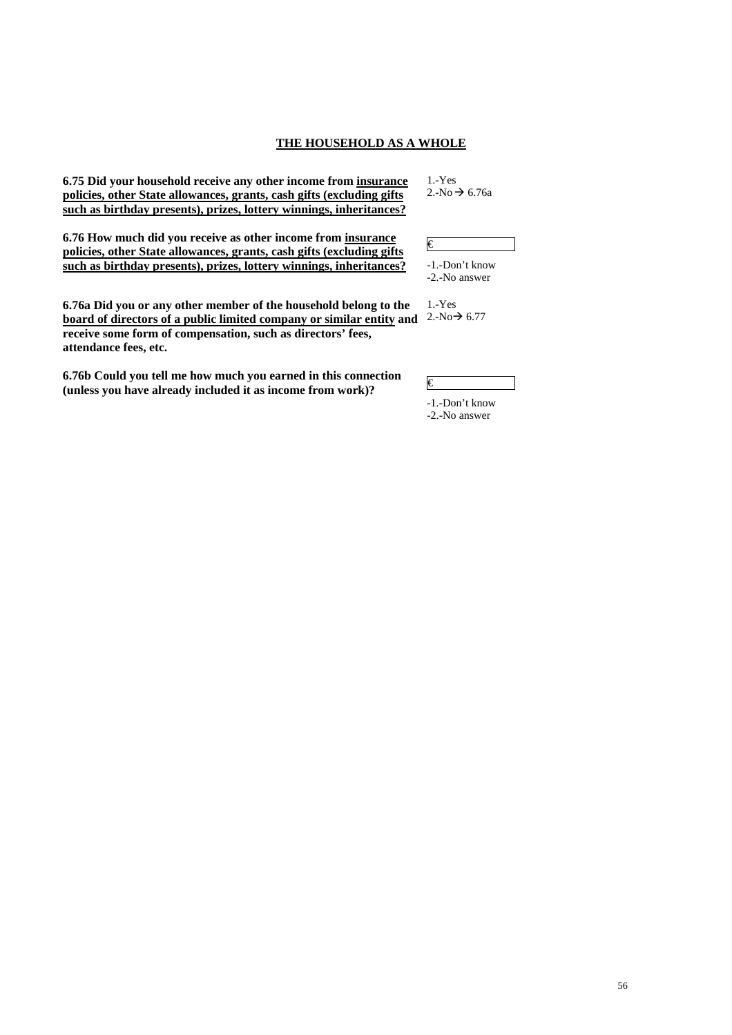# **THE HOUSEHOLD AS A WHOLE**

**6.75 Did your household receive any other income from insurance policies, other State allowances, grants, cash gifts (excluding gifts such as birthday presents), prizes, lottery winnings, inheritances?**

**6.76 How much did you receive as other income from insurance policies, other State allowances, grants, cash gifts (excluding gifts such as birthday presents), prizes, lottery winnings, inheritances?**

**6.76a Did you or any other member of the household belong to the**  board of directors of a public limited company or similar entity and  $2.\text{No} \rightarrow 6.77$ **receive some form of compensation, such as directors' fees, attendance fees, etc.** 

**6.76b Could you tell me how much you earned in this connection**   $($ unless you have already included it as income from work)?

1.-Yes  $2.-No \rightarrow 6.76a$ 

€ -1.-Don't know

-2.-No answer

1.-Yes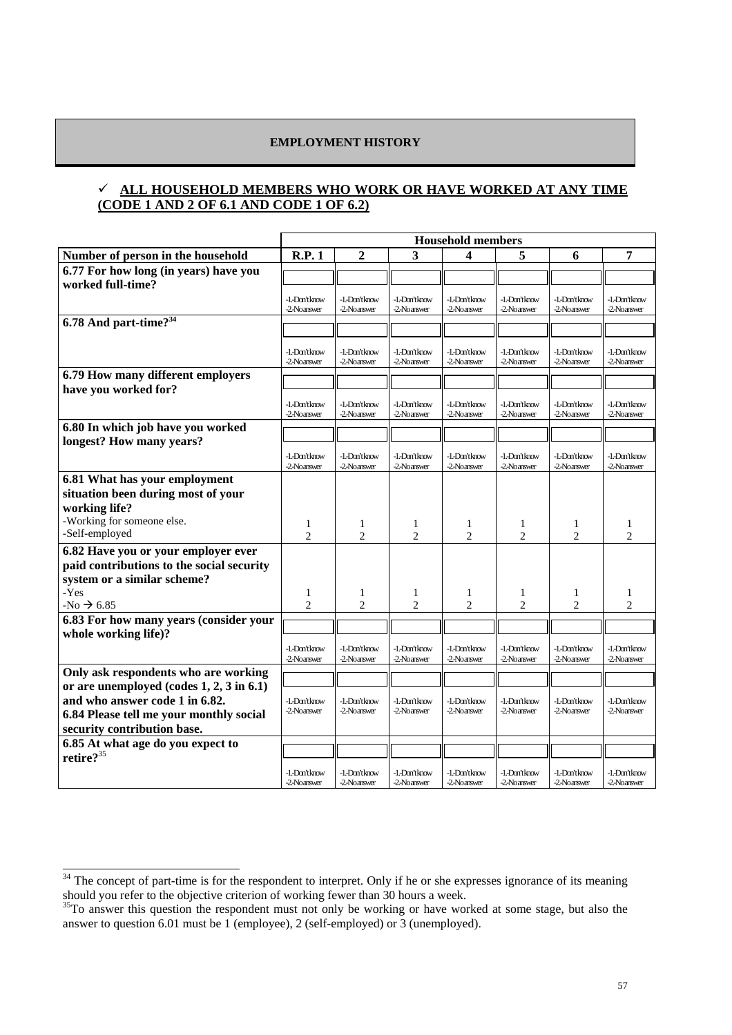# **EMPLOYMENT HISTORY**

# 9 **ALL HOUSEHOLD MEMBERS WHO WORK OR HAVE WORKED AT ANY TIME (CODE 1 AND 2 OF 6.1 AND CODE 1 OF 6.2)**

|                                            | <b>Household members</b>     |                               |                               |                               |                               |                               |                               |
|--------------------------------------------|------------------------------|-------------------------------|-------------------------------|-------------------------------|-------------------------------|-------------------------------|-------------------------------|
| Number of person in the household          | R.P.1                        | $\boldsymbol{2}$              | 3                             | 4                             | 5                             | 6                             | 7                             |
| 6.77 For how long (in years) have you      |                              |                               |                               |                               |                               |                               |                               |
| worked full-time?                          |                              |                               |                               |                               |                               |                               |                               |
|                                            | -1.-Don't know               | -1. Don't know                | -1. Don't know                | -1. Don't know                | -1. Don't know                | -1. Don't know                | -1-Don'tknow                  |
|                                            | -2-Noanswer                  | -2-Noanswer                   | -2-Noanswer                   | -2-Noanswer                   | -2-Noanswer                   | -2-Noanswer                   | -2-Noanswer                   |
| 6.78 And part-time? <sup>34</sup>          |                              |                               |                               |                               |                               |                               |                               |
|                                            |                              |                               |                               |                               |                               |                               |                               |
|                                            | -1.-Don'tknow<br>-2-Noanswer | -1-Don'tknow<br>-2-Noanswer   | -1. Don't know<br>-2-Noanswer | -1. Don't know<br>-2-Noanswer | -1. Don't know<br>-2-Noanswer | -1. Don't know<br>-2-Noanswer | -1. Don't know<br>-2-Noanswer |
| 6.79 How many different employers          |                              |                               |                               |                               |                               |                               |                               |
| have you worked for?                       |                              |                               |                               |                               |                               |                               |                               |
|                                            | -1.-Don'tknow                | -1. Don't know                | -1. Don't know                | -1. Don't know                | -1. Don't know                | -1. Don't know                | -1.-Don'tknow                 |
|                                            | -2-Noanswer                  | -2-Noanswer                   | -2-Noanswer                   | -2-Noanswer                   | -2-Noanswer                   | -2-Noanswer                   | -2-Noanswer                   |
| 6.80 In which job have you worked          |                              |                               |                               |                               |                               |                               |                               |
| longest? How many years?                   |                              |                               |                               |                               |                               |                               |                               |
|                                            | -1.-Don'tknow<br>-2-Noanswer | -1. Don't know<br>-2-Noanswer | -1. Don't know<br>-2-Noanswer | -1. Don't know<br>-2-Noanswer | -1.-Don'tknow<br>-2-Noanswer  | -1. Don't know<br>-2-Noanswer | -1. Don't know<br>-2-Noanswer |
| 6.81 What has your employment              |                              |                               |                               |                               |                               |                               |                               |
| situation been during most of your         |                              |                               |                               |                               |                               |                               |                               |
| working life?                              |                              |                               |                               |                               |                               |                               |                               |
| -Working for someone else.                 |                              |                               |                               |                               |                               |                               |                               |
| -Self-employed                             | 1<br>$\mathfrak{D}$          | 1<br>$\overline{c}$           | 1<br>$\overline{2}$           | 1<br>$\overline{2}$           | 1<br>$\overline{2}$           | 1<br>$\overline{2}$           | 1<br>$\mathfrak{D}$           |
| 6.82 Have you or your employer ever        |                              |                               |                               |                               |                               |                               |                               |
| paid contributions to the social security  |                              |                               |                               |                               |                               |                               |                               |
| system or a similar scheme?                |                              |                               |                               |                               |                               |                               |                               |
| -Yes                                       | 1                            | 1                             | 1                             | $\mathbf{1}$                  | 1                             | 1                             | 1                             |
| $-No \rightarrow 6.85$                     | $\overline{c}$               | $\mathfrak{2}$                | $\mathfrak{2}$                | $\mathfrak{2}$                | $\overline{c}$                | $\overline{2}$                | $\overline{2}$                |
| 6.83 For how many years (consider your     |                              |                               |                               |                               |                               |                               |                               |
| whole working life)?                       |                              |                               |                               |                               |                               |                               |                               |
|                                            | -1.-Don'tknow                | -1. Don't know                | -1. Don't know                | -1. Don't know                | -1. Don't know                | -1. Don't know                | -1. Don't know                |
|                                            | -2-Noanswer                  | -2-Noanswer                   | -2-Noanswer                   | -2-Noanswer                   | -2-Noanswer                   | -2-Noanswer                   | -2-Noanswer                   |
| Only ask respondents who are working       |                              |                               |                               |                               |                               |                               |                               |
| or are unemployed (codes $1, 2, 3$ in 6.1) |                              |                               |                               |                               |                               |                               |                               |
| and who answer code 1 in 6.82.             | -1.-Don'tknow<br>-2-Noanswer | -1.-Don'tknow<br>-2-Noanswer  | -1. Don't know<br>-2-Noanswer | -1. Don't know<br>-2-Noanswer | -1.-Don'tknow<br>-2-Noanswer  | -1. Don't know<br>-2-Noanswer | -1. Don't know<br>-2-Noanswer |
| 6.84 Please tell me your monthly social    |                              |                               |                               |                               |                               |                               |                               |
| security contribution base.                |                              |                               |                               |                               |                               |                               |                               |
| 6.85 At what age do you expect to          |                              |                               |                               |                               |                               |                               |                               |
| retire? <sup>35</sup>                      |                              |                               |                               |                               |                               |                               |                               |
|                                            | -1.-Don'tknow<br>-2-Noanswer | -1. Don't know<br>-2-Noanswer | -1. Don't know<br>-2-Noanswer | -1. Don't know<br>-2-Noanswer | -1. Don't know<br>-2-Noanswer | -1. Don't know<br>-2-Noanswer | -1. Don't know<br>-2-Noanswer |
|                                            |                              |                               |                               |                               |                               |                               |                               |

 $34$  The concept of part-time is for the respondent to interpret. Only if he or she expresses ignorance of its meaning should you refer to the objective criterion of working fewer than 30 hours a week.

 $35$ To answer this question the respondent must not only be working or have worked at some stage, but also the answer to question 6.01 must be 1 (employee), 2 (self-employed) or 3 (unemployed).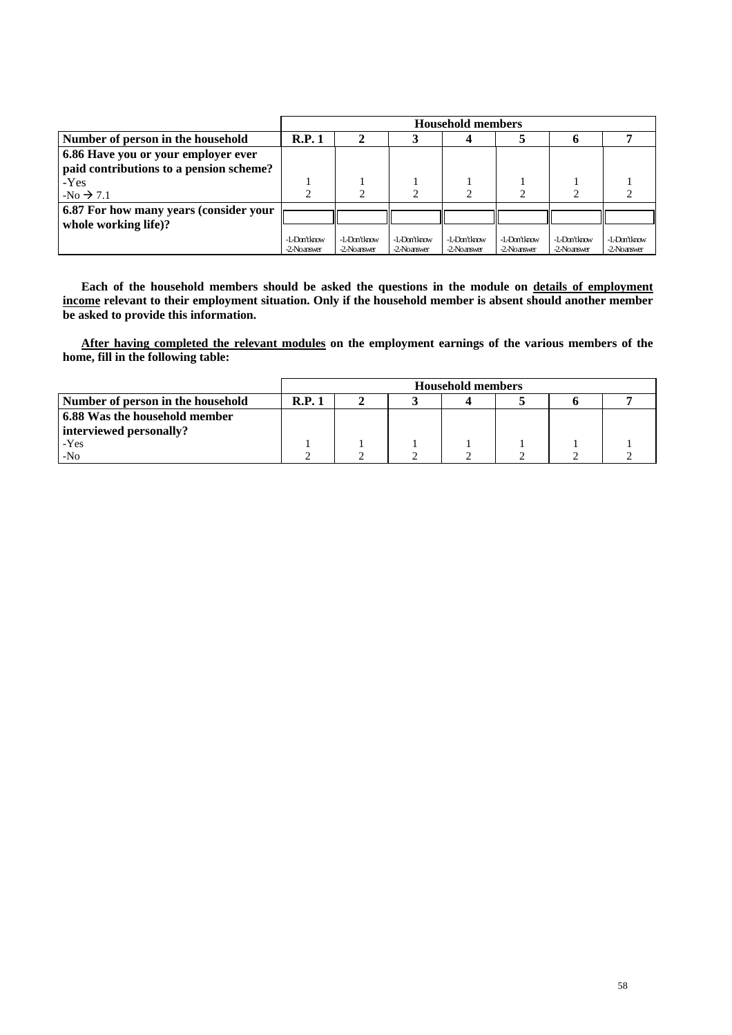|                                         | <b>Household members</b>     |                             |                             |                             |                             |                             |                               |
|-----------------------------------------|------------------------------|-----------------------------|-----------------------------|-----------------------------|-----------------------------|-----------------------------|-------------------------------|
| Number of person in the household       | R.P.1                        |                             |                             |                             |                             |                             |                               |
| 6.86 Have you or your employer ever     |                              |                             |                             |                             |                             |                             |                               |
| paid contributions to a pension scheme? |                              |                             |                             |                             |                             |                             |                               |
| $-Yes$                                  |                              |                             |                             |                             |                             |                             |                               |
| $-No \rightarrow 7.1$                   |                              |                             |                             |                             |                             |                             |                               |
| 6.87 For how many years (consider your  |                              |                             |                             |                             |                             |                             |                               |
| whole working life)?                    |                              |                             |                             |                             |                             |                             |                               |
|                                         | -1.-Don'tknow<br>-2-Noanswer | -1-Don'tknow<br>-2-Noanswer | -1.Don'tknow<br>-2-Noanswer | -1-Don'tknow<br>-2-Noanswer | -1-Don'tknow<br>-2-Noanswer | -1.Don'tknow<br>-2-Noanswer | -1. Don't know<br>-2-Noanswer |

Each of the household members should be asked the questions in the module on details of employment **income relevant to their employment situation. Only if the household member is absent should another member be asked to provide this information.** 

 **After having completed the relevant modules on the employment earnings of the various members of the home, fill in the following table:** 

|                                   | <b>Household members</b> |  |  |  |  |  |
|-----------------------------------|--------------------------|--|--|--|--|--|
| Number of person in the household | R.P.1                    |  |  |  |  |  |
| 6.88 Was the household member     |                          |  |  |  |  |  |
| interviewed personally?           |                          |  |  |  |  |  |
| -Yes                              |                          |  |  |  |  |  |
| $-N0$                             |                          |  |  |  |  |  |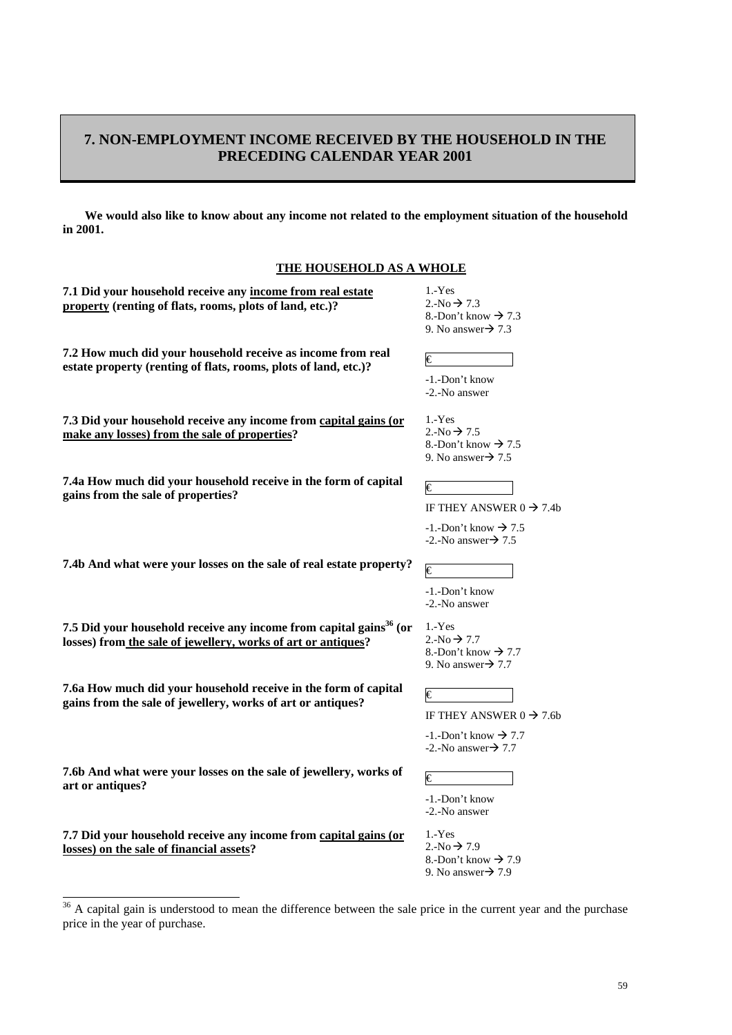# **7. NON-EMPLOYMENT INCOME RECEIVED BY THE HOUSEHOLD IN THE PRECEDING CALENDAR YEAR 2001**

**We would also like to know about any income not related to the employment situation of the household in 2001.** 

| <b>THE HOUSEHOLD AS A WHOLE</b>                                                                                                           |                                                                                                                       |
|-------------------------------------------------------------------------------------------------------------------------------------------|-----------------------------------------------------------------------------------------------------------------------|
| 7.1 Did your household receive any income from real estate<br>property (renting of flats, rooms, plots of land, etc.)?                    | $1.-Yes$<br>2.-No $\rightarrow$ 7.3<br>8.-Don't know $\rightarrow$ 7.3<br>9. No answer $\rightarrow$ 7.3              |
| 7.2 How much did your household receive as income from real<br>estate property (renting of flats, rooms, plots of land, etc.)?            | €<br>-1.-Don't know<br>-2.-No answer                                                                                  |
| 7.3 Did your household receive any income from capital gains (or<br>make any losses) from the sale of properties?                         | $1.-Yes$<br>2.-No $\rightarrow$ 7.5<br>8.-Don't know $\rightarrow$ 7.5<br>9. No answer $\rightarrow$ 7.5              |
| 7.4a How much did your household receive in the form of capital<br>gains from the sale of properties?                                     | €<br>IF THEY ANSWER $0 \rightarrow 7.4b$<br>$-1$ . Don't know $\rightarrow 7.5$<br>-2.-No answer $\rightarrow$ 7.5    |
| 7.4b And what were your losses on the sale of real estate property?                                                                       | €<br>-1.-Don't know<br>-2.-No answer                                                                                  |
| 7.5 Did your household receive any income from capital gains $^{36}$ (or<br>losses) from the sale of jewellery, works of art or antiques? | $1.-Yes$<br>2.-No $\rightarrow$ 7.7<br>8.-Don't know $\rightarrow$ 7.7<br>9. No answer $\rightarrow$ 7.7              |
| 7.6a How much did your household receive in the form of capital<br>gains from the sale of jewellery, works of art or antiques?            | €<br>IF THEY ANSWER $0 \rightarrow 7.6b$<br>$-1$ . Don't know $\rightarrow$ 7.7<br>$-2$ . No answer $\rightarrow$ 7.7 |
| 7.6b And what were your losses on the sale of jewellery, works of<br>art or antiques?                                                     | €<br>-1.-Don't know<br>-2.-No answer                                                                                  |
| 7.7 Did your household receive any income from capital gains (or<br>losses) on the sale of financial assets?                              | $1.-Yes$<br>$2.-No \rightarrow 7.9$<br>8.-Don't know $\rightarrow$ 7.9<br>9. No answer $\rightarrow$ 7.9              |

 $\frac{36}{100}$  A capital gain is understood to mean the difference between the sale price in the current year and the purchase price in the year of purchase.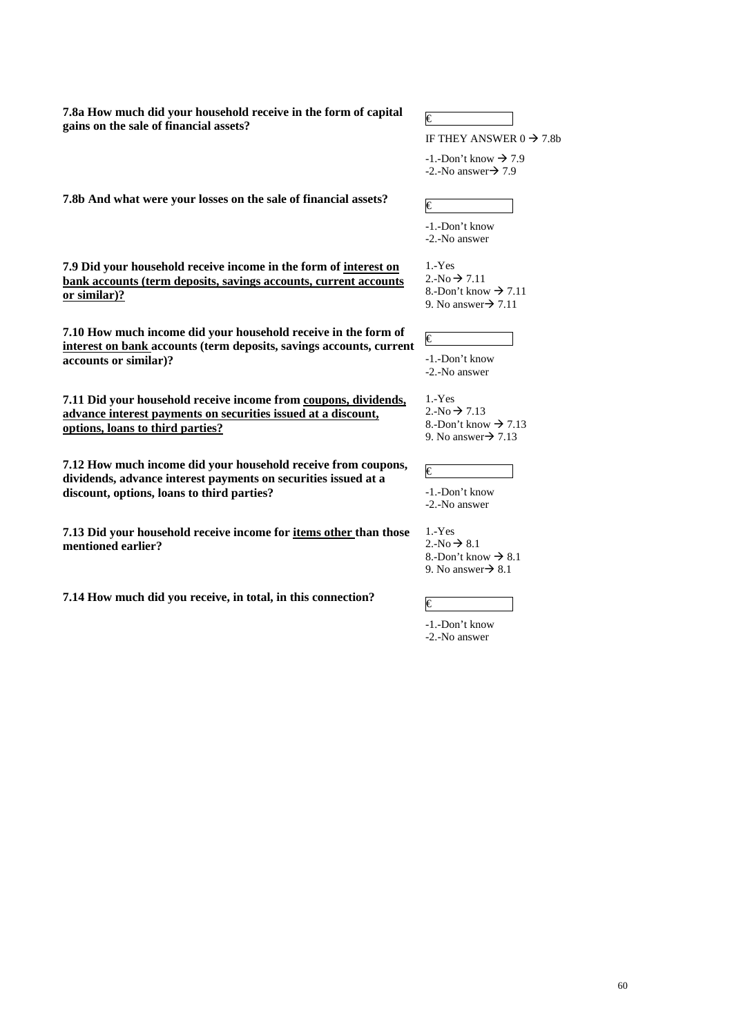**7.8a How much did your household receive in the form of capital**  *f*,  $\delta$ a How much and your nousehold receive in the form of capital  $\epsilon$  gains on the sale of financial assets?

IF THEY ANSWER  $0 \rightarrow 7.8b$ 

 $-1$ . -Don't know  $\rightarrow 7.9$  $-2$ .-No answer $\rightarrow$  7.9

**7.8b And what were your losses on the sale of financial assets?**  $\qquad \qquad \in$ 

**7.9 Did your household receive income in the form of interest on bank accounts (term deposits, savings accounts, current accounts or similar)?**

**7.10 How much income did your household receive in the form of interest on bank accounts (term deposits, savings accounts, current accounts or similar)?** 

**7.11 Did your household receive income from coupons, dividends, advance interest payments on securities issued at a discount, options, loans to third parties?**

**7.12 How much income did your household receive from coupons, dividends, advance interest payments on securities issued at a discount, options, loans to third parties?** 

**7.13 Did your household receive income for items other than those mentioned earlier?** 

**7.14 How much did you receive, in total, in this connection?**  $\epsilon$ 

-1.-Don't know -2.-No answer

1.-Yes  $2.-No \rightarrow 7.11$ 8.-Don't know  $\rightarrow$  7.11 9. No answer $\rightarrow$  7.11

€

-1.-Don't know -2.-No answer

1.-Yes  $2.-No \rightarrow 7.13$ 8.-Don't know  $\rightarrow$  7.13 9. No answer $\rightarrow$  7.13

€ -1.-Don't know -2.-No answer

1.-Yes  $2.-No \rightarrow 8.1$ 8.-Don't know  $\rightarrow$  8.1 9. No answer $\rightarrow$  8.1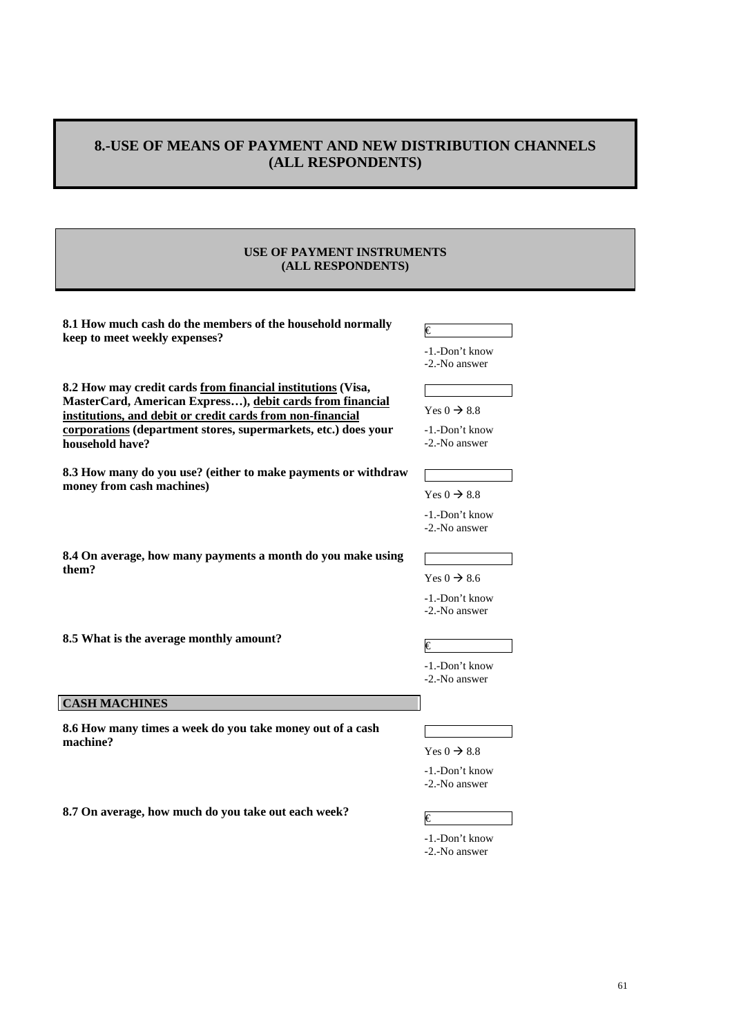# **8.-USE OF MEANS OF PAYMENT AND NEW DISTRIBUTION CHANNELS (ALL RESPONDENTS)**

### **USE OF PAYMENT INSTRUMENTS (ALL RESPONDENTS)**

**8.1 How much cash do the members of the household normally keep to meet weekly expenses? follow h** interest meet **weekly** expenses?

-1.-Don't know

**8.2 How may credit cards from financial institutions (Visa, MasterCard, American Express…), debit cards from financial institutions, and debit or credit cards from non-financial corporations (department stores, supermarkets, etc.) does your household have?** 

**8.3 How many do you use? (either to make payments or withdraw money from cash machines)** 

| -1.-Don't know |
|----------------|
|                |
| -2.-No answer  |

Yes  $0 \rightarrow 8.8$ 

-1.-Don't know -2.-No answer

Yes  $0 \rightarrow 8.8$ 

-1.-Don't know -2.-No answer

Yes  $0 \rightarrow 8.6$ -1.-Don't know -2.-No answer

**8.4 On average, how many payments a month do you make using them?** 

**8.5 What is the average monthly amount?**  $\qquad \qquad \in \mathbb{C}$ 

**CASH MACHINES**

**8.6 How many times a week do you take money out of a cash machine?** 

**8.7** On average, how much do you take out each week?

Yes  $0 \rightarrow 8.8$ 

-1.-Don't know -2.-No answer

-1.-Don't know -2.-No answer

-1.-Don't know

-2.-No answer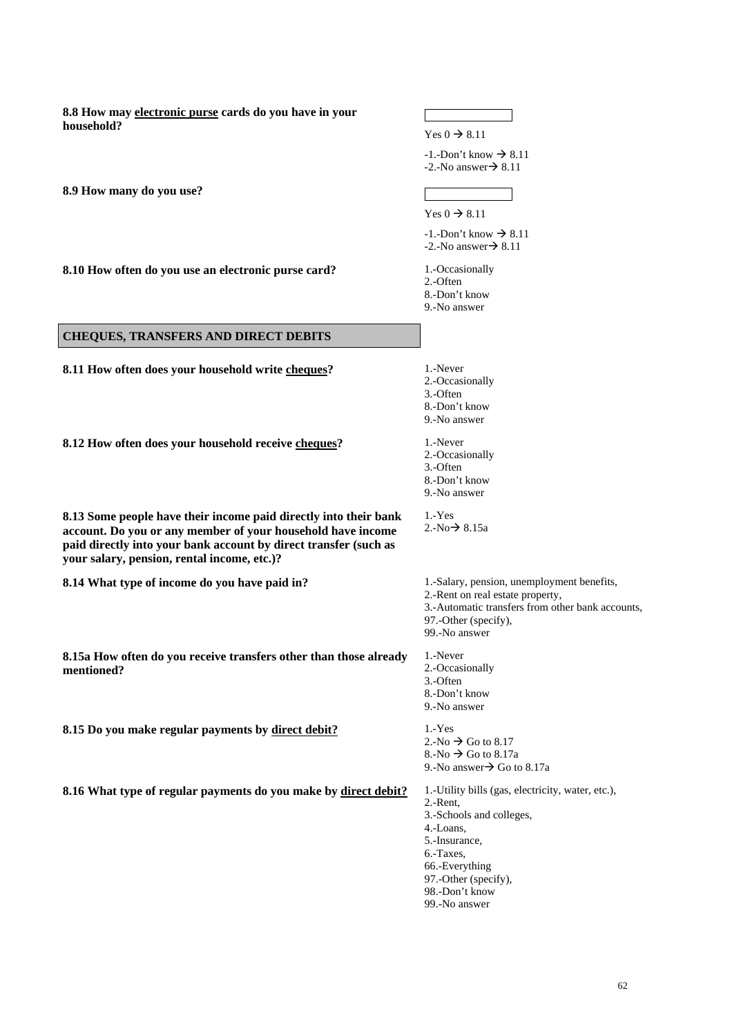**8.8 How may electronic purse cards do you have in your household?**  Yes  $0 \rightarrow 8.11$  $-1$ .-Don't know  $\rightarrow 8.11$  $-2$ . No answer  $\rightarrow 8.11$ **8.9 How many do you use?**  Yes  $0 \rightarrow 8.11$  $-1$ .-Don't know  $\rightarrow$  8.11  $-2$ .-No answer $\rightarrow$  8.11 **8.10 How often do you use an electronic purse card?** 1.-Occasionally 2.-Often 8.-Don't know 9.-No answer **CHEQUES, TRANSFERS AND DIRECT DEBITS 8.11 How often does your household write cheques?** 1.-Never 2.-Occasionally 3.-Often 8.-Don't know 9.-No answer **8.12 How often does your household receive cheques?** 1.-Never 2.-Occasionally 3.-Often 8.-Don't know 9.-No answer **8.13 Some people have their income paid directly into their bank account. Do you or any member of your household have income paid directly into your bank account by direct transfer (such as your salary, pension, rental income, etc.)?**  1.-Yes  $2.-No \rightarrow 8.15a$ **8.14 What type of income do you have paid in?** 1.-Salary, pension, unemployment benefits, 2.-Rent on real estate property, 3.-Automatic transfers from other bank accounts, 97.-Other (specify), 99.-No answer **8.15a How often do you receive transfers other than those already mentioned?**  1.-Never 2.-Occasionally 3.-Often 8.-Don't know 9.-No answer **8.15 Do you make regular payments by direct debit?** 1.-Yes 2.-No  $\rightarrow$  Go to 8.17  $8.-No \rightarrow Go$  to  $8.17a$ 9.-No answer $\rightarrow$  Go to 8.17a **8.16 What type of regular payments do you make by direct debit?** 1.-Utility bills (gas, electricity, water, etc.), 2.-Rent, 3.-Schools and colleges, 4.-Loans, 5.-Insurance, 6.-Taxes, 66.-Everything 97.-Other (specify), 98.-Don't know

99.-No answer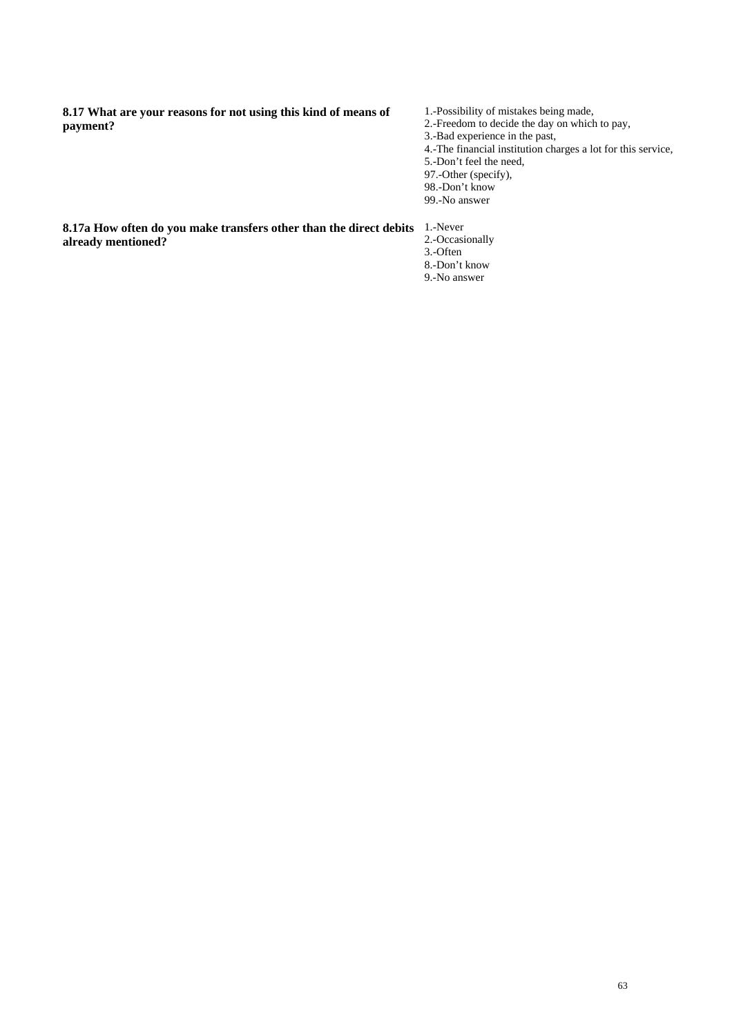**8.17 What are your reasons for not using this kind of means of payment?** 

1.-Possibility of mistakes being made, 2.-Freedom to decide the day on which to pay, 3.-Bad experience in the past, 4.-The financial institution charges a lot for this service, 5.-Don't feel the need, 97.-Other (specify), 98.-Don't know 99.-No answer

**8.17a How often do you make transfers other than the direct debits**  1.-Never **already mentioned?** 

- 
- 2.-Occasionally
- 3.-Often 8.-Don't know
- 9.-No answer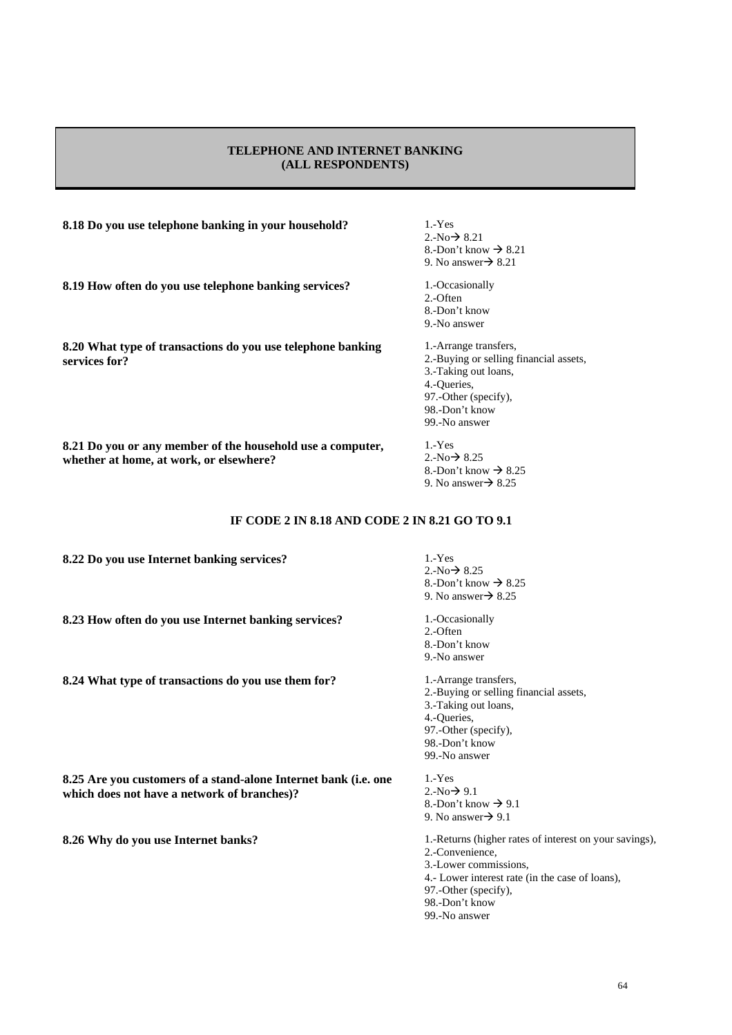### **TELEPHONE AND INTERNET BANKING (ALL RESPONDENTS)**

**8.18 Do you use telephone banking in your household?** 1.-Yes

**8.19 How often do you use telephone banking services?** 1.-Occasionally

**8.20 What type of transactions do you use telephone banking services for?** 

**8.21 Do you or any member of the household use a computer,** 

- $2.-No \rightarrow 8.21$ 8.-Don't know  $\rightarrow$  8.21 9. No answer $\rightarrow$  8.21
- 2.-Often 8.-Don't know 9.-No answer
- 1.-Arrange transfers, 2.-Buying or selling financial assets, 3.-Taking out loans, 4.-Queries, 97.-Other (specify), 98.-Don't know 99.-No answer

1.-Yes  $2.-No \rightarrow 8.25$ 8.-Don't know  $\rightarrow$  8.25 9. No answer $\rightarrow$  8.25

# **IF CODE 2 IN 8.18 AND CODE 2 IN 8.21 GO TO 9.1**

**8.22 Do you use Internet banking services?** 1.-Yes

**whether at home, at work, or elsewhere?** 

**8.23 How often do you use Internet banking services?** 1.-Occasionally

**8.24 What type of transactions do you use them for?** 1.-Arrange transfers,

**8.25 Are you customers of a stand-alone Internet bank (i.e. one which does not have a network of branches)?** 

**8.26 Why do you use Internet banks? 1.-Returns (higher rates of interest on your savings),** 

 $2-No \rightarrow 8.25$ 8.-Don't know  $\rightarrow$  8.25 9. No answer $\rightarrow$  8.25 2.-Often

8.-Don't know

9.-No answer 2.-Buying or selling financial assets, 3.-Taking out loans, 4.-Queries, 97.-Other (specify), 98.-Don't know 99.-No answer

1.-Yes  $2.-No \rightarrow 9.1$ 8.-Don't know  $\rightarrow$  9.1 9. No answer $\rightarrow$  9.1 2.-Convenience, 3.-Lower commissions, 4.- Lower interest rate (in the case of loans), 97.-Other (specify),

98.-Don't know 99.-No answer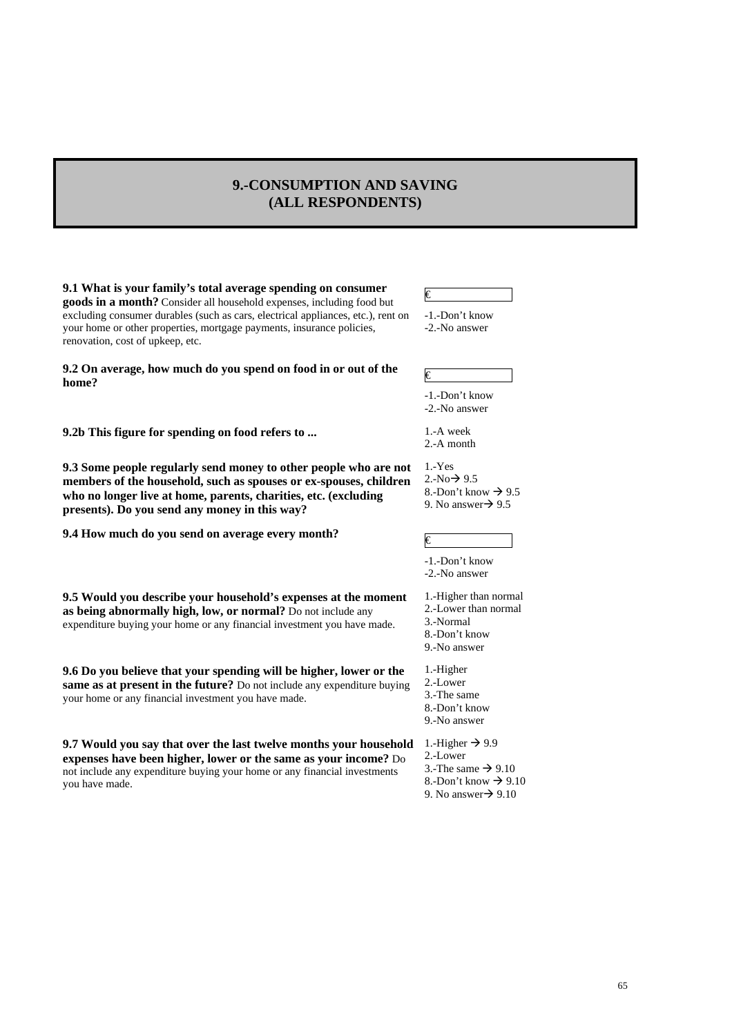# **9.-CONSUMPTION AND SAVING (ALL RESPONDENTS)**

**9.1 What is your family's total average spending on consumer goods in a month?** Consider all household expenses, including food but excluding consumer durables (such as cars, electrical appliances, etc.), rent on your home or other properties, mortgage payments, insurance policies, renovation, cost of upkeep, etc.

€

-1.-Don't know -2.-No answer

**9.2** On average, how much do you spend on food in or out of the  $\qquad \in$ 

**9.2b This figure for spending on food refers to ...** 1.-A week

**9.3 Some people regularly send money to other people who are not members of the household, such as spouses or ex-spouses, children who no longer live at home, parents, charities, etc. (excluding presents). Do you send any money in this way?** 

**9.4 How much do you send on average every month?**  $\in$ 

**9.5 Would you describe your household's expenses at the moment as being abnormally high, low, or normal?** Do not include any expenditure buying your home or any financial investment you have made.

**9.6 Do you believe that your spending will be higher, lower or the same as at present in the future?** Do not include any expenditure buying your home or any financial investment you have made.

**9.7 Would you say that over the last twelve months your household expenses have been higher, lower or the same as your income?** Do not include any expenditure buying your home or any financial investments you have made.

-1.-Don't know -2.-No answer

2.-A month

1.-Yes  $2.-No \rightarrow 9.5$ 8.-Don't know  $\rightarrow$  9.5 9. No answer $\rightarrow$  9.5

-1.-Don't know -2.-No answer

1.-Higher than normal

- 2.-Lower than normal
- 3.-Normal
- 8.-Don't know 9.-No answer
- 1.-Higher
- 2.-Lower
- 3.-The same
- 8.-Don't know
- 9.-No answer

1.-Higher  $\rightarrow$  9.9

- 2.-Lower
- 3.-The same  $\rightarrow$  9.10
- 8.-Don't know  $\rightarrow$  9.10 9. No answer $\rightarrow$  9.10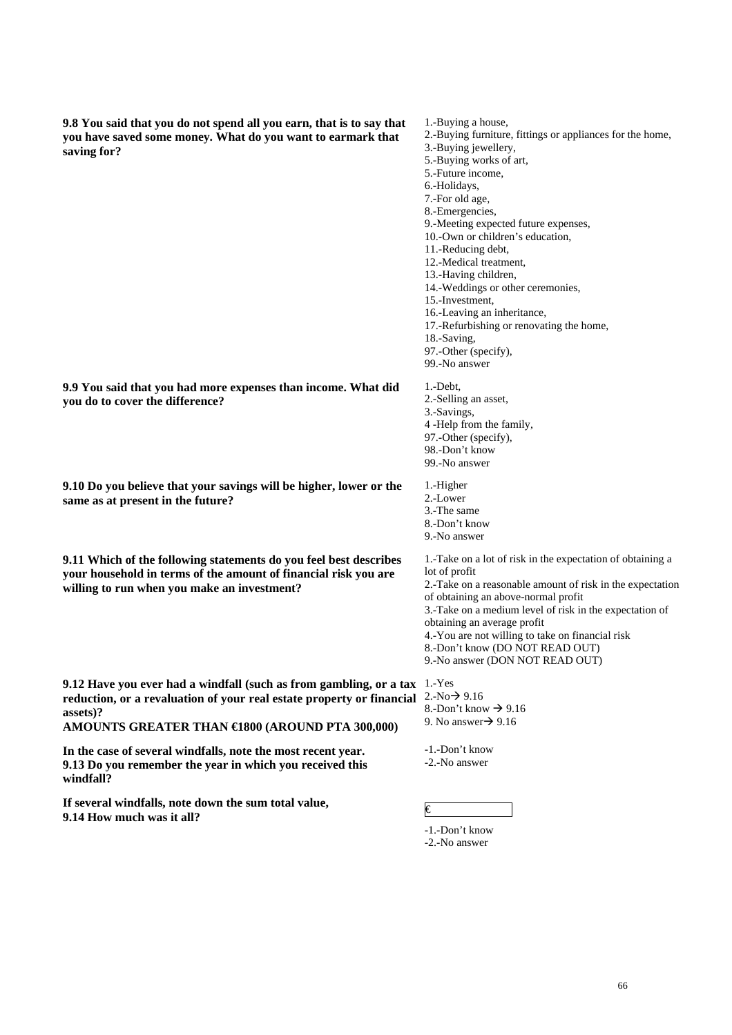**9.8 You said that you do not spend all you earn, that is to say that you have saved some money. What do you want to earmark that saving for?** 

- 1.-Buying a house, 2.-Buying furniture, fittings or appliances for the home, 3.-Buying jewellery, 5.-Buying works of art, 5.-Future income, 6.-Holidays,
- 7.-For old age,
- 8.-Emergencies,
- 9.-Meeting expected future expenses,
- 10.-Own or children's education,
- 11.-Reducing debt,
- 12.-Medical treatment,
- 13.-Having children,
- 14.-Weddings or other ceremonies,
- 15.-Investment,
- 16.-Leaving an inheritance,
- 17.-Refurbishing or renovating the home,
- 18.-Saving,
- 97.-Other (specify),

99.-No answer

**9.9 You said that you had more expenses than income. What did you do to cover the difference?** 

**9.10 Do you believe that your savings will be higher, lower or the same as at present in the future?** 

**9.11 Which of the following statements do you feel best describes your household in terms of the amount of financial risk you are willing to run when you make an investment?** 

**9.12 Have you ever had a windfall (such as from gambling, or a tax**  1.-Yes **reduction, or a revaluation of your real estate property or financial assets)?** 

**AMOUNTS GREATER THAN €1800 (AROUND PTA 300,000)** 

**In the case of several windfalls, note the most recent year. 9.13 Do you remember the year in which you received this windfall?** 

**If several windfalls, note down the sum total value, 11 Several windians, note down the sum total value,**  $\epsilon$   $\epsilon$ 

1.-Debt, 2.-Selling an asset, 3.-Savings, 4 -Help from the family, 97.-Other (specify), 98.-Don't know 99.-No answer

1.-Higher

- 2.-Lower
- 3.-The same
- 8.-Don't know

9.-No answer

1.-Take on a lot of risk in the expectation of obtaining a lot of profit 2.-Take on a reasonable amount of risk in the expectation of obtaining an above-normal profit

- 3.-Take on a medium level of risk in the expectation of
- obtaining an average profit
- 4.-You are not willing to take on financial risk
- 8.-Don't know (DO NOT READ OUT)
- 9.-No answer (DON NOT READ OUT)

- $2.-No \rightarrow 9.16$
- 8.-Don't know  $\rightarrow$  9.16 9. No answer $\rightarrow$  9.16

-1.-Don't know -2.-No answer

-1.-Don't know